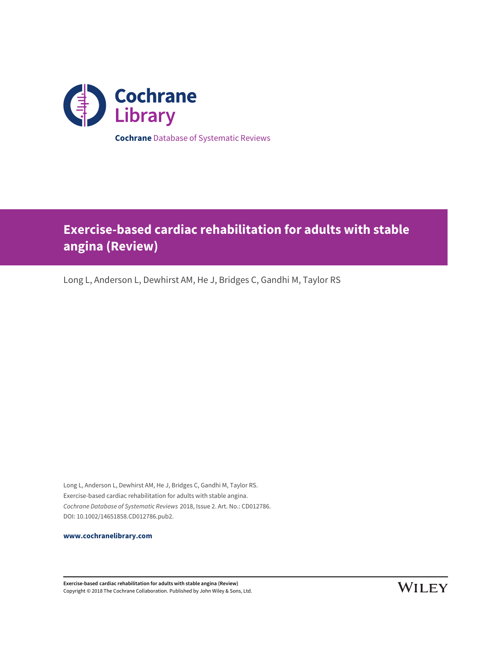

**Cochrane** Database of Systematic Reviews

# **Exercise-based cardiac rehabilitation for adults with stable angina (Review)**

Long L, Anderson L, Dewhirst AM, He J, Bridges C, Gandhi M, Taylor RS

Long L, Anderson L, Dewhirst AM, He J, Bridges C, Gandhi M, Taylor RS. Exercise-based cardiac rehabilitation for adults with stable angina. Cochrane Database of Systematic Reviews 2018, Issue 2. Art. No.: CD012786. DOI: 10.1002/14651858.CD012786.pub2.

**[www.cochranelibrary.com](http://www.cochranelibrary.com)**

**Exercise-based cardiac rehabilitation for adults with stable angina (Review)** Copyright © 2018 The Cochrane Collaboration. Published by John Wiley & Sons, Ltd.

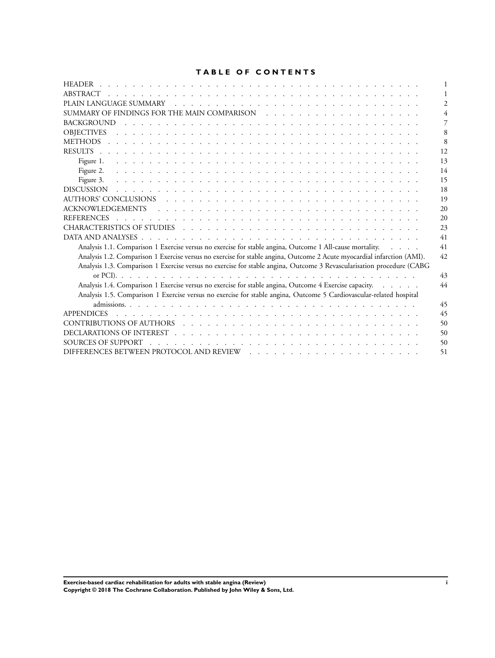### **TABLE OF CONTENTS**

| <b>HEADER</b>                                                                                                                                              |    |
|------------------------------------------------------------------------------------------------------------------------------------------------------------|----|
|                                                                                                                                                            |    |
|                                                                                                                                                            |    |
|                                                                                                                                                            |    |
| <b>BACKGROUND</b>                                                                                                                                          |    |
| <b>OBJECTIVES</b><br>and the component of the component of the component of the component of the component of the component of the                         |    |
|                                                                                                                                                            |    |
|                                                                                                                                                            | 12 |
|                                                                                                                                                            | 13 |
| Figure 2.                                                                                                                                                  | 14 |
| Figure 3.                                                                                                                                                  | 15 |
| <b>DISCUSSION</b>                                                                                                                                          | 18 |
|                                                                                                                                                            | 19 |
|                                                                                                                                                            | 20 |
| <b>REFERENCES</b>                                                                                                                                          | 20 |
|                                                                                                                                                            | 23 |
|                                                                                                                                                            | 41 |
| Analysis 1.1. Comparison 1 Exercise versus no exercise for stable angina, Outcome 1 All-cause mortality.                                                   | 41 |
| Analysis 1.2. Comparison 1 Exercise versus no exercise for stable angina, Outcome 2 Acute myocardial infarction (AMI).                                     | 42 |
| Analysis 1.3. Comparison 1 Exercise versus no exercise for stable angina, Outcome 3 Revascularisation procedure (CABG                                      |    |
|                                                                                                                                                            | 43 |
| Analysis 1.4. Comparison 1 Exercise versus no exercise for stable angina, Outcome 4 Exercise capacity.                                                     | 44 |
| Analysis 1.5. Comparison 1 Exercise versus no exercise for stable angina, Outcome 5 Cardiovascular-related hospital                                        |    |
|                                                                                                                                                            | 45 |
| <b>APPENDICES</b>                                                                                                                                          | 45 |
|                                                                                                                                                            | 50 |
|                                                                                                                                                            | 50 |
| SOURCES OF SUPPORT                                                                                                                                         | 50 |
| DIFFERENCES BETWEEN PROTOCOL AND REVIEW<br>and a series of the contract of the contract of the contract of the contract of the contract of the contract of | 51 |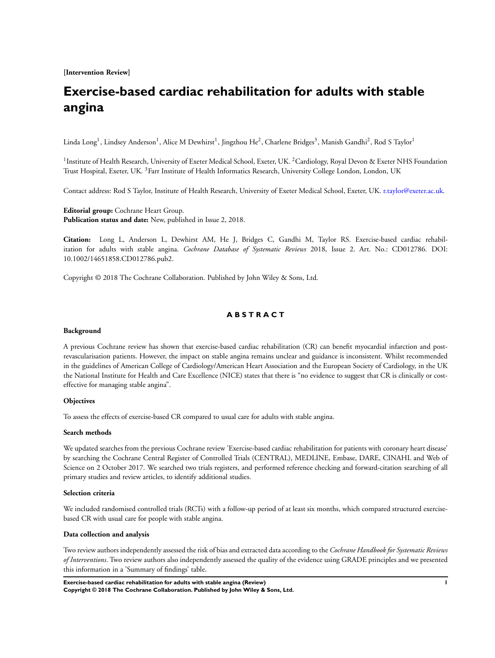**[Intervention Review]**

## **Exercise-based cardiac rehabilitation for adults with stable angina**

Linda Long<sup>1</sup>, Lindsey Anderson<sup>1</sup>, Alice M Dewhirst<sup>1</sup>, Jingzhou He<sup>2</sup>, Charlene Bridges<sup>3</sup>, Manish Gandhi<sup>2</sup>, Rod S Taylor<sup>1</sup>

<sup>1</sup> Institute of Health Research, University of Exeter Medical School, Exeter, UK. <sup>2</sup>Cardiology, Royal Devon & Exeter NHS Foundation Trust Hospital, Exeter, UK. <sup>3</sup>Farr Institute of Health Informatics Research, University College London, London, UK

Contact address: Rod S Taylor, Institute of Health Research, University of Exeter Medical School, Exeter, UK. [r.taylor@exeter.ac.uk](mailto:r.taylor@exeter.ac.uk).

**Editorial group:** Cochrane Heart Group. **Publication status and date:** New, published in Issue 2, 2018.

**Citation:** Long L, Anderson L, Dewhirst AM, He J, Bridges C, Gandhi M, Taylor RS. Exercise-based cardiac rehabilitation for adults with stable angina. *Cochrane Database of Systematic Reviews* 2018, Issue 2. Art. No.: CD012786. DOI: 10.1002/14651858.CD012786.pub2.

Copyright © 2018 The Cochrane Collaboration. Published by John Wiley & Sons, Ltd.

### **A B S T R A C T**

#### **Background**

A previous Cochrane review has shown that exercise-based cardiac rehabilitation (CR) can benefit myocardial infarction and postrevascularisation patients. However, the impact on stable angina remains unclear and guidance is inconsistent. Whilst recommended in the guidelines of American College of Cardiology/American Heart Association and the European Society of Cardiology, in the UK the National Institute for Health and Care Excellence (NICE) states that there is "no evidence to suggest that CR is clinically or costeffective for managing stable angina".

#### **Objectives**

To assess the effects of exercise-based CR compared to usual care for adults with stable angina.

#### **Search methods**

We updated searches from the previous Cochrane review 'Exercise-based cardiac rehabilitation for patients with coronary heart disease' by searching the Cochrane Central Register of Controlled Trials (CENTRAL), MEDLINE, Embase, DARE, CINAHL and Web of Science on 2 October 2017. We searched two trials registers, and performed reference checking and forward-citation searching of all primary studies and review articles, to identify additional studies.

#### **Selection criteria**

We included randomised controlled trials (RCTs) with a follow-up period of at least six months, which compared structured exercisebased CR with usual care for people with stable angina.

#### **Data collection and analysis**

Two review authors independently assessed the risk of bias and extracted data according to the *Cochrane Handbook for Systematic Reviews of Interventions*. Two review authors also independently assessed the quality of the evidence using GRADE principles and we presented this information in a 'Summary of findings' table.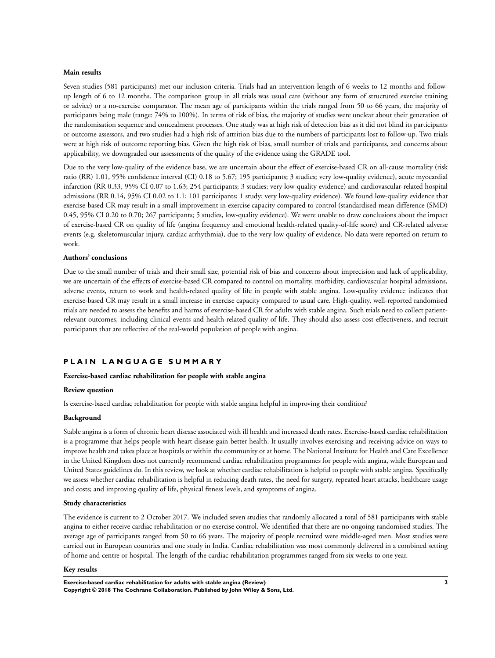#### **Main results**

Seven studies (581 participants) met our inclusion criteria. Trials had an intervention length of 6 weeks to 12 months and followup length of 6 to 12 months. The comparison group in all trials was usual care (without any form of structured exercise training or advice) or a no-exercise comparator. The mean age of participants within the trials ranged from 50 to 66 years, the majority of participants being male (range: 74% to 100%). In terms of risk of bias, the majority of studies were unclear about their generation of the randomisation sequence and concealment processes. One study was at high risk of detection bias as it did not blind its participants or outcome assessors, and two studies had a high risk of attrition bias due to the numbers of participants lost to follow-up. Two trials were at high risk of outcome reporting bias. Given the high risk of bias, small number of trials and participants, and concerns about applicability, we downgraded our assessments of the quality of the evidence using the GRADE tool.

Due to the very low-quality of the evidence base, we are uncertain about the effect of exercise-based CR on all-cause mortality (risk ratio (RR) 1.01, 95% confidence interval (CI) 0.18 to 5.67; 195 participants; 3 studies; very low-quality evidence), acute myocardial infarction (RR 0.33, 95% CI 0.07 to 1.63; 254 participants; 3 studies; very low-quality evidence) and cardiovascular-related hospital admissions (RR 0.14, 95% CI 0.02 to 1.1; 101 participants; 1 study; very low-quality evidence). We found low-quality evidence that exercise-based CR may result in a small improvement in exercise capacity compared to control (standardised mean difference (SMD) 0.45, 95% CI 0.20 to 0.70; 267 participants; 5 studies, low-quality evidence). We were unable to draw conclusions about the impact of exercise-based CR on quality of life (angina frequency and emotional health-related quality-of-life score) and CR-related adverse events (e.g. skeletomuscular injury, cardiac arrhythmia), due to the very low quality of evidence. No data were reported on return to work.

#### **Authors' conclusions**

Due to the small number of trials and their small size, potential risk of bias and concerns about imprecision and lack of applicability, we are uncertain of the effects of exercise-based CR compared to control on mortality, morbidity, cardiovascular hospital admissions, adverse events, return to work and health-related quality of life in people with stable angina. Low-quality evidence indicates that exercise-based CR may result in a small increase in exercise capacity compared to usual care*.* High-quality, well-reported randomised trials are needed to assess the benefits and harms of exercise-based CR for adults with stable angina. Such trials need to collect patientrelevant outcomes, including clinical events and health-related quality of life. They should also assess cost-effectiveness, and recruit participants that are reflective of the real-world population of people with angina.

#### **P L A I N L A N G U A G E S U M M A R Y**

#### **Exercise-based cardiac rehabilitation for people with stable angina**

#### **Review question**

Is exercise-based cardiac rehabilitation for people with stable angina helpful in improving their condition?

#### **Background**

Stable angina is a form of chronic heart disease associated with ill health and increased death rates. Exercise-based cardiac rehabilitation is a programme that helps people with heart disease gain better health. It usually involves exercising and receiving advice on ways to improve health and takes place at hospitals or within the community or at home. The National Institute for Health and Care Excellence in the United Kingdom does not currently recommend cardiac rehabilitation programmes for people with angina, while European and United States guidelines do. In this review, we look at whether cardiac rehabilitation is helpful to people with stable angina. Specifically we assess whether cardiac rehabilitation is helpful in reducing death rates, the need for surgery, repeated heart attacks, healthcare usage and costs; and improving quality of life, physical fitness levels, and symptoms of angina.

#### **Study characteristics**

The evidence is current to 2 October 2017. We included seven studies that randomly allocated a total of 581 participants with stable angina to either receive cardiac rehabilitation or no exercise control. We identified that there are no ongoing randomised studies. The average age of participants ranged from 50 to 66 years. The majority of people recruited were middle-aged men. Most studies were carried out in European countries and one study in India. Cardiac rehabilitation was most commonly delivered in a combined setting of home and centre or hospital. The length of the cardiac rehabilitation programmes ranged from six weeks to one year.

#### **Key results**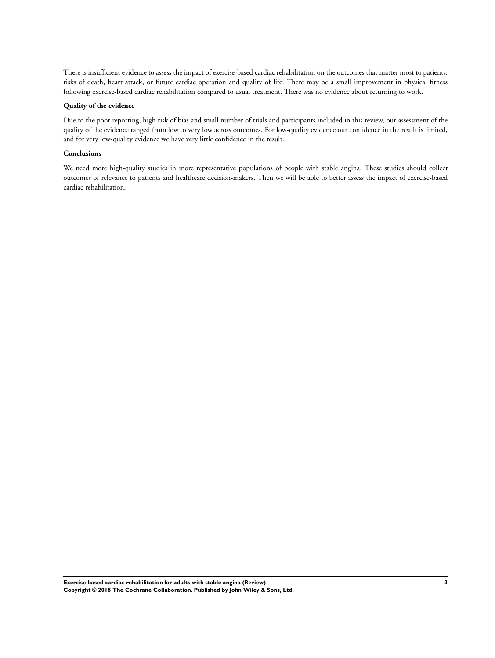There is insufficient evidence to assess the impact of exercise-based cardiac rehabilitation on the outcomes that matter most to patients: risks of death, heart attack, or future cardiac operation and quality of life. There may be a small improvement in physical fitness following exercise-based cardiac rehabilitation compared to usual treatment. There was no evidence about returning to work.

#### **Quality of the evidence**

Due to the poor reporting, high risk of bias and small number of trials and participants included in this review, our assessment of the quality of the evidence ranged from low to very low across outcomes. For low-quality evidence our confidence in the result is limited, and for very low-quality evidence we have very little confidence in the result.

#### **Conclusions**

We need more high-quality studies in more representative populations of people with stable angina. These studies should collect outcomes of relevance to patients and healthcare decision-makers. Then we will be able to better assess the impact of exercise-based cardiac rehabilitation.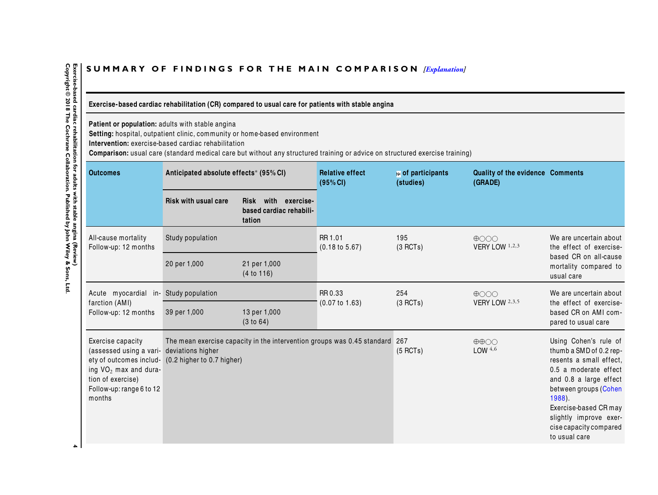## SUMMARY OF FINDINGS FOR THE MAIN COMPARISON *[\[Explanation\]](http://www.thecochranelibrary.com/view/0/SummaryFindings.html)*

Exercise-based cardiac rehabilitation (CR) compared to usual care for patients with stable angina

**Patient or population:** adults with stable angina **Setting:** hospital, outpatient clinic, community or home-based environment

**Intervention:** exercise-based cardiac rehabilitation

**Comparison:** usual care (standard medical care but without any structured training or advice on structured exercise training)

| <b>Outcomes</b>                                                                                                                                                         | Anticipated absolute effects* (95% CI)          |                                                                         | <b>Relative effect</b><br>(95% CI)   | № of participants<br>(studies) | Quality of the evidence Comments<br>(GRADE)    |                                                                                                                                                                                                                                                                    |
|-------------------------------------------------------------------------------------------------------------------------------------------------------------------------|-------------------------------------------------|-------------------------------------------------------------------------|--------------------------------------|--------------------------------|------------------------------------------------|--------------------------------------------------------------------------------------------------------------------------------------------------------------------------------------------------------------------------------------------------------------------|
|                                                                                                                                                                         | <b>Risk with usual care</b>                     | with exercise-<br><b>Risk</b><br>based cardiac rehabili-<br>tation      |                                      |                                |                                                |                                                                                                                                                                                                                                                                    |
| All-cause mortality<br>Follow-up: 12 months                                                                                                                             | Study population                                |                                                                         | RR 1.01<br>$(0.18 \text{ to } 5.67)$ | 195<br>(3 RCTs)                | $\bigoplus$ OOO<br>VERY LOW 1,2,3              | We are uncertain about<br>the effect of exercise-                                                                                                                                                                                                                  |
|                                                                                                                                                                         | 20 per 1,000                                    | 21 per 1,000<br>(4 to 116)                                              |                                      |                                |                                                | based CR on all-cause<br>mortality compared to<br>usual care                                                                                                                                                                                                       |
| Acute myocardial in-<br>farction (AMI)                                                                                                                                  | Study population                                |                                                                         | RR 0.33<br>(0.07 to 1.63)            | 254<br>(3 RCTs)                | $\bigoplus$<br>VERY LOW 2,3,5                  | We are uncertain about<br>the effect of exercise-                                                                                                                                                                                                                  |
| Follow-up: 12 months                                                                                                                                                    | 39 per 1,000                                    | 13 per 1,000<br>(3 to 64)                                               |                                      |                                |                                                | based CR on AMI com-<br>pared to usual care                                                                                                                                                                                                                        |
| Exercise capacity<br>(assessed using a vari-<br>ety of outcomes includ-<br>ing VO <sub>2</sub> max and dura-<br>tion of exercise)<br>Follow-up: range 6 to 12<br>months | deviations higher<br>(0.2 higher to 0.7 higher) | The mean exercise capacity in the intervention groups was 0.45 standard |                                      | 267<br>$(5$ RCTs)              | $\oplus \oplus \bigcirc \bigcirc$<br>LOW $4,6$ | Using Cohen's rule of<br>thumb a SMD of 0.2 rep-<br>resents a small effect,<br>0.5 a moderate effect<br>and 0.8 a large effect<br>between groups (Cohen<br>$1988$ ).<br>Exercise-based CR may<br>slightly improve exer-<br>cise capacity compared<br>to usual care |

<span id="page-5-0"></span>Exercise-based cardiac rehabilitation for adults with stable angina (Review)<br>Copyright © 2018 The Cochrane Collaboration. Published by John Wiley & Sons, Ltd. **Copyright © 2018 The Cochrane Collaboration. Published by John Wiley & Sons, Ltd.H Exercise-based cardiac rehabilitation for adults with stable anginal (Review)**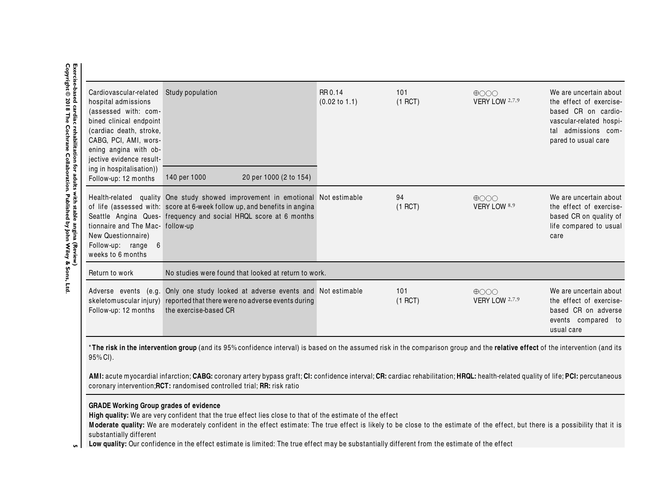| Cardiovascular-related<br>hospital admissions<br>(assessed with: com-<br>bined clinical endpoint<br>(cardiac death, stroke,<br>CABG, PCI, AMI, wors-<br>ening angina with ob-<br>jective evidence result-<br>ing in hospitalisation)) | Study population                                                                                                                                                                                                                                                                                                                                                      | RR 0.14<br>$(0.02 \text{ to } 1.1)$ | 101<br>$(1$ RCT) | $\bigoplus$<br>VERY LOW 2,7,9 | We are uncertain about<br>the effect of exercise-<br>based CR on cardio-<br>vascular-related hospi-<br>tal admissions com-<br>pared to usual care |
|---------------------------------------------------------------------------------------------------------------------------------------------------------------------------------------------------------------------------------------|-----------------------------------------------------------------------------------------------------------------------------------------------------------------------------------------------------------------------------------------------------------------------------------------------------------------------------------------------------------------------|-------------------------------------|------------------|-------------------------------|---------------------------------------------------------------------------------------------------------------------------------------------------|
| Follow-up: 12 months                                                                                                                                                                                                                  | 140 per 1000<br>20 per 1000 (2 to 154)                                                                                                                                                                                                                                                                                                                                |                                     |                  |                               |                                                                                                                                                   |
| tionnaire and The Mac- follow-up<br>New Questionnaire)<br>Follow-up: range 6<br>weeks to 6 months                                                                                                                                     | Health-related quality One study showed improvement in emotional Not estimable<br>of life (assessed with: score at 6-week follow up, and benefits in angina<br>Seattle Angina Ques- frequency and social HRQL score at 6 months                                                                                                                                       |                                     | 94<br>$(1$ RCT)  | $\bigoplus$<br>VERY LOW 8,9   | We are uncertain about<br>the effect of exercise-<br>based CR on quality of<br>life compared to usual<br>care                                     |
| Return to work                                                                                                                                                                                                                        | No studies were found that looked at return to work.                                                                                                                                                                                                                                                                                                                  |                                     |                  |                               |                                                                                                                                                   |
| Adverse events (e.g.<br>Follow-up: 12 months                                                                                                                                                                                          | Only one study looked at adverse events and Not estimable<br>skeletomuscular injury) reported that there were no adverse events during<br>the exercise-based CR                                                                                                                                                                                                       |                                     | 101<br>$(1$ RCT) | $\bigoplus$<br>VERY LOW 2,7,9 | We are uncertain about<br>the effect of exercise-<br>based CR on adverse<br>events compared to<br>usual care                                      |
| 95% CI).                                                                                                                                                                                                                              | *The risk in the intervention group (and its 95% confidence interval) is based on the assumed risk in the comparison group and the relative effect of the intervention (and its<br>AMI: acute myocardial infarction; CABG: coronary artery bypass graft; CI: confidence interval; CR: cardiac rehabilitation; HRQL: health-related quality of life; PCI: percutaneous |                                     |                  |                               |                                                                                                                                                   |

**GRADE Working Group grades of evidence High quality:** We are very confident that the true effect lies close to that of the estimate of the effect<br>Moderate quality: We are moderately confident in the effect estimate: The true effect is likely to b

**Moderate quality:** We are moderately confident in the effect estimate: The true effect is likely to be close to the estimate of the effect, but there is a possibility that it is<br>Substantially different substantially different

Low quality: Our confidence in the effect estimate is limited: The true effect may be substantially different from the estimate of the effect  $\mathsf{G}$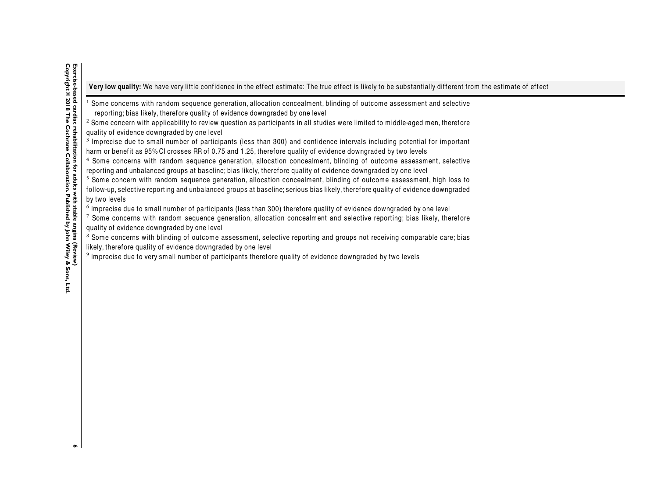Very low quality: We have very little confidence in the effect estimate: The true effect is likely to be substantially different from the estimate of effect

 $^{\rm 1}$  Some concerns with random sequence generation, allocation concealment, blinding of outcome assessment and selective

reporting; bias likely, therefore quality of evidence downgraded by one level

 $^{\rm 2}$  Some concern with applicability to review question as participants in all studies were limited to middle-aged men, therefore quality of evidence downgraded by one level

 $^3$  Imprecise due to small number of participants (less than 300) and confidence intervals including potential for important harm or benefit as 95% CI crosses RR of 0.75 and 1.25, therefore quality of evidence downgraded by two levels

 $^4$  Some concerns with random sequence generation, allocation concealment, blinding of outcome assessment, selective reporting and unbalanced groups at baseline; bias likely, therefore quality of evidence downgraded by one level

 $^5$  Some concern with random sequence generation, allocation concealment, blinding of outcome assessment, high loss to follow-up, selective reporting and unbalanced groups at baseline; serious bias likely, therefore quality of evidence downgraded by two levels

 $^6$  Imprecise due to small number of participants (less than 300) therefore quality of evidence downgraded by one level

 $^\tau$  Some concerns with random sequence generation, allocation concealment and selective reporting; bias likely, therefore quality of evidence downgraded by one level

 $^{\rm 8}$  Some concerns with blinding of outcome assessment, selective reporting and groups not receiving comparable care; bias likely, therefore quality of evidence downgraded by one level

 $^9$  Imprecise due to very small number of participants therefore quality of evidence downgraded by two levels

 $\bullet$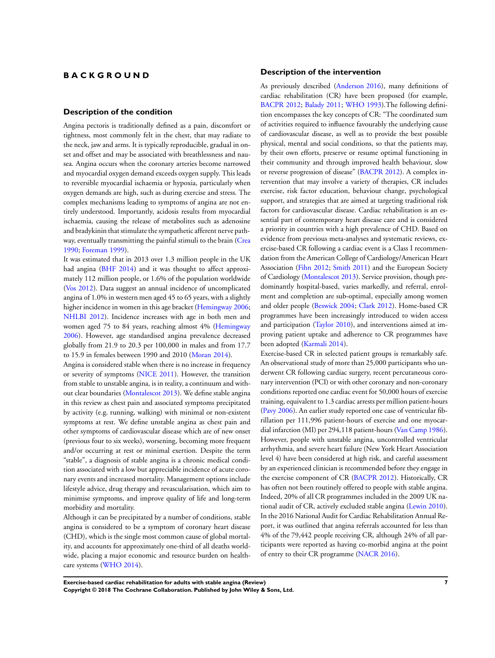### **B A C K G R O U N D**

#### **Description of the condition**

Angina pectoris is traditionally defined as a pain, discomfort or tightness, most commonly felt in the chest, that may radiate to the neck, jaw and arms. It is typically reproducible, gradual in onset and offset and may be associated with breathlessness and nausea. Angina occurs when the coronary arteries become narrowed and myocardial oxygen demand exceeds oxygen supply. This leads to reversible myocardial ischaemia or hypoxia, particularly when oxygen demands are high, such as during exercise and stress. The complex mechanisms leading to symptoms of angina are not entirely understood. Importantly, acidosis results from myocardial ischaemia, causing the release of metabolites such as adenosine and bradykinin that stimulate the sympathetic afferent nerve pathway, eventually transmitting the painful stimuli to the brain ([Crea](#page-21-0) [1990](#page-21-0); [Foreman 1999\)](#page-21-0).

It was estimated that in 2013 over 1.3 million people in the UK had angina ([BHF 2014\)](#page-21-0) and it was thought to affect approximately 112 million people, or 1.6% of the population worldwide [\(Vos 2012](#page-21-0)). Data suggest an annual incidence of uncomplicated angina of 1.0% in western men aged 45 to 65 years, with a slightly higher incidence in women in this age bracket ([Hemingway 2006;](#page-21-0) [NHLBI 2012\)](#page-21-0). Incidence increases with age in both men and women aged 75 to 84 years, reaching almost 4% ([Hemingway](#page-21-0) [2006](#page-21-0)). However, age standardised angina prevalence decreased globally from 21.9 to 20.3 per 100,000 in males and from 17.7 to 15.9 in females between 1990 and 2010 [\(Moran 2014\)](https://archie.cochrane.org/sections/documents/view?version=z1703201217503982580149108272952%26format=REVMAN#REF-Moran-2014).

Angina is considered stable when there is no increase in frequency or severity of symptoms [\(NICE 2011\)](#page-21-0). However, the transition from stable to unstable angina, is in reality, a continuum and without clear boundaries ([Montalescot 2013](#page-21-0)). We define stable angina in this review as chest pain and associated symptoms precipitated by activity (e.g. running, walking) with minimal or non-existent symptoms at rest. We define unstable angina as chest pain and other symptoms of cardiovascular disease which are of new onset (previous four to six weeks), worsening, becoming more frequent and/or occurring at rest or minimal exertion. Despite the term "stable", a diagnosis of stable angina is a chronic medical condition associated with a low but appreciable incidence of acute coronary events and increased mortality. Management options include lifestyle advice, drug therapy and revascularisation, which aim to minimise symptoms, and improve quality of life and long-term morbidity and mortality.

Although it can be precipitated by a number of conditions, stable angina is considered to be a symptom of coronary heart disease (CHD), which is the single most common cause of global mortality, and accounts for approximately one-third of all deaths worldwide, placing a major economic and resource burden on healthcare systems [\(WHO 2014\)](#page-21-0).

#### **Description of the intervention**

As previously described [\(Anderson 2016](https://archie.cochrane.org/sections/documents/view?version=z1703201217503982580149108272952%26format=REVMAN#REF-Anderson-2016)), many definitions of cardiac rehabilitation (CR) have been proposed (for example, [BACPR 2012;](https://archie.cochrane.org/sections/documents/view?version=z1703201217503982580149108272952%26format=REVMAN#REF-BACPR-2012) [Balady 2011](https://archie.cochrane.org/sections/documents/view?version=z1703201217503982580149108272952%26format=REVMAN#REF-Balady-2011); [WHO 1993\)](https://archie.cochrane.org/sections/documents/view?version=z1703201217503982580149108272952%26format=REVMAN#REF-WHO-1993).The following definition encompasses the key concepts of CR: "The coordinated sum of activities required to influence favourably the underlying cause of cardiovascular disease, as well as to provide the best possible physical, mental and social conditions, so that the patients may, by their own efforts, preserve or resume optimal functioning in their community and through improved health behaviour, slow or reverse progression of disease" [\(BACPR 2012\)](#page-21-0). A complex intervention that may involve a variety of therapies, CR includes exercise, risk factor education, behaviour change, psychological support, and strategies that are aimed at targeting traditional risk factors for cardiovascular disease. Cardiac rehabilitation is an essential part of contemporary heart disease care and is considered a priority in countries with a high prevalence of CHD. Based on evidence from previous meta-analyses and systematic reviews, exercise-based CR following a cardiac event is a Class I recommendation from the American College of Cardiology/American Heart Association [\(Fihn 2012](#page-21-0); [Smith 2011](#page-21-0)) and the European Society of Cardiology [\(Montalescot 2013](#page-21-0)). Service provision, though predominantly hospital-based, varies markedly, and referral, enrolment and completion are sub-optimal, especially among women and older people ([Beswick 2004](#page-21-0); [Clark 2012](#page-21-0)). Home-based CR programmes have been increasingly introduced to widen access and participation ([Taylor 2010\)](#page-21-0), and interventions aimed at improving patient uptake and adherence to CR programmes have been adopted [\(Karmali 2014](#page-21-0)).

Exercise-based CR in selected patient groups is remarkably safe. An observational study of more than 25,000 participants who underwent CR following cardiac surgery, recent percutaneous coronary intervention (PCI) or with other coronary and non-coronary conditions reported one cardiac event for 50,000 hours of exercise training, equivalent to 1.3 cardiac arrests per million patient-hours [\(Pavy 2006](#page-21-0)). An earlier study reported one case of ventricular fibrillation per 111,996 patient-hours of exercise and one myocardial infarction (MI) per 294,118 patient-hours ([Van Camp 1986](#page-21-0)). However, people with unstable angina, uncontrolled ventricular arrhythmia, and severe heart failure (New York Heart Association level 4) have been considered at high risk, and careful assessment by an experienced clinician is recommended before they engage in the exercise component of CR [\(BACPR 2012\)](#page-21-0). Historically, CR has often not been routinely offered to people with stable angina. Indeed, 20% of all CR programmes included in the 2009 UK national audit of CR, actively excluded stable angina [\(Lewin 2010](#page-21-0)). In the 2016 National Audit for Cardiac Rehabilitation Annual Report, it was outlined that angina referrals accounted for less than 4% of the 79,442 people receiving CR, although 24% of all participants were reported as having co-morbid angina at the point of entry to their CR programme [\(NACR 2016](#page-21-0)).

**Exercise-based cardiac rehabilitation for adults with stable angina (Review) 7 Copyright © 2018 The Cochrane Collaboration. Published by John Wiley & Sons, Ltd.**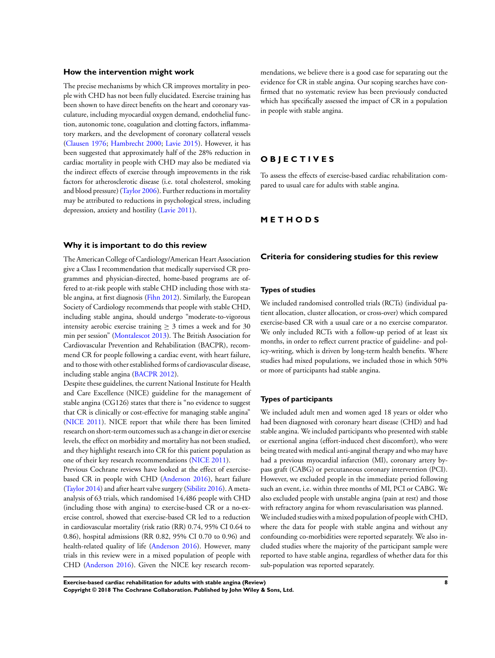#### **How the intervention might work**

The precise mechanisms by which CR improves mortality in people with CHD has not been fully elucidated. Exercise training has been shown to have direct benefits on the heart and coronary vasculature, including myocardial oxygen demand, endothelial function, autonomic tone, coagulation and clotting factors, inflammatory markers, and the development of coronary collateral vessels [\(Clausen 1976;](#page-21-0) [Hambrecht 2000;](#page-21-0) [Lavie 2015](#page-21-0)). However, it has been suggested that approximately half of the 28% reduction in cardiac mortality in people with CHD may also be mediated via the indirect effects of exercise through improvements in the risk factors for atherosclerotic disease (i.e. total cholesterol, smoking and blood pressure) ([Taylor 2006\)](#page-21-0). Further reductions in mortality may be attributed to reductions in psychological stress, including depression, anxiety and hostility ([Lavie 2011](#page-21-0)).

#### **Why it is important to do this review**

The American College of Cardiology/American Heart Association give a Class I recommendation that medically supervised CR programmes and physician-directed, home-based programs are offered to at-risk people with stable CHD including those with stable angina, at first diagnosis ([Fihn 2012\)](#page-21-0). Similarly, the European Society of Cardiology recommends that people with stable CHD, including stable angina, should undergo "moderate-to-vigorous intensity aerobic exercise training  $\geq$  3 times a week and for 30 min per session" ([Montalescot 2013\)](#page-21-0). The British Association for Cardiovascular Prevention and Rehabilitation (BACPR), recommend CR for people following a cardiac event, with heart failure, and to those with other established forms of cardiovascular disease, including stable angina ([BACPR 2012\)](#page-21-0).

Despite these guidelines, the current National Institute for Health and Care Excellence (NICE) guideline for the management of stable angina (CG126) states that there is "no evidence to suggest that CR is clinically or cost-effective for managing stable angina" [\(NICE 2011](#page-21-0)). NICE report that while there has been limited research on short-term outcomes such as a change in diet or exercise levels, the effect on morbidity and mortality has not been studied, and they highlight research into CR for this patient population as one of their key research recommendations [\(NICE 2011](#page-21-0)).

Previous Cochrane reviews have looked at the effect of exercisebased CR in people with CHD [\(Anderson 2016](#page-21-0)), heart failure [\(Taylor 2014\)](#page-21-0) and after heart valve surgery ([Sibilitz 2016](#page-21-0)). A metaanalysis of 63 trials, which randomised 14,486 people with CHD (including those with angina) to exercise-based CR or a no-exercise control, showed that exercise-based CR led to a reduction in cardiovascular mortality (risk ratio (RR) 0.74, 95% CI 0.64 to 0.86), hospital admissions (RR 0.82, 95% CI 0.70 to 0.96) and health-related quality of life [\(Anderson 2016\)](#page-21-0). However, many trials in this review were in a mixed population of people with CHD [\(Anderson 2016\)](#page-21-0). Given the NICE key research recom-

mendations, we believe there is a good case for separating out the evidence for CR in stable angina. Our scoping searches have confirmed that no systematic review has been previously conducted which has specifically assessed the impact of CR in a population in people with stable angina.

### **O B J E C T I V E S**

To assess the effects of exercise-based cardiac rehabilitation compared to usual care for adults with stable angina.

### **M E T H O D S**

#### **Criteria for considering studies for this review**

#### **Types of studies**

We included randomised controlled trials (RCTs) (individual patient allocation, cluster allocation, or cross-over) which compared exercise-based CR with a usual care or a no exercise comparator. We only included RCTs with a follow-up period of at least six months, in order to reflect current practice of guideline- and policy-writing, which is driven by long-term health benefits. Where studies had mixed populations, we included those in which 50% or more of participants had stable angina.

#### **Types of participants**

We included adult men and women aged 18 years or older who had been diagnosed with coronary heart disease (CHD) and had stable angina. We included participants who presented with stable or exertional angina (effort-induced chest discomfort), who were being treated with medical anti-anginal therapy and who may have had a previous myocardial infarction (MI), coronary artery bypass graft (CABG) or percutaneous coronary intervention (PCI). However, we excluded people in the immediate period following such an event, i.e. within three months of MI, PCI or CABG. We also excluded people with unstable angina (pain at rest) and those with refractory angina for whom revascularisation was planned. We included studies with a mixed population of people with CHD, where the data for people with stable angina and without any confounding co-morbidities were reported separately. We also included studies where the majority of the participant sample were reported to have stable angina, regardless of whether data for this sub-population was reported separately.

**Exercise-based cardiac rehabilitation for adults with stable angina (Review) 8 Copyright © 2018 The Cochrane Collaboration. Published by John Wiley & Sons, Ltd.**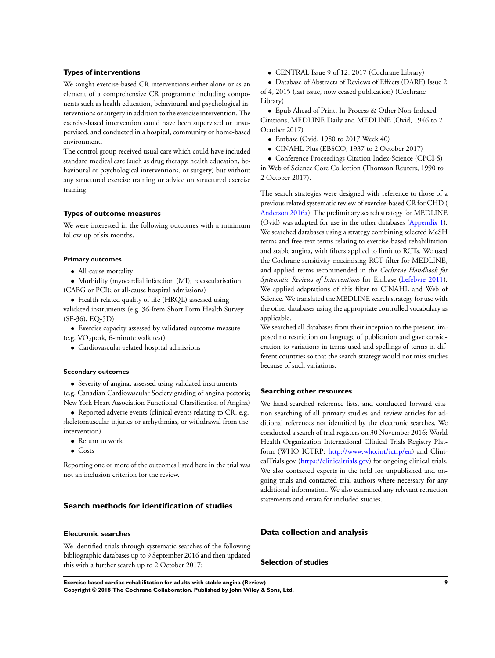#### **Types of interventions**

We sought exercise-based CR interventions either alone or as an element of a comprehensive CR programme including components such as health education, behavioural and psychological interventions or surgery in addition to the exercise intervention. The exercise-based intervention could have been supervised or unsupervised, and conducted in a hospital, community or home-based environment.

The control group received usual care which could have included standard medical care (such as drug therapy, health education, behavioural or psychological interventions, or surgery) but without any structured exercise training or advice on structured exercise training.

#### **Types of outcome measures**

We were interested in the following outcomes with a minimum follow-up of six months.

#### **Primary outcomes**

• All-cause mortality

• Morbidity (myocardial infarction (MI); revascularisation (CABG or PCI); or all-cause hospital admissions)

• Health-related quality of life (HRQL) assessed using

validated instruments (e.g. 36-Item Short Form Health Survey (SF-36), EQ-5D)

• Exercise capacity assessed by validated outcome measure

(e.g. VO2peak, 6-minute walk test)

• Cardiovascular-related hospital admissions

#### **Secondary outcomes**

• Severity of angina, assessed using validated instruments

(e.g. Canadian Cardiovascular Society grading of angina pectoris; New York Heart Association Functional Classification of Angina)

• Reported adverse events (clinical events relating to CR, e.g. skeletomuscular injuries or arrhythmias, or withdrawal from the intervention)

- Return to work
- Costs

Reporting one or more of the outcomes listed here in the trial was not an inclusion criterion for the review.

#### **Search methods for identification of studies**

### **Electronic searches**

We identified trials through systematic searches of the following bibliographic databases up to 9 September 2016 and then updated this with a further search up to 2 October 2017:

• CENTRAL Issue 9 of 12, 2017 (Cochrane Library)

• Database of Abstracts of Reviews of Effects (DARE) Issue 2 of 4, 2015 (last issue, now ceased publication) (Cochrane Library)

• Epub Ahead of Print, In-Process & Other Non-Indexed Citations, MEDLINE Daily and MEDLINE (Ovid, 1946 to 2 October 2017)

- Embase (Ovid, 1980 to 2017 Week 40)
- CINAHL Plus (EBSCO, 1937 to 2 October 2017)
- Conference Proceedings Citation Index-Science (CPCI-S)

in Web of Science Core Collection (Thomson Reuters, 1990 to 2 October 2017).

The search strategies were designed with reference to those of a previous related systematic review of exercise-based CR for CHD ( [Anderson 2016a\)](#page-21-0). The preliminary search strategy for MEDLINE (Ovid) was adapted for use in the other databases [\(Appendix 1](#page-46-0)). We searched databases using a strategy combining selected MeSH terms and free-text terms relating to exercise-based rehabilitation and stable angina, with filters applied to limit to RCTs. We used the Cochrane sensitivity-maximising RCT filter for MEDLINE, and applied terms recommended in the *Cochrane Handbook for Systematic Reviews of Interventions* for Embase [\(Lefebvre 2011](#page-21-0)). We applied adaptations of this filter to CINAHL and Web of Science. We translated the MEDLINE search strategy for use with the other databases using the appropriate controlled vocabulary as applicable.

We searched all databases from their inception to the present, imposed no restriction on language of publication and gave consideration to variations in terms used and spellings of terms in different countries so that the search strategy would not miss studies because of such variations.

#### **Searching other resources**

We hand-searched reference lists, and conducted forward citation searching of all primary studies and review articles for additional references not identified by the electronic searches. We conducted a search of trial registers on 30 November 2016: World Health Organization International Clinical Trials Registry Platform (WHO ICTRP; <http://www.who.int/ictrp/en>) and ClinicalTrials.gov [\(https://clinicaltrials.gov](https://clinicaltrials.gov)) for ongoing clinical trials. We also contacted experts in the field for unpublished and ongoing trials and contacted trial authors where necessary for any additional information. We also examined any relevant retraction statements and errata for included studies.

#### **Data collection and analysis**

### **Selection of studies**

**Exercise-based cardiac rehabilitation for adults with stable angina (Review) 9 Copyright © 2018 The Cochrane Collaboration. Published by John Wiley & Sons, Ltd.**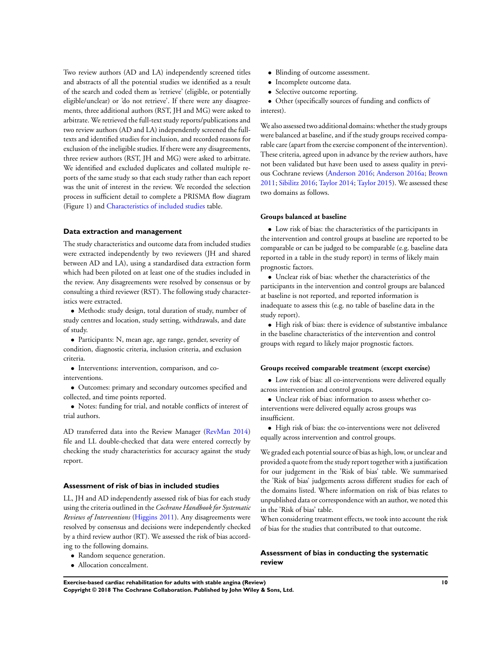Two review authors (AD and LA) independently screened titles and abstracts of all the potential studies we identified as a result of the search and coded them as 'retrieve' (eligible, or potentially eligible/unclear) or 'do not retrieve'. If there were any disagreements, three additional authors (RST, JH and MG) were asked to arbitrate. We retrieved the full-text study reports/publications and two review authors (AD and LA) independently screened the fulltexts and identified studies for inclusion, and recorded reasons for exclusion of the ineligible studies. If there were any disagreements, three review authors (RST, JH and MG) were asked to arbitrate. We identified and excluded duplicates and collated multiple reports of the same study so that each study rather than each report was the unit of interest in the review. We recorded the selection process in sufficient detail to complete a PRISMA flow diagram (Figure 1) and [Characteristics of included studies](#page-25-0) table.

#### **Data extraction and management**

The study characteristics and outcome data from included studies were extracted independently by two reviewers (JH and shared between AD and LA), using a standardised data extraction form which had been piloted on at least one of the studies included in the review. Any disagreements were resolved by consensus or by consulting a third reviewer (RST). The following study characteristics were extracted.

• Methods: study design, total duration of study, number of study centres and location, study setting, withdrawals, and date of study.

• Participants: N, mean age, age range, gender, severity of condition, diagnostic criteria, inclusion criteria, and exclusion criteria.

• Interventions: intervention, comparison, and cointerventions.

• Outcomes: primary and secondary outcomes specified and collected, and time points reported.

• Notes: funding for trial, and notable conflicts of interest of trial authors.

AD transferred data into the Review Manager [\(RevMan 2014](#page-21-0)) file and LL double-checked that data were entered correctly by checking the study characteristics for accuracy against the study report.

#### **Assessment of risk of bias in included studies**

LL, JH and AD independently assessed risk of bias for each study using the criteria outlined in the *Cochrane Handbook for Systematic Reviews of Interventions* ([Higgins 2011\)](#page-21-0). Any disagreements were resolved by consensus and decisions were independently checked by a third review author (RT). We assessed the risk of bias according to the following domains.

- Random sequence generation.
- Allocation concealment.
- Blinding of outcome assessment.
- Incomplete outcome data.
- Selective outcome reporting.

• Other (specifically sources of funding and conflicts of interest).

We also assessed two additional domains: whether the study groups were balanced at baseline, and if the study groups received comparable care (apart from the exercise component of the intervention). These criteria, agreed upon in advance by the review authors, have not been validated but have been used to assess quality in previous Cochrane reviews [\(Anderson 2016](#page-21-0); [Anderson 2016a](#page-21-0); [Brown](#page-21-0) [2011](#page-21-0); [Sibilitz 2016](#page-21-0); [Taylor 2014](#page-21-0); [Taylor 2015](#page-21-0)). We assessed these two domains as follows.

#### **Groups balanced at baseline**

• Low risk of bias: the characteristics of the participants in the intervention and control groups at baseline are reported to be comparable or can be judged to be comparable (e.g. baseline data reported in a table in the study report) in terms of likely main prognostic factors.

• Unclear risk of bias: whether the characteristics of the participants in the intervention and control groups are balanced at baseline is not reported, and reported information is inadequate to assess this (e.g. no table of baseline data in the study report).

• High risk of bias: there is evidence of substantive imbalance in the baseline characteristics of the intervention and control groups with regard to likely major prognostic factors.

#### **Groups received comparable treatment (except exercise)**

• Low risk of bias: all co-interventions were delivered equally across intervention and control groups.

• Unclear risk of bias: information to assess whether cointerventions were delivered equally across groups was insufficient.

• High risk of bias: the co-interventions were not delivered equally across intervention and control groups.

We graded each potential source of bias as high, low, or unclear and provided a quote from the study report together with a justification for our judgement in the 'Risk of bias' table. We summarised the 'Risk of bias' judgements across different studies for each of the domains listed. Where information on risk of bias relates to unpublished data or correspondence with an author, we noted this in the 'Risk of bias' table.

When considering treatment effects, we took into account the risk of bias for the studies that contributed to that outcome.

### **Assessment of bias in conducting the systematic review**

**Exercise-based cardiac rehabilitation for adults with stable angina (Review) 10**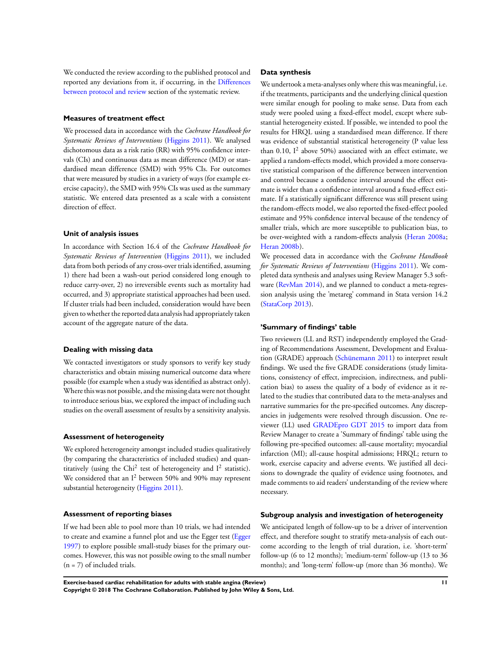We conducted the review according to the published protocol and reported any deviations from it, if occurring, in the [Differences](#page-52-0) [between protocol and review](#page-52-0) section of the systematic review.

#### **Measures of treatment effect**

We processed data in accordance with the *Cochrane Handbook for Systematic Reviews of Interventions* ([Higgins 2011](#page-21-0)). We analysed dichotomous data as a risk ratio (RR) with 95% confidence intervals (CIs) and continuous data as mean difference (MD) or standardised mean difference (SMD) with 95% CIs. For outcomes that were measured by studies in a variety of ways (for example exercise capacity), the SMD with 95% CIs was used as the summary statistic. We entered data presented as a scale with a consistent direction of effect.

#### **Unit of analysis issues**

In accordance with Section 16.4 of the *Cochrane Handbook for Systematic Reviews of Intervention* [\(Higgins 2011](#page-21-0)), we included data from both periods of any cross-over trials identified, assuming 1) there had been a wash-out period considered long enough to reduce carry-over, 2) no irreversible events such as mortality had occurred, and 3) appropriate statistical approaches had been used. If cluster trials had been included, consideration would have been given to whether the reported data analysis had appropriately taken account of the aggregate nature of the data.

#### **Dealing with missing data**

We contacted investigators or study sponsors to verify key study characteristics and obtain missing numerical outcome data where possible (for example when a study was identified as abstract only). Where this was not possible, and the missing data were not thought to introduce serious bias, we explored the impact of including such studies on the overall assessment of results by a sensitivity analysis.

#### **Assessment of heterogeneity**

We explored heterogeneity amongst included studies qualitatively (by comparing the characteristics of included studies) and quantitatively (using the Chi<sup>2</sup> test of heterogeneity and  $I^2$  statistic). We considered that an  $I^2$  between 50% and 90% may represent substantial heterogeneity [\(Higgins 2011\)](#page-21-0).

#### **Assessment of reporting biases**

If we had been able to pool more than 10 trials, we had intended to create and examine a funnel plot and use the Egger test [\(Egger](#page-21-0) [1997](#page-21-0)) to explore possible small-study biases for the primary outcomes. However, this was not possible owing to the small number  $(n = 7)$  of included trials.

#### **Data synthesis**

We undertook a meta-analyses only where this was meaningful, i.e. if the treatments, participants and the underlying clinical question were similar enough for pooling to make sense. Data from each study were pooled using a fixed-effect model, except where substantial heterogeneity existed. If possible, we intended to pool the results for HRQL using a standardised mean difference. If there was evidence of substantial statistical heterogeneity (P value less than 0.10,  $I^2$  above 50%) associated with an effect estimate, we applied a random-effects model, which provided a more conservative statistical comparison of the difference between intervention and control because a confidence interval around the effect estimate is wider than a confidence interval around a fixed-effect estimate. If a statistically significant difference was still present using the random-effects model, we also reported the fixed-effect pooled estimate and 95% confidence interval because of the tendency of smaller trials, which are more susceptible to publication bias, to be over-weighted with a random-effects analysis [\(Heran 2008a;](#page-21-0) [Heran 2008b](#page-21-0)).

We processed data in accordance with the *Cochrane Handbook for Systematic Reviews of Interventions* [\(Higgins 2011\)](#page-21-0). We completed data synthesis and analyses using Review Manager 5.3 software ([RevMan 2014\)](https://archie.cochrane.org/sections/documents/view?version=z1703201217503982580149108272952%26format=REVMAN#REF-RevMan-2014), and we planned to conduct a meta-regression analysis using the 'metareg' command in Stata version 14.2 [\(StataCorp 2013\)](#page-21-0).

#### **'Summary of findings' table**

Two reviewers (LL and RST) independently employed the Grading of Recommendations Assessment, Development and Evaluation (GRADE) approach ([Schünemann 2011\)](#page-21-0) to interpret result findings. We used the five GRADE considerations (study limitations, consistency of effect, imprecision, indirectness, and publication bias) to assess the quality of a body of evidence as it related to the studies that contributed data to the meta-analyses and narrative summaries for the pre-specified outcomes. Any discrepancies in judgements were resolved through discussion. One reviewer (LL) used [GRADEpro GDT 2015](#page-21-0) to import data from Review Manager to create a 'Summary of findings' table using the following pre-specified outcomes: all-cause mortality; myocardial infarction (MI); all-cause hospital admissions; HRQL; return to work, exercise capacity and adverse events. We justified all decisions to downgrade the quality of evidence using footnotes, and made comments to aid readers' understanding of the review where necessary.

#### **Subgroup analysis and investigation of heterogeneity**

We anticipated length of follow-up to be a driver of intervention effect, and therefore sought to stratify meta-analysis of each outcome according to the length of trial duration, i.e. 'short-term' follow-up (6 to 12 months); 'medium-term' follow-up (13 to 36 months); and 'long-term' follow-up (more than 36 months). We

**Exercise-based cardiac rehabilitation for adults with stable angina (Review) 11 Copyright © 2018 The Cochrane Collaboration. Published by John Wiley & Sons, Ltd.**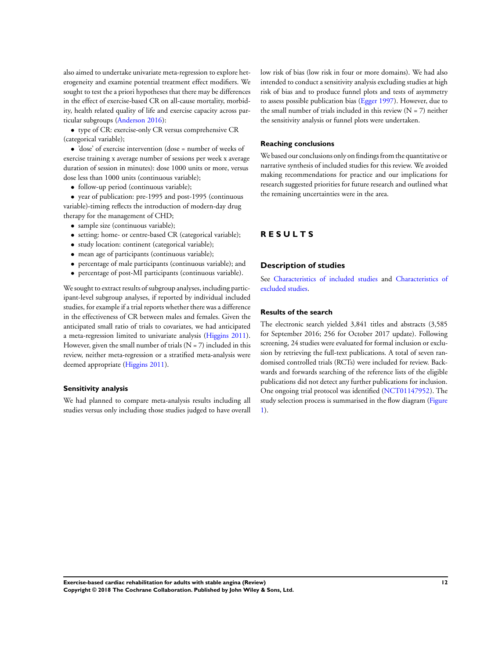also aimed to undertake univariate meta-regression to explore heterogeneity and examine potential treatment effect modifiers. We sought to test the a priori hypotheses that there may be differences in the effect of exercise-based CR on all-cause mortality, morbidity, health related quality of life and exercise capacity across particular subgroups [\(Anderson 2016\)](#page-21-0):

• type of CR: exercise-only CR versus comprehensive CR (categorical variable);

• 'dose' of exercise intervention (dose = number of weeks of exercise training x average number of sessions per week x average duration of session in minutes): dose 1000 units or more, versus dose less than 1000 units (continuous variable);

• follow-up period (continuous variable);

• year of publication: pre-1995 and post-1995 (continuous variable)-timing reflects the introduction of modern-day drug therapy for the management of CHD;

- sample size (continuous variable);
- setting: home- or centre-based CR (categorical variable);
- study location: continent (categorical variable);
- mean age of participants (continuous variable);
- percentage of male participants (continuous variable); and
- percentage of post-MI participants (continuous variable).

We sought to extract results of subgroup analyses, including participant-level subgroup analyses, if reported by individual included studies, for example if a trial reports whether there was a difference in the effectiveness of CR between males and females. Given the anticipated small ratio of trials to covariates, we had anticipated a meta-regression limited to univariate analysis ([Higgins 2011](#page-21-0)). However, given the small number of trials  $(N = 7)$  included in this review, neither meta-regression or a stratified meta-analysis were deemed appropriate [\(Higgins 2011](#page-21-0)).

#### **Sensitivity analysis**

We had planned to compare meta-analysis results including all studies versus only including those studies judged to have overall low risk of bias (low risk in four or more domains). We had also intended to conduct a sensitivity analysis excluding studies at high risk of bias and to produce funnel plots and tests of asymmetry to assess possible publication bias ([Egger 1997\)](#page-21-0). However, due to the small number of trials included in this review  $(N = 7)$  neither the sensitivity analysis or funnel plots were undertaken.

#### **Reaching conclusions**

We based our conclusions only on findings from the quantitative or narrative synthesis of included studies for this review. We avoided making recommendations for practice and our implications for research suggested priorities for future research and outlined what the remaining uncertainties were in the area.

### **R E S U L T S**

#### **Description of studies**

See [Characteristics of included studies](#page-25-0) and [Characteristics of](#page-39-0) [excluded studies.](#page-39-0)

#### **Results of the search**

The electronic search yielded 3,841 titles and abstracts (3,585 for September 2016; 256 for October 2017 update). Following screening, 24 studies were evaluated for formal inclusion or exclusion by retrieving the full-text publications. A total of seven randomised controlled trials (RCTs) were included for review. Backwards and forwards searching of the reference lists of the eligible publications did not detect any further publications for inclusion. One ongoing trial protocol was identified ([NCT01147952\)](#page-21-0). The study selection process is summarised in the flow diagram [\(Figure](#page-14-0) [1\)](#page-14-0).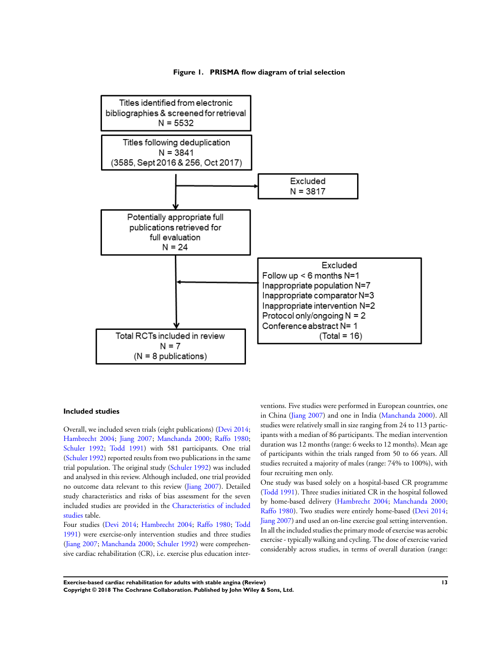#### **Figure 1. PRISMA flow diagram of trial selection**

<span id="page-14-0"></span>

#### **Included studies**

Overall, we included seven trials (eight publications) [\(Devi 2014;](#page-21-0) [Hambrecht 2004;](#page-21-0) [Jiang 2007](#page-21-0); [Manchanda 2000](#page-21-0); [Raffo 1980;](#page-21-0) [Schuler 1992;](#page-21-0) [Todd 1991](#page-21-0)) with 581 participants. One trial [\(Schuler 1992\)](#page-21-0) reported results from two publications in the same trial population. The original study ([Schuler 1992\)](#page-21-0) was included and analysed in this review. Although included, one trial provided no outcome data relevant to this review ([Jiang 2007](#page-21-0)). Detailed study characteristics and risks of bias assessment for the seven included studies are provided in the [Characteristics of included](#page-25-0) [studies](#page-25-0) table.

Four studies ([Devi 2014](#page-21-0); [Hambrecht 2004](#page-21-0); [Raffo 1980](#page-21-0); [Todd](#page-21-0) [1991](#page-21-0)) were exercise-only intervention studies and three studies [\(Jiang 2007](#page-21-0); [Manchanda 2000;](#page-21-0) [Schuler 1992](#page-21-0)) were comprehensive cardiac rehabilitation (CR), i.e. exercise plus education interventions. Five studies were performed in European countries, one in China [\(Jiang 2007](#page-21-0)) and one in India [\(Manchanda 2000](#page-21-0)). All studies were relatively small in size ranging from 24 to 113 participants with a median of 86 participants. The median intervention duration was 12 months (range: 6 weeks to 12 months). Mean age of participants within the trials ranged from 50 to 66 years. All studies recruited a majority of males (range: 74% to 100%), with four recruiting men only.

One study was based solely on a hospital-based CR programme [\(Todd 1991\)](#page-21-0). Three studies initiated CR in the hospital followed by home-based delivery ([Hambrecht 2004;](#page-21-0) [Manchanda 2000;](#page-21-0) [Raffo 1980\)](#page-21-0). Two studies were entirely home-based ([Devi 2014;](#page-21-0) [Jiang 2007\)](#page-21-0) and used an on-line exercise goal setting intervention. In all the included studies the primary mode of exercise was aerobic exercise - typically walking and cycling. The dose of exercise varied considerably across studies, in terms of overall duration (range: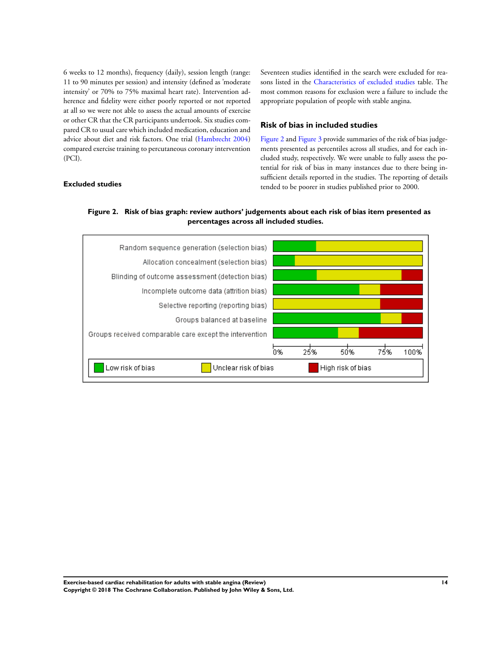6 weeks to 12 months), frequency (daily), session length (range: 11 to 90 minutes per session) and intensity (defined as 'moderate intensity' or 70% to 75% maximal heart rate). Intervention adherence and fidelity were either poorly reported or not reported at all so we were not able to assess the actual amounts of exercise or other CR that the CR participants undertook. Six studies compared CR to usual care which included medication, education and advice about diet and risk factors. One trial [\(Hambrecht 2004](#page-21-0)) compared exercise training to percutaneous coronary intervention (PCI).

**Excluded studies**

Seventeen studies identified in the search were excluded for reasons listed in the [Characteristics of excluded studies](#page-39-0) table. The most common reasons for exclusion were a failure to include the appropriate population of people with stable angina.

### **Risk of bias in included studies**

Figure 2 and [Figure 3](#page-16-0) provide summaries of the risk of bias judgements presented as percentiles across all studies, and for each included study, respectively. We were unable to fully assess the potential for risk of bias in many instances due to there being insufficient details reported in the studies. The reporting of details tended to be poorer in studies published prior to 2000.



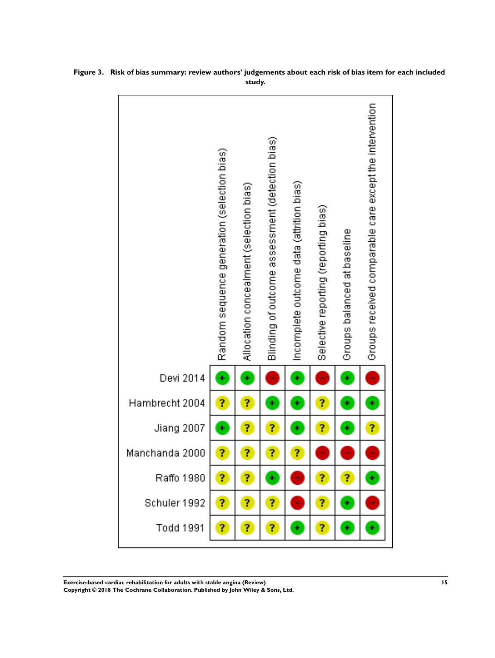|                  | Random sequence generation (selection bias) | Allocation concealment (selection bias) | Blinding of outcome assessment (detection bias) | (Incomplete outcome data (attrition bias | Selective reporting (reporting bias) | Groups balanced at baseline | Groups received comparable care except the intervention |
|------------------|---------------------------------------------|-----------------------------------------|-------------------------------------------------|------------------------------------------|--------------------------------------|-----------------------------|---------------------------------------------------------|
| Devi 2014        | ÷                                           | ÷                                       | ÷                                               | ÷                                        | ÷                                    | ÷                           | F                                                       |
| Hambrecht 2004   | ?                                           | Ĩ,                                      | ÷                                               | ٠                                        | ?                                    | ÷                           | ÷                                                       |
| Jiang 2007       | ٠                                           | ?                                       | ?                                               | ٠                                        | ?                                    | ÷                           | ?                                                       |
| Manchanda 2000   | ?                                           | ?                                       | ?                                               | ?                                        | ÷                                    |                             | ÷                                                       |
| Raffo 1980       | ?                                           | ?                                       | ٠                                               |                                          | ?                                    | ?                           | ÷                                                       |
| Schuler 1992     | ?                                           | ?                                       | ?                                               |                                          | ?                                    | ٠                           |                                                         |
| <b>Todd 1991</b> | ?                                           | ?                                       | ?                                               |                                          | ?                                    | ÷                           | ÷                                                       |

<span id="page-16-0"></span>**Figure 3. Risk of bias summary: review authors' judgements about each risk of bias item for each included study.**

**Exercise-based cardiac rehabilitation for adults with stable angina (Review) 15 Copyright © 2018 The Cochrane Collaboration. Published by John Wiley & Sons, Ltd.**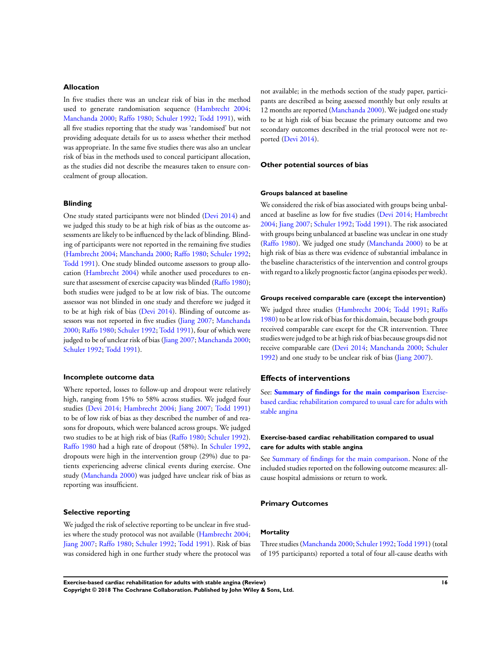#### **Allocation**

In five studies there was an unclear risk of bias in the method used to generate randomisation sequence [\(Hambrecht 2004;](#page-21-0) [Manchanda 2000](#page-21-0); [Raffo 1980;](#page-21-0) [Schuler 1992](#page-21-0); [Todd 1991\)](#page-21-0), with all five studies reporting that the study was 'randomised' but not providing adequate details for us to assess whether their method was appropriate. In the same five studies there was also an unclear risk of bias in the methods used to conceal participant allocation, as the studies did not describe the measures taken to ensure concealment of group allocation.

#### **Blinding**

One study stated participants were not blinded ([Devi 2014\)](#page-21-0) and we judged this study to be at high risk of bias as the outcome assessments are likely to be influenced by the lack of blinding. Blinding of participants were not reported in the remaining five studies [\(Hambrecht 2004](#page-21-0); [Manchanda 2000;](#page-21-0) [Raffo 1980](#page-21-0); [Schuler 1992;](#page-21-0) [Todd 1991\)](#page-21-0). One study blinded outcome assessors to group allocation [\(Hambrecht 2004](#page-21-0)) while another used procedures to en-sure that assessment of exercise capacity was blinded [\(Raffo 1980](#page-21-0)); both studies were judged to be at low risk of bias. The outcome assessor was not blinded in one study and therefore we judged it to be at high risk of bias ([Devi 2014](#page-21-0)). Blinding of outcome assessors was not reported in five studies ([Jiang 2007](#page-21-0); [Manchanda](#page-21-0) [2000](#page-21-0); [Raffo 1980](#page-21-0); [Schuler 1992](#page-21-0); [Todd 1991\)](#page-21-0), four of which were judged to be of unclear risk of bias ([Jiang 2007](#page-21-0); [Manchanda 2000;](#page-21-0) [Schuler 1992;](#page-21-0) [Todd 1991\)](#page-21-0).

#### **Incomplete outcome data**

Where reported, losses to follow-up and dropout were relatively high, ranging from 15% to 58% across studies. We judged four studies ([Devi 2014;](#page-21-0) [Hambrecht 2004;](#page-21-0) [Jiang 2007;](#page-21-0) [Todd 1991](#page-21-0)) to be of low risk of bias as they described the number of and reasons for dropouts, which were balanced across groups. We judged two studies to be at high risk of bias [\(Raffo 1980](#page-21-0); [Schuler 1992](#page-21-0)). [Raffo 1980](#page-21-0) had a high rate of dropout (58%). In [Schuler 1992,](#page-21-0) dropouts were high in the intervention group (29%) due to patients experiencing adverse clinical events during exercise. One study [\(Manchanda 2000](#page-21-0)) was judged have unclear risk of bias as reporting was insufficient.

#### **Selective reporting**

We judged the risk of selective reporting to be unclear in five studies where the study protocol was not available ([Hambrecht 2004;](#page-21-0) [Jiang 2007](#page-21-0); [Raffo 1980](#page-21-0); [Schuler 1992;](#page-21-0) [Todd 1991](#page-21-0)). Risk of bias was considered high in one further study where the protocol was

not available; in the methods section of the study paper, participants are described as being assessed monthly but only results at 12 months are reported [\(Manchanda 2000](#page-21-0)). We judged one study to be at high risk of bias because the primary outcome and two secondary outcomes described in the trial protocol were not reported [\(Devi 2014](#page-21-0)).

#### **Other potential sources of bias**

#### **Groups balanced at baseline**

We considered the risk of bias associated with groups being unbalanced at baseline as low for five studies ([Devi 2014](#page-21-0); [Hambrecht](#page-21-0) [2004](#page-21-0); [Jiang 2007](#page-21-0); [Schuler 1992](#page-21-0); [Todd 1991](#page-21-0)). The risk associated with groups being unbalanced at baseline was unclear in one study [\(Raffo 1980\)](#page-21-0). We judged one study ([Manchanda 2000\)](#page-21-0) to be at high risk of bias as there was evidence of substantial imbalance in the baseline characteristics of the intervention and control groups with regard to a likely prognostic factor (angina episodes perweek).

#### **Groups received comparable care (except the intervention)**

We judged three studies [\(Hambrecht 2004;](#page-21-0) [Todd 1991](#page-21-0); [Raffo](#page-21-0) [1980](#page-21-0)) to be at low risk of bias for this domain, because both groups received comparable care except for the CR intervention. Three studies were judged to be at high risk of bias because groups did not receive comparable care ([Devi 2014;](#page-21-0) [Manchanda 2000](#page-21-0); [Schuler](#page-21-0) [1992](#page-21-0)) and one study to be unclear risk of bias [\(Jiang 2007](#page-21-0)).

### **Effects of interventions**

See: **[Summary of findings for the main comparison](#page-5-0)** [Exercise](#page-5-0)[based cardiac rehabilitation compared to usual care for adults](#page-5-0) [with](#page-5-0) [stable angina](#page-5-0)

#### **Exercise-based cardiac rehabilitation compared to usual care for adults with stable angina**

See [Summary of findings for the main comparison.](#page-5-0) None of the included studies reported on the following outcome measures: allcause hospital admissions or return to work.

#### **Primary Outcomes**

#### **Mortality**

Three studies [\(Manchanda 2000](#page-21-0); Schuler 1992; Todd 1991) (total of 195 participants) reported a total of four all-cause deaths with

**Exercise-based cardiac rehabilitation for adults with stable angina (Review) 16 Copyright © 2018 The Cochrane Collaboration. Published by John Wiley & Sons, Ltd.**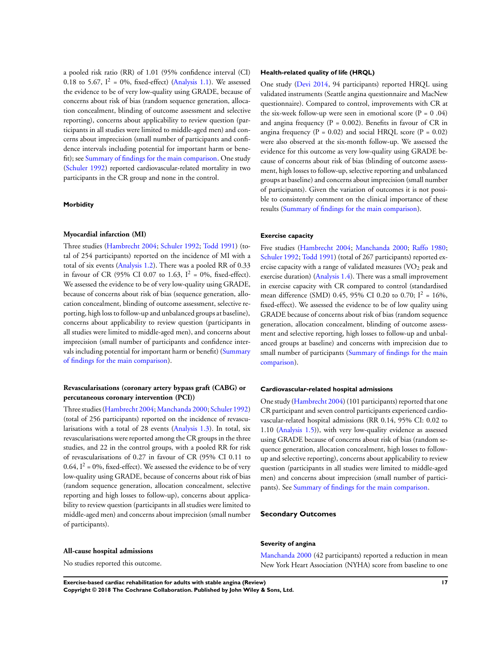a pooled risk ratio (RR) of 1.01 (95% confidence interval (CI) 0.18 to 5.67,  $I^2 = 0\%$ , fixed-effect) ([Analysis 1.1](#page-42-0)). We assessed the evidence to be of very low-quality using GRADE, because of concerns about risk of bias (random sequence generation, allocation concealment, blinding of outcome assessment and selective reporting), concerns about applicability to review question (participants in all studies were limited to middle-aged men) and concerns about imprecision (small number of participants and confidence intervals including potential for important harm or benefit); see [Summary of findings for the main comparison](#page-5-0). One study [\(Schuler 1992](#page-21-0)) reported cardiovascular-related mortality in two participants in the CR group and none in the control.

#### **Morbidity**

#### **Myocardial infarction (MI)**

Three studies [\(Hambrecht 2004](#page-21-0); [Schuler 1992;](#page-21-0) [Todd 1991\)](#page-21-0) (total of 254 participants) reported on the incidence of MI with a total of six events [\(Analysis 1.2](#page-43-0)). There was a pooled RR of 0.33 in favour of CR (95% CI 0.07 to 1.63,  $I^2 = 0$ %, fixed-effect). We assessed the evidence to be of very low-quality using GRADE, because of concerns about risk of bias (sequence generation, allocation concealment, blinding of outcome assessment, selective reporting, high loss to follow-up and unbalanced groups at baseline), concerns about applicability to review question (participants in all studies were limited to middle-aged men), and concerns about imprecision (small number of participants and confidence intervals including potential for important harm or benefit) [\(Summary](#page-5-0) [of findings for the main comparison\)](#page-5-0).

### **Revascularisations (coronary artery bypass graft (CABG) or percutaneous coronary intervention (PCI))**

Three studies ([Hambrecht 2004](#page-21-0); [Manchanda 2000](#page-21-0); [Schuler 1992](#page-21-0)) (total of 256 participants) reported on the incidence of revascularisations with a total of 28 events ([Analysis 1.3\)](#page-44-0). In total, six revascularisations were reported among the CR groups in the three studies, and 22 in the control groups, with a pooled RR for risk of revascularisations of 0.27 in favour of CR (95% CI 0.11 to 0.64,  $I^2$  = 0%, fixed-effect). We assessed the evidence to be of very low-quality using GRADE, because of concerns about risk of bias (random sequence generation, allocation concealment, selective reporting and high losses to follow-up), concerns about applicability to review question (participants in all studies were limited to middle-aged men) and concerns about imprecision (small number of participants).

#### **All-cause hospital admissions**

No studies reported this outcome.

#### **Health-related quality of life (HRQL)**

One study ([Devi 2014,](#page-21-0) 94 participants) reported HRQL using validated instruments (Seattle angina questionnaire and MacNew questionnaire). Compared to control, improvements with CR at the six-week follow-up were seen in emotional score ( $P = 0.04$ ) and angina frequency ( $P = 0.002$ ). Benefits in favour of CR in angina frequency ( $P = 0.02$ ) and social HRQL score ( $P = 0.02$ ) were also observed at the six-month follow-up. We assessed the evidence for this outcome as very low-quality using GRADE because of concerns about risk of bias (blinding of outcome assessment, high losses to follow-up, selective reporting and unbalanced groups at baseline) and concerns about imprecision (small number of participants). Given the variation of outcomes it is not possible to consistently comment on the clinical importance of these results [\(Summary of findings for the main comparison\)](#page-5-0).

#### **Exercise capacity**

Five studies ([Hambrecht 2004;](#page-21-0) [Manchanda 2000;](#page-21-0) [Raffo 1980;](#page-21-0) [Schuler 1992](#page-21-0); [Todd 1991\)](#page-21-0) (total of 267 participants) reported exercise capacity with a range of validated measures (VO<sub>2</sub> peak and exercise duration) [\(Analysis 1.4](#page-45-0)). There was a small improvement in exercise capacity with CR compared to control (standardised mean difference (SMD) 0.45, 95% CI 0.20 to 0.70;  $I^2 = 16\%,$ fixed-effect). We assessed the evidence to be of low quality using GRADE because of concerns about risk of bias (random sequence generation, allocation concealment, blinding of outcome assessment and selective reporting, high losses to follow-up and unbalanced groups at baseline) and concerns with imprecision due to small number of participants ([Summary of findings for the main](#page-5-0) [comparison\)](#page-5-0).

#### **Cardiovascular-related hospital admissions**

One study [\(Hambrecht 2004](#page-21-0)) (101 participants) reported that one CR participant and seven control participants experienced cardiovascular-related hospital admissions (RR 0.14, 95% CI: 0.02 to 1.10 [\(Analysis 1.5\)](#page-46-0)), with very low-quality evidence as assessed using GRADE because of concerns about risk of bias (random sequence generation, allocation concealment, high losses to followup and selective reporting), concerns about applicability to review question (participants in all studies were limited to middle-aged men) and concerns about imprecision (small number of participants). See [Summary of findings for the main comparison](#page-5-0).

#### **Secondary Outcomes**

#### **Severity of angina**

[Manchanda 2000](#page-21-0) (42 participants) reported a reduction in mean New York Heart Association (NYHA) score from baseline to one

**Exercise-based cardiac rehabilitation for adults with stable angina (Review) 17**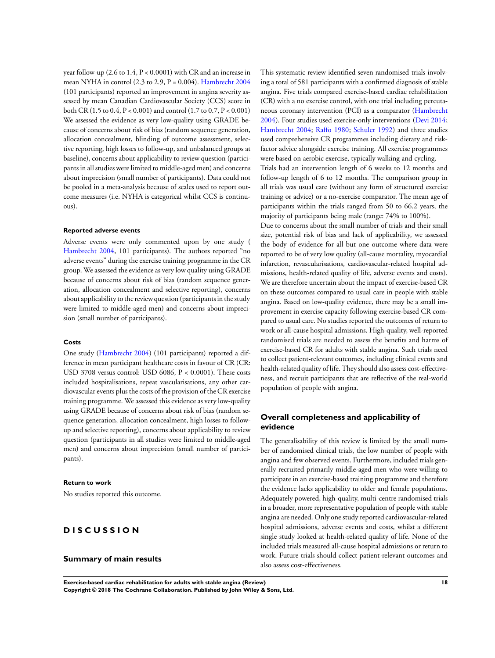year follow-up (2.6 to 1.4, P < 0.0001) with CR and an increase in mean NYHA in control  $(2.3 \text{ to } 2.9, P = 0.004)$ . [Hambrecht 2004](#page-21-0) (101 participants) reported an improvement in angina severity assessed by mean Canadian Cardiovascular Society (CCS) score in both CR (1.5 to 0.4, P < 0.001) and control (1.7 to 0.7, P < 0.001) We assessed the evidence as very low-quality using GRADE because of concerns about risk of bias (random sequence generation, allocation concealment, blinding of outcome assessment, selective reporting, high losses to follow-up, and unbalanced groups at baseline), concerns about applicability to review question (participants in all studies were limited to middle-aged men) and concerns about imprecision (small number of participants). Data could not be pooled in a meta-analysis because of scales used to report outcome measures (i.e. NYHA is categorical whilst CCS is continuous).

#### **Reported adverse events**

Adverse events were only commented upon by one study ( [Hambrecht 2004](#page-21-0), 101 participants). The authors reported "no adverse events" during the exercise training programme in the CR group. We assessed the evidence as very low quality using GRADE because of concerns about risk of bias (random sequence generation, allocation concealment and selective reporting), concerns about applicability to the review question (participants in the study were limited to middle-aged men) and concerns about imprecision (small number of participants).

#### **Costs**

One study ([Hambrecht 2004](#page-21-0)) (101 participants) reported a difference in mean participant healthcare costs in favour of CR (CR: USD 3708 versus control: USD 6086, P < 0.0001). These costs included hospitalisations, repeat vascularisations, any other cardiovascular events plus the costs of the provision of the CR exercise training programme. We assessed this evidence as very low-quality using GRADE because of concerns about risk of bias (random sequence generation, allocation concealment, high losses to followup and selective reporting), concerns about applicability to review question (participants in all studies were limited to middle-aged men) and concerns about imprecision (small number of participants).

#### **Return to work**

No studies reported this outcome.

### **D I S C U S S I O N**

### **Summary of main results**

This systematic review identified seven randomised trials involving a total of 581 participants with a confirmed diagnosis of stable angina. Five trials compared exercise-based cardiac rehabilitation (CR) with a no exercise control, with one trial including percutaneous coronary intervention (PCI) as a comparator [\(Hambrecht](#page-21-0) [2004](#page-21-0)). Four studies used exercise-only interventions ([Devi 2014;](#page-21-0) [Hambrecht 2004](#page-21-0); [Raffo 1980;](#page-21-0) [Schuler 1992](#page-21-0)) and three studies used comprehensive CR programmes including dietary and riskfactor advice alongside exercise training. All exercise programmes were based on aerobic exercise, typically walking and cycling.

Trials had an intervention length of 6 weeks to 12 months and follow-up length of 6 to 12 months. The comparison group in all trials was usual care (without any form of structured exercise training or advice) or a no-exercise comparator. The mean age of participants within the trials ranged from 50 to 66.2 years, the majority of participants being male (range: 74% to 100%).

Due to concerns about the small number of trials and their small size, potential risk of bias and lack of applicability, we assessed the body of evidence for all but one outcome where data were reported to be of very low quality (all-cause mortality, myocardial infarction, revascularisations, cardiovascular-related hospital admissions, health-related quality of life, adverse events and costs). We are therefore uncertain about the impact of exercise-based CR on these outcomes compared to usual care in people with stable angina. Based on low-quality evidence, there may be a small improvement in exercise capacity following exercise-based CR compared to usual care. No studies reported the outcomes of return to work or all-cause hospital admissions. High-quality, well-reported randomised trials are needed to assess the benefits and harms of exercise-based CR for adults with stable angina. Such trials need to collect patient-relevant outcomes, including clinical events and health-related quality of life. They should also assess cost-effectiveness, and recruit participants that are reflective of the real-world population of people with angina.

### **Overall completeness and applicability of evidence**

The generalisability of this review is limited by the small number of randomised clinical trials, the low number of people with angina and few observed events. Furthermore, included trials generally recruited primarily middle-aged men who were willing to participate in an exercise-based training programme and therefore the evidence lacks applicability to older and female populations. Adequately powered, high-quality, multi-centre randomised trials in a broader, more representative population of people with stable angina are needed. Only one study reported cardiovascular-related hospital admissions, adverse events and costs, whilst a different single study looked at health-related quality of life. None of the included trials measured all-cause hospital admissions or return to work. Future trials should collect patient-relevant outcomes and also assess cost-effectiveness.

**Exercise-based cardiac rehabilitation for adults with stable angina (Review) 18**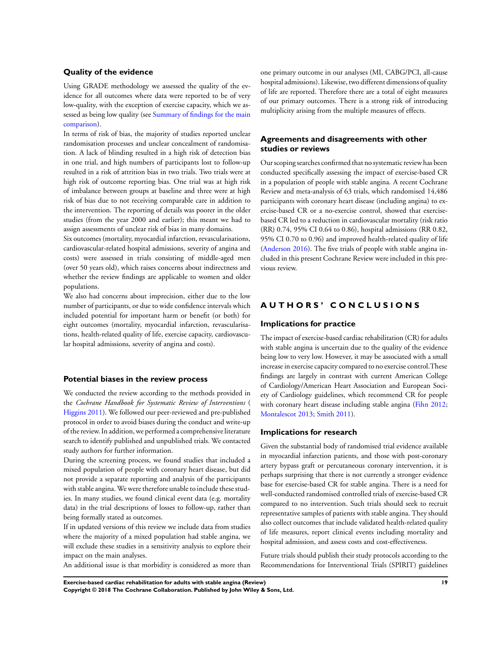### **Quality of the evidence**

Using GRADE methodology we assessed the quality of the evidence for all outcomes where data were reported to be of very low-quality, with the exception of exercise capacity, which we assessed as being low quality (see [Summary of findings for the main](#page-5-0) [comparison\)](#page-5-0).

In terms of risk of bias, the majority of studies reported unclear randomisation processes and unclear concealment of randomisation. A lack of blinding resulted in a high risk of detection bias in one trial, and high numbers of participants lost to follow-up resulted in a risk of attrition bias in two trials. Two trials were at high risk of outcome reporting bias. One trial was at high risk of imbalance between groups at baseline and three were at high risk of bias due to not receiving comparable care in addition to the intervention. The reporting of details was poorer in the older studies (from the year 2000 and earlier); this meant we had to assign assessments of unclear risk of bias in many domains.

Six outcomes (mortality, myocardial infarction, revascularisations, cardiovascular-related hospital admissions, severity of angina and costs) were assessed in trials consisting of middle-aged men (over 50 years old), which raises concerns about indirectness and whether the review findings are applicable to women and older populations.

We also had concerns about imprecision, either due to the low number of participants, or due to wide confidence intervals which included potential for important harm or benefit (or both) for eight outcomes (mortality, myocardial infarction, revascularisations, health-related quality of life, exercise capacity, cardiovascular hospital admissions, severity of angina and costs).

#### **Potential biases in the review process**

We conducted the review according to the methods provided in the *Cochrane Handbook for Systematic Review of Interventions* ( [Higgins 2011](#page-21-0)). We followed our peer-reviewed and pre-published protocol in order to avoid biases during the conduct and write-up of the review. In addition, we performed a comprehensive literature search to identify published and unpublished trials. We contacted study authors for further information.

During the screening process, we found studies that included a mixed population of people with coronary heart disease, but did not provide a separate reporting and analysis of the participants with stable angina. We were therefore unable to include these studies. In many studies, we found clinical event data (e.g. mortality data) in the trial descriptions of losses to follow-up, rather than being formally stated as outcomes.

If in updated versions of this review we include data from studies where the majority of a mixed population had stable angina, we will exclude these studies in a sensitivity analysis to explore their impact on the main analyses.

An additional issue is that morbidity is considered as more than

one primary outcome in our analyses (MI, CABG/PCI, all-cause hospital admissions). Likewise, two different dimensions of quality of life are reported. Therefore there are a total of eight measures of our primary outcomes. There is a strong risk of introducing multiplicity arising from the multiple measures of effects.

### **Agreements and disagreements with other studies or reviews**

Our scoping searches confirmed that no systematic review has been conducted specifically assessing the impact of exercise-based CR in a population of people with stable angina. A recent Cochrane Review and meta-analysis of 63 trials, which randomised 14,486 participants with coronary heart disease (including angina) to exercise-based CR or a no-exercise control, showed that exercisebased CR led to a reduction in cardiovascular mortality (risk ratio (RR) 0.74, 95% CI 0.64 to 0.86), hospital admissions (RR 0.82, 95% CI 0.70 to 0.96) and improved health-related quality of life [\(Anderson 2016\)](#page-21-0). The five trials of people with stable angina included in this present Cochrane Review were included in this previous review.

### **A U T H O R S ' C O N C L U S I O N S**

#### **Implications for practice**

The impact of exercise-based cardiac rehabilitation (CR) for adults with stable angina is uncertain due to the quality of the evidence being low to very low. However, it may be associated with a small increase in exercise capacity compared to no exercise control.These findings are largely in contrast with current American College of Cardiology/American Heart Association and European Society of Cardiology guidelines, which recommend CR for people with coronary heart disease including stable angina ([Fihn 2012;](#page-21-0) [Montalescot 2013](#page-21-0); [Smith 2011](#page-21-0)).

#### **Implications for research**

Given the substantial body of randomised trial evidence available in myocardial infarction patients, and those with post-coronary artery bypass graft or percutaneous coronary intervention, it is perhaps surprising that there is not currently a stronger evidence base for exercise-based CR for stable angina. There is a need for well-conducted randomised controlled trials of exercise-based CR compared to no intervention. Such trials should seek to recruit representative samples of patients with stable angina. They should also collect outcomes that include validated health-related quality of life measures, report clinical events including mortality and hospital admission, and assess costs and cost-effectiveness.

Future trials should publish their study protocols according to the Recommendations for Interventional Trials (SPIRIT) guidelines

**Exercise-based cardiac rehabilitation for adults with stable angina (Review) 19 Copyright © 2018 The Cochrane Collaboration. Published by John Wiley & Sons, Ltd.**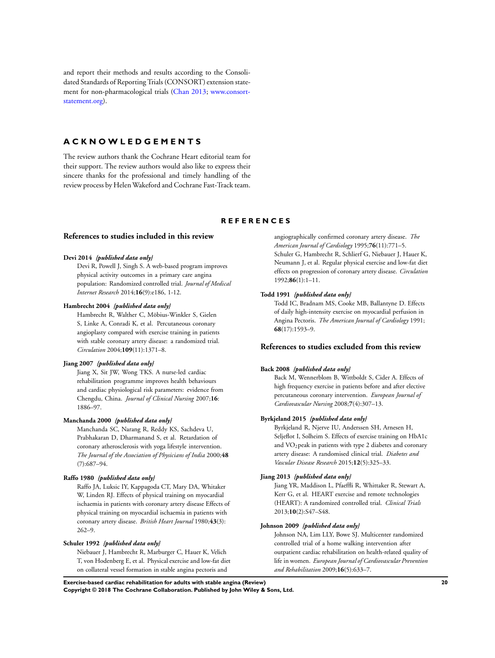<span id="page-21-0"></span>and report their methods and results according to the Consolidated Standards of Reporting Trials (CONSORT) extension statement for non-pharmacological trials (Chan 2013; [www.consort](http://www.consort-statement.org)[statement.org\)](http://www.consort-statement.org).

### **A C K N O W L E D G E M E N T S**

The review authors thank the Cochrane Heart editorial team for their support. The review authors would also like to express their sincere thanks for the professional and timely handling of the review process by HelenWakeford and Cochrane Fast-Track team.

### **R E F E R E N C E S**

### **References to studies included in this review**

#### **Devi 2014** *{published data only}*

Devi R, Powell J, Singh S. A web-based program improves physical activity outcomes in a primary care angina population: Randomized controlled trial. *Journal of Medical Internet Research* 2014;**16**(9):e186, 1-12.

#### **Hambrecht 2004** *{published data only}*

Hambrecht R, Walther C, Möbius-Winkler S, Gielen S, Linke A, Conradi K, et al. Percutaneous coronary angioplasty compared with exercise training in patients with stable coronary artery disease: a randomized trial. *Circulation* 2004;**109**(11):1371–8.

#### **Jiang 2007** *{published data only}*

Jiang X, Sit JW, Wong TKS. A nurse-led cardiac rehabilitation programme improves health behaviours and cardiac physiological risk parameters: evidence from Chengdu, China. *Journal of Clinical Nursing* 2007;**16**: 1886–97.

#### **Manchanda 2000** *{published data only}*

Manchanda SC, Narang R, Reddy KS, Sachdeva U, Prabhakaran D, Dharmanand S, et al. Retardation of coronary atherosclerosis with yoga lifestyle intervention. *The Journal of the Association of Physicians of India* 2000;**48** (7):687–94.

### **Raffo 1980** *{published data only}*

Raffo JA, Luksic IY, Kappagoda CT, Mary DA, Whitaker W, Linden RJ. Effects of physical training on myocardial ischaemia in patients with coronary artery disease Effects of physical training on myocardial ischaemia in patients with coronary artery disease. *British Heart Journal* 1980;**43**(3): 262–9.

#### **Schuler 1992** *{published data only}*

Niebauer J, Hambrecht R, Marburger C, Hauer K, Velich T, von Hodenberg E, et al. Physical exercise and low-fat diet on collateral vessel formation in stable angina pectoris and

angiographically confirmed coronary artery disease. *The American Journal of Cardiology* 1995;**76**(11):771–5. Schuler G, Hambrecht R, Schlierf G, Niebauer J, Hauer K, Neumann J, et al. Regular physical exercise and low-fat diet effects on progression of coronary artery disease. *Circulation* 1992;**86**(1):1–11.

#### **Todd 1991** *{published data only}*

Todd IC, Bradnam MS, Cooke MB, Ballantyne D. Effects of daily high-intensity exercise on myocardial perfusion in Angina Pectoris. *The American Journal of Cardiology* 1991; **68**(17):1593–9.

### **References to studies excluded from this review**

#### **Back 2008** *{published data only}*

Back M, Wennerblom B, Wittboldt S, Cider A. Effects of high frequency exercise in patients before and after elective percutaneous coronary intervention. *European Journal of Cardiovascular Nursing* 2008;**7**(4):307–13.

#### **Byrkjeland 2015** *{published data only}*

Byrkjeland R, Njerve IU, Anderssen SH, Arnesen H, Seljeflot I, Solheim S. Effects of exercise training on HbA1c and VO2peak in patients with type 2 diabetes and coronary artery disease: A randomised clinical trial. *Diabetes and Vascular Disease Research* 2015;**12**(5):325–33.

#### **Jiang 2013** *{published data only}*

Jiang YR, Maddison L, Pfaeffli R, Whittaker R, Stewart A, Kerr G, et al. HEART exercise and remote technologies (HEART): A randomized controlled trial. *Clinical Trials* 2013;**10**(2):S47–S48.

#### **Johnson 2009** *{published data only}*

Johnson NA, Lim LLY, Bowe SJ. Multicenter randomized controlled trial of a home walking intervention after outpatient cardiac rehabilitation on health-related quality of life in women. *European Journal of Cardiovascular Prevention and Rehabilitation* 2009;**16**(5):633–7.

**Exercise-based cardiac rehabilitation for adults with stable angina (Review) 20**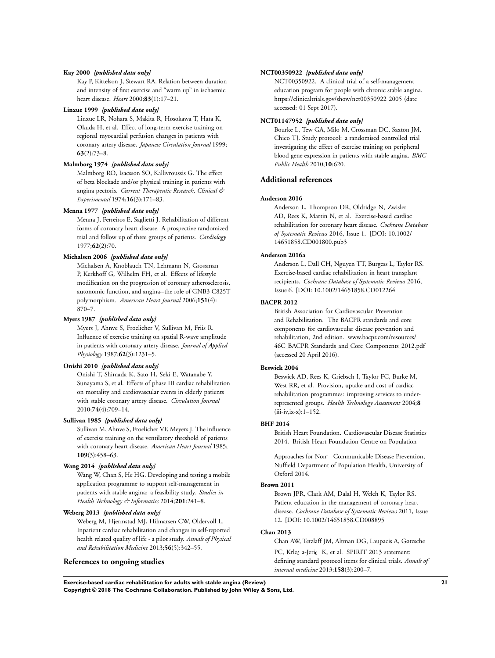#### **Kay 2000** *{published data only}*

Kay P, Kittelson J, Stewart RA. Relation between duration and intensity of first exercise and "warm up" in ischaemic heart disease. *Heart* 2000;**83**(1):17–21.

#### **Linxue 1999** *{published data only}*

Linxue LR, Nohara S, Makita R, Hosokawa T, Hata K, Okuda H, et al. Effect of long-term exercise training on regional myocardial perfusion changes in patients with coronary artery disease. *Japanese Circulation Journal* 1999; **63**(2):73–8.

#### **Malmborg 1974** *{published data only}*

Malmborg RO, Isacsson SO, Kallivroussis G. The effect of beta blockade and/or physical training in patients with angina pectoris. *Current Therapeutic Research, Clinical & Experimental* 1974;**16**(3):171–83.

#### **Menna 1977** *{published data only}*

Menna J, Ferreiros E, Saglietti J. Rehabilitation of different forms of coronary heart disease. A prospective randomized trial and follow up of three groups of patients. *Cardiology* 1977;**62**(2):70.

#### **Michalsen 2006** *{published data only}*

Michalsen A, Knoblauch TN, Lehmann N, Grossman P, Kerkhoff G, Wilhelm FH, et al. Effects of lifestyle modification on the progression of coronary atherosclerosis, autonomic function, and angina--the role of GNB3 C825T polymorphism. *American Heart Journal* 2006;**151**(4): 870–7.

#### **Myers 1987** *{published data only}*

Myers J, Ahnve S, Froelicher V, Sullivan M, Friis R. Influence of exercise training on spatial R-wave amplitude in patients with coronary artery disease. *Journal of Applied Physiology* 1987;**62**(3):1231–5.

#### **Onishi 2010** *{published data only}*

Onishi T, Shimada K, Sato H, Seki E, Watanabe Y, Sunayama S, et al. Effects of phase III cardiac rehabilitation on mortality and cardiovascular events in elderly patients with stable coronary artery disease. *Circulation Journal* 2010;**74**(4):709–14.

#### **Sullivan 1985** *{published data only}*

Sullivan M, Ahnve S, Froelicher VF, Meyers J. The influence of exercise training on the ventilatory threshold of patients with coronary heart disease. *American Heart Journal* 1985; **109**(3):458–63.

#### **Wang 2014** *{published data only}*

Wang W, Chan S, He HG. Developing and testing a mobile application programme to support self-management in patients with stable angina: a feasibility study. *Studies in Health Technology & Informatics* 2014;**201**:241–8.

### **Weberg 2013** *{published data only}*

Weberg M, Hjermstad MJ, Hilmarsen CW, Oldervoll L. Inpatient cardiac rehabilitation and changes in self-reported health related quality of life - a pilot study. *Annals of Physical and Rehabilitation Medicine* 2013;**56**(5):342–55.

### **References to ongoing studies**

#### **NCT00350922** *{published data only}*

NCT00350922. A clinical trial of a self-management education program for people with chronic stable angina. https://clinicaltrials.gov/show/nct00350922 2005 (date accessed: 01 Sept 2017).

#### **NCT01147952** *{published data only}*

Bourke L, Tew GA, Milo M, Crossman DC, Saxton JM, Chico TJ. Study protocol: a randomised controlled trial investigating the effect of exercise training on peripheral blood gene expression in patients with stable angina. *BMC Public Health* 2010;**10**:620.

#### **Additional references**

#### **Anderson 2016**

Anderson L, Thompson DR, Oldridge N, Zwisler AD, Rees K, Martin N, et al. Exercise-based cardiac rehabilitation for coronary heart disease. *Cochrane Database of Systematic Reviews* 2016, Issue 1. [DOI: 10.1002/ 14651858.CD001800.pub3

#### **Anderson 2016a**

Anderson L, Dall CH, Nguyen TT, Burgess L, Taylor RS. Exercise-based cardiac rehabilitation in heart transplant recipients. *Cochrane Database of Systematic Reviews* 2016, Issue 6. [DOI: 10.1002/14651858.CD012264

#### **BACPR 2012**

British Association for Cardiovascular Prevention and Rehabilitation. The BACPR standards and core components for cardiovascular disease prevention and rehabilitation, 2nd edition. www.bacpr.com/resources/ 46C BACPR Standards and Core Components 2012.pdf (accessed 20 April 2016).

#### **Beswick 2004**

Beswick AD, Rees K, Griebsch I, Taylor FC, Burke M, West RR, et al. Provision, uptake and cost of cardiac rehabilitation programmes: improving services to underrepresented groups. *Health Technology Assessment* 2004;**8** (iii-iv,ix-x):1–152.

#### **BHF 2014**

British Heart Foundation. Cardiovascular Disease Statistics 2014. British Heart Foundation Centre on Population

Approaches for Non Communicable Disease Prevention, Nuffield Department of Population Health, University of Oxford 2014.

#### **Brown 2011**

Brown JPR, Clark AM, Dalal H, Welch K, Taylor RS. Patient education in the management of coronary heart disease. *Cochrane Database of Systematic Reviews* 2011, Issue 12. [DOI: 10.1002/14651858.CD008895

#### **Chan 2013**

Chan AW, Tetzlaff JM, Altman DG, Laupacis A, Gøtzsche PC, Krlez a-Jeric K, et al. SPIRIT 2013 statement: defining standard protocol items for clinical trials. *Annals of internal medicine* 2013;**158**(3):200–7.

**Exercise-based cardiac rehabilitation for adults with stable angina (Review) 21 Copyright © 2018 The Cochrane Collaboration. Published by John Wiley & Sons, Ltd.**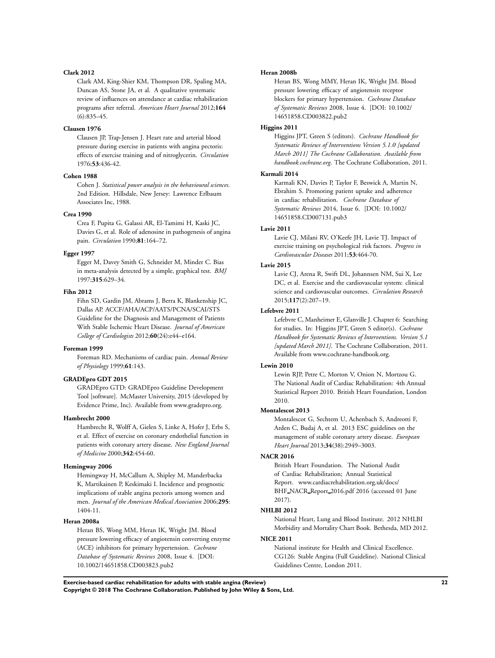#### **Clark 2012**

Clark AM, King-Shier KM, Thompson DR, Spaling MA, Duncan AS, Stone JA, et al. A qualitative systematic review of influences on attendance at cardiac rehabilitation programs after referral. *American Heart Journal* 2012;**164** (6):835–45.

#### **Clausen 1976**

Clausen JP, Trap-Jensen J. Heart rate and arterial blood pressure during exercise in patients with angina pectoris: effects of exercise training and of nitroglycerin. *Circulation* 1976;**53**:436-42.

#### **Cohen 1988**

Cohen J. *Statistical power analysis in the behavioural sciences*. 2nd Edition. Hillsdale, New Jersey: Lawrence Erlbaum Associates Inc, 1988.

#### **Crea 1990**

Crea F, Pupita G, Galassi AR, El-Tamimi H, Kaski JC, Davies G, et al. Role of adenosine in pathogenesis of angina pain. *Circulation* 1990;**81**:164–72.

#### **Egger 1997**

Egger M, Davey Smith G, Schneider M, Minder C. Bias in meta-analysis detected by a simple, graphical test. *BMJ* 1997;**315**:629–34.

#### **Fihn 2012**

Fihn SD, Gardin JM, Abrams J, Berra K, Blankenship JC, Dallas AP. ACCF/AHA/ACP/AATS/PCNA/SCAI/STS Guideline for the Diagnosis and Management of Patients With Stable Ischemic Heart Disease. *Journal of American College of Cardiologists* 2012;**60**(24):e44–e164.

#### **Foreman 1999**

Foreman RD. Mechanisms of cardiac pain. *Annual Review of Physiology* 1999;**61**:143.

#### **GRADEpro GDT 2015**

GRADEpro GTD: GRADEpro Guideline Development Tool [software]. McMaster University, 2015 (developed by Evidence Prime, Inc). Available from www.gradepro.org.

#### **Hambrecht 2000**

Hambrecht R, Wolff A, Gielen S, Linke A, Hofer J, Erbs S, et al. Effect of exercise on coronary endothelial function in patients with coronary artery disease. *New England Journal of Medicine* 2000;**342**:454-60.

#### **Hemingway 2006**

Hemingway H, McCallum A, Shipley M, Manderbacka K, Martikainen P, Keskimaki I. Incidence and prognostic implications of stable angina pectoris among women and men. *Journal of the American Medical Association* 2006;**295**: 1404-11.

#### **Heran 2008a**

Heran BS, Wong MM, Heran IK, Wright JM. Blood pressure lowering efficacy of angiotensin converting enzyme (ACE) inhibitors for primary hypertension. *Cochrane Database of Systematic Reviews* 2008, Issue 4. [DOI: 10.1002/14651858.CD003823.pub2

#### **Heran 2008b**

Heran BS, Wong MMY, Heran IK, Wright JM. Blood pressure lowering efficacy of angiotensin receptor blockers for primary hypertension. *Cochrane Database of Systematic Reviews* 2008, Issue 4. [DOI: 10.1002/ 14651858.CD003822.pub2

#### **Higgins 2011**

Higgins JPT, Green S (editors). *Cochrane Handbook for Systematic Reviews of Interventions Version 5.1.0 [updated March 2011] The Cochrane Collaboration. Available from handbook.cochrane.org*. The Cochrane Collaboration, 2011.

#### **Karmali 2014**

Karmali KN, Davies P, Taylor F, Beswick A, Martin N, Ebrahim S. Promoting patient uptake and adherence in cardiac rehabilitation. *Cochrane Database of Systematic Reviews* 2014, Issue 6. [DOI: 10.1002/ 14651858.CD007131.pub3

#### **Lavie 2011**

Lavie CJ, Milani RV, O'Keefe JH, Lavie TJ. Impact of exercise training on psychological risk factors. *Progress in Cardiovascular Diseases* 2011;**53**:464-70.

#### **Lavie 2015**

Lavie CJ, Arena R, Swift DL, Johannsen NM, Sui X, Lee DC, et al. Exercise and the cardiovascular system: clinical science and cardiovascular outcomes. *Circulation Research* 2015;**117**(2):207–19.

#### **Lefebvre 2011**

Lefebvre C, Manheimer E, Glanville J. Chapter 6: Searching for studies. In: Higgins JPT, Green S editor(s). *Cochrane Handbook for Systematic Reviews of Interventions. Version 5.1 [updated March 2011]*. The Cochrane Collaboration, 2011. Available from www.cochrane-handbook.org.

#### **Lewin 2010**

Lewin RJP, Petre C, Morton V, Onion N, Mortzou G. The National Audit of Cardiac Rehabilitation: 4th Annual Statistical Report 2010. British Heart Foundation, London 2010.

#### **Montalescot 2013**

Montalescot G, Sechtem U, Achenbach S, Andreotti F, Arden C, Budaj A, et al. 2013 ESC guidelines on the management of stable coronary artery disease. *European Heart Journal* 2013;**34**(38):2949–3003.

#### **NACR 2016**

British Heart Foundation. The National Audit of Cardiac Rehabilitation; Annual Statistical Report. www.cardiacrehabilitation.org.uk/docs/ BHF NACR Report 2016.pdf 2016 (accessed 01 June 2017).

#### **NHLBI 2012**

National Heart, Lung and Blood Institute. 2012 NHLBI Morbidity and Mortality Chart Book. Bethesda, MD 2012.

#### **NICE 2011**

National institute for Health and Clinical Excellence. CG126: Stable Angina (Full Guideline). National Clinical Guidelines Centre, London 2011.

**Exercise-based cardiac rehabilitation for adults with stable angina (Review) 22 Copyright © 2018 The Cochrane Collaboration. Published by John Wiley & Sons, Ltd.**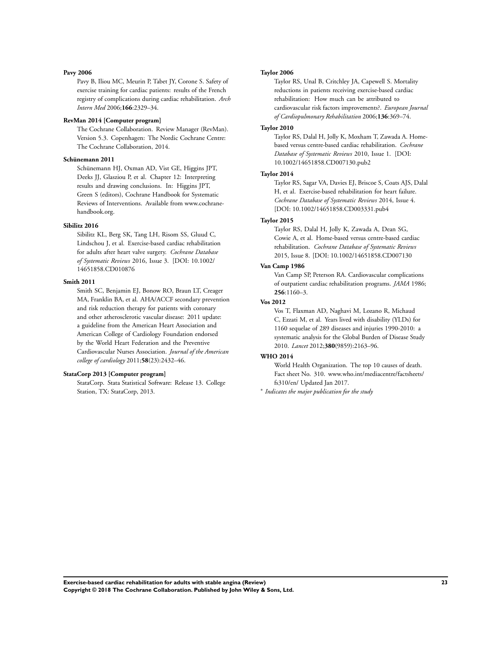#### **Pavy 2006**

Pavy B, Iliou MC, Meurin P, Tabet JY, Corone S. Safety of exercise training for cardiac patients: results of the French registry of complications during cardiac rehabilitation. *Arch Intern Med* 2006;**166**:2329–34.

#### **RevMan 2014 [Computer program]**

The Cochrane Collaboration. Review Manager (RevMan). Version 5.3. Copenhagen: The Nordic Cochrane Centre: The Cochrane Collaboration, 2014.

#### **Schünemann 2011**

Schünemann HJ, Oxman AD, Vist GE, Higgins JPT, Deeks JJ, Glasziou P, et al. Chapter 12: Interpreting results and drawing conclusions. In: Higgins JPT, Green S (editors), Cochrane Handbook for Systematic Reviews of Interventions. Available from www.cochranehandbook.org.

#### **Sibilitz 2016**

Sibilitz KL, Berg SK, Tang LH, Risom SS, Gluud C, Lindschou J, et al. Exercise-based cardiac rehabilitation for adults after heart valve surgery. *Cochrane Database of Systematic Reviews* 2016, Issue 3. [DOI: 10.1002/ 14651858.CD010876

#### **Smith 2011**

Smith SC, Benjamin EJ, Bonow RO, Braun LT, Creager MA, Franklin BA, et al. AHA/ACCF secondary prevention and risk reduction therapy for patients with coronary and other atherosclerotic vascular disease: 2011 update: a guideline from the American Heart Association and American College of Cardiology Foundation endorsed by the World Heart Federation and the Preventive Cardiovascular Nurses Association. *Journal of the American college of cardiology* 2011;**58**(23):2432–46.

#### **StataCorp 2013 [Computer program]**

StataCorp. Stata Statistical Software: Release 13. College Station, TX: StataCorp, 2013.

#### **Taylor 2006**

Taylor RS, Unal B, Critchley JA, Capewell S. Mortality reductions in patients receiving exercise-based cardiac rehabilitation: How much can be attributed to cardiovascular risk factors improvements?. *European Journal of Cardiopulmonary Rehabilitation* 2006;**136**:369–74.

#### **Taylor 2010**

Taylor RS, Dalal H, Jolly K, Moxham T, Zawada A. Homebased versus centre-based cardiac rehabilitation. *Cochrane Database of Systematic Reviews* 2010, Issue 1. [DOI: 10.1002/14651858.CD007130.pub2

#### **Taylor 2014**

Taylor RS, Sagar VA, Davies EJ, Briscoe S, Coats AJS, Dalal H, et al. Exercise-based rehabilitation for heart failure. *Cochrane Database of Systematic Reviews* 2014, Issue 4. [DOI: 10.1002/14651858.CD003331.pub4

#### **Taylor 2015**

Taylor RS, Dalal H, Jolly K, Zawada A, Dean SG, Cowie A, et al. Home-based versus centre-based cardiac rehabilitation. *Cochrane Database of Systematic Reviews* 2015, Issue 8. [DOI: 10.1002/14651858.CD007130

### **Van Camp 1986**

Van Camp SP, Peterson RA. Cardiovascular complications of outpatient cardiac rehabilitation programs. *JAMA* 1986; **256**:1160–3.

#### **Vos 2012**

Vos T, Flaxman AD, Naghavi M, Lozano R, Michaud C, Ezzati M, et al. Years lived with disability (YLDs) for 1160 sequelae of 289 diseases and injuries 1990-2010: a systematic analysis for the Global Burden of Disease Study 2010. *Lancet* 2012;**380**(9859):2163–96.

#### **WHO 2014**

World Health Organization. The top 10 causes of death. Fact sheet No. 310. www.who.int/mediacentre/factsheets/ fs310/en/ Updated Jan 2017.

∗ *Indicates the major publication for the study*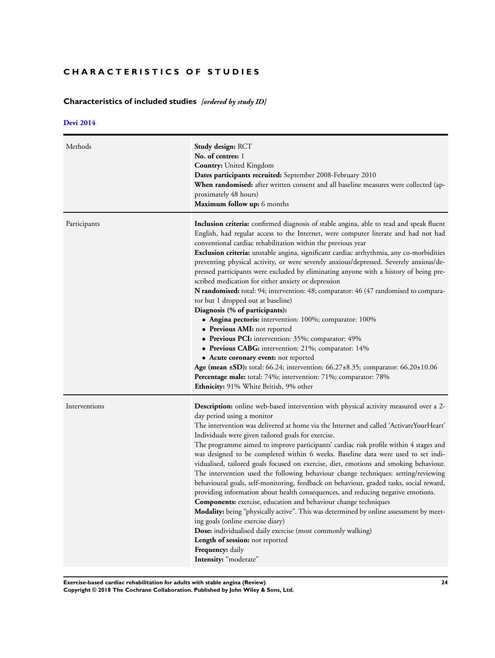## <span id="page-25-0"></span>**CHARACTERISTICS OF STUDIES**

## **Characteristics of included studies** *[ordered by study ID]*

### **[Devi 2014](#page-21-0)**

| Methods       | Study design: RCT<br>No. of centres: 1<br><b>Country:</b> United Kingdom<br><b>Dates participants recruited:</b> September 2008-February 2010<br><b>When randomised:</b> after written consent and all baseline measures were collected (ap-<br>proximately 48 hours)<br>Maximum follow up: 6 months                                                                                                                                                                                                                                                                                                                                                                                                                                                                                                                                                                                                                                                                                                                                                                                                                                                                                                                     |
|---------------|--------------------------------------------------------------------------------------------------------------------------------------------------------------------------------------------------------------------------------------------------------------------------------------------------------------------------------------------------------------------------------------------------------------------------------------------------------------------------------------------------------------------------------------------------------------------------------------------------------------------------------------------------------------------------------------------------------------------------------------------------------------------------------------------------------------------------------------------------------------------------------------------------------------------------------------------------------------------------------------------------------------------------------------------------------------------------------------------------------------------------------------------------------------------------------------------------------------------------|
| Participants  | Inclusion criteria: confirmed diagnosis of stable angina, able to read and speak fluent<br>English, had regular access to the Internet, were computer literate and had not had<br>conventional cardiac rehabilitation within the previous year<br><b>Exclusion criteria:</b> unstable angina, significant cardiac arrhythmia, any co-morbidities<br>preventing physical activity, or were severely anxious/depressed. Severely anxious/de-<br>pressed participants were excluded by eliminating anyone with a history of being pre-<br>scribed medication for either anxiety or depression<br>N randomised: total: 94; intervention: 48; comparator: 46 (47 randomised to compara-<br>tor but 1 dropped out at baseline)<br>Diagnosis (% of participants):<br>• Angina pectoris: intervention: 100%; comparator: 100%<br>• Previous AMI: not reported<br>• Previous PCI: intervention: 35%; comparator: 49%<br>• Previous CABG: intervention: 21%; comparator: 14%<br>• Acute coronary event: not reported<br><b>Age (mean ±SD):</b> total: 66.24; intervention: 66.27±8.35; comparator: 66.20±10.06<br><b>Percentage male:</b> total: 74%; intervention: 71%; comparator: 78%<br>Ethnicity: 91% White British, 9% other |
| Interventions | <b>Description:</b> online web-based intervention with physical activity measured over a 2-<br>day period using a monitor<br>The intervention was delivered at home via the Internet and called 'ActivateYourHeart'<br>Individuals were given tailored goals for exercise.<br>The programme aimed to improve participants' cardiac risk profile within 4 stages and<br>was designed to be completed within 6 weeks. Baseline data were used to set indi-<br>vidualised, tailored goals focused on exercise, diet, emotions and smoking behaviour.<br>The intervention used the following behaviour change techniques: setting/reviewing<br>behavioural goals, self-monitoring, feedback on behaviour, graded tasks, social reward,<br>providing information about health consequences, and reducing negative emotions.<br>Components: exercise, education and behaviour change techniques<br>Modality: being "physically active". This was determined by online assessment by meet-<br>ing goals (online exercise diary)<br>Dose: individualised daily exercise (most commonly walking)<br><b>Length of session:</b> not reported<br>Frequency: daily<br>Intensity: "moderate"                                           |

**Exercise-based cardiac rehabilitation for adults with stable angina (Review) 24**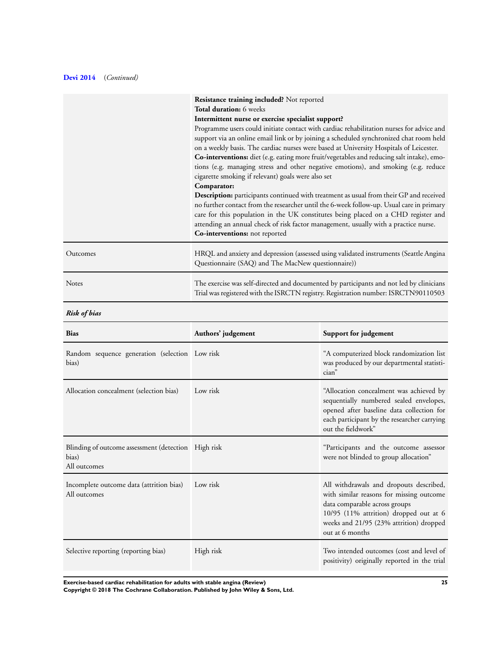### **[Devi 2014](#page-21-0)** (*Continued)*

|              | Resistance training included? Not reported<br><b>Total duration:</b> 6 weeks<br>Intermittent nurse or exercise specialist support?<br>Programme users could initiate contact with cardiac rehabilitation nurses for advice and<br>support via an online email link or by joining a scheduled synchronized chat room held<br>on a weekly basis. The cardiac nurses were based at University Hospitals of Leicester.<br>Co-interventions: diet (e.g. eating more fruit/vegetables and reducing salt intake), emo-<br>tions (e.g. managing stress and other negative emotions), and smoking (e.g. reduce<br>cigarette smoking if relevant) goals were also set<br>Comparator: |
|--------------|----------------------------------------------------------------------------------------------------------------------------------------------------------------------------------------------------------------------------------------------------------------------------------------------------------------------------------------------------------------------------------------------------------------------------------------------------------------------------------------------------------------------------------------------------------------------------------------------------------------------------------------------------------------------------|
|              | <b>Description:</b> participants continued with treatment as usual from their GP and received<br>no further contact from the researcher until the 6-week follow-up. Usual care in primary<br>care for this population in the UK constitutes being placed on a CHD register and<br>attending an annual check of risk factor management, usually with a practice nurse.<br>Co-interventions: not reported                                                                                                                                                                                                                                                                    |
| Outcomes     | HRQL and anxiety and depression (assessed using validated instruments (Seattle Angina<br>Questionnaire (SAQ) and The MacNew questionnaire))                                                                                                                                                                                                                                                                                                                                                                                                                                                                                                                                |
| <b>Notes</b> | The exercise was self-directed and documented by participants and not led by clinicians<br>Trial was registered with the ISRCTN registry. Registration number: ISRCTN90110503                                                                                                                                                                                                                                                                                                                                                                                                                                                                                              |

### *Risk of bias*

| <b>Bias</b>                                                                  | Authors' judgement | Support for judgement                                                                                                                                                                                                        |
|------------------------------------------------------------------------------|--------------------|------------------------------------------------------------------------------------------------------------------------------------------------------------------------------------------------------------------------------|
| Random sequence generation (selection Low risk<br>bias)                      |                    | "A computerized block randomization list<br>was produced by our departmental statisti-<br>cian"                                                                                                                              |
| Allocation concealment (selection bias)                                      | Low risk           | "Allocation concealment was achieved by<br>sequentially numbered sealed envelopes,<br>opened after baseline data collection for<br>each participant by the researcher carrying<br>out the fieldwork"                         |
| Blinding of outcome assessment (detection High risk<br>bias)<br>All outcomes |                    | "Participants and the outcome assessor<br>were not blinded to group allocation"                                                                                                                                              |
| Incomplete outcome data (attrition bias)<br>All outcomes                     | Low risk           | All withdrawals and dropouts described,<br>with similar reasons for missing outcome<br>data comparable across groups<br>10/95 (11% attrition) dropped out at 6<br>weeks and 21/95 (23% attrition) dropped<br>out at 6 months |
| Selective reporting (reporting bias)                                         | High risk          | Two intended outcomes (cost and level of<br>positivity) originally reported in the trial                                                                                                                                     |

**Exercise-based cardiac rehabilitation for adults with stable angina (Review) 25**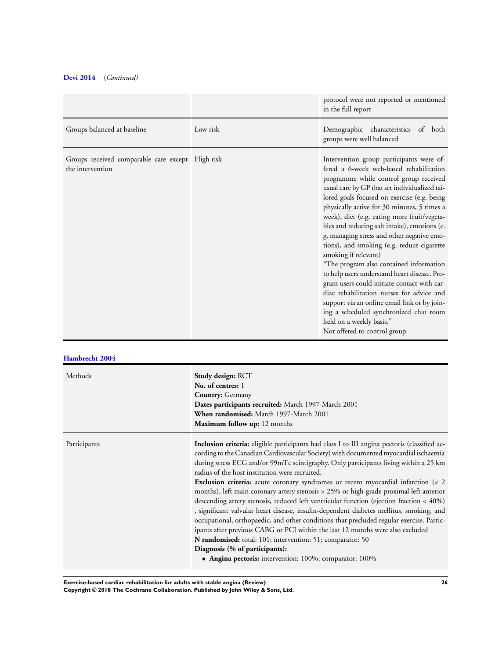### **[Devi 2014](#page-21-0)** (*Continued)*

|                                                                      |          | protocol were not reported or mentioned<br>in the full report                                                                                                                                                                                                                                                                                                                                                                                                                                                                                                                                                                                                                                                                                                                                                                                 |
|----------------------------------------------------------------------|----------|-----------------------------------------------------------------------------------------------------------------------------------------------------------------------------------------------------------------------------------------------------------------------------------------------------------------------------------------------------------------------------------------------------------------------------------------------------------------------------------------------------------------------------------------------------------------------------------------------------------------------------------------------------------------------------------------------------------------------------------------------------------------------------------------------------------------------------------------------|
| Groups balanced at baseline                                          | Low risk | Demographic characteristics<br>of both<br>groups were well balanced                                                                                                                                                                                                                                                                                                                                                                                                                                                                                                                                                                                                                                                                                                                                                                           |
| Groups received comparable care except High risk<br>the intervention |          | Intervention group participants were of-<br>fered a 6-week web-based rehabilitation<br>programme while control group received<br>usual care by GP that set individualized tai-<br>lored goals focused on exercise (e.g. being<br>physically active for 30 minutes, 5 times a<br>week), diet (e.g. eating more fruit/vegeta-<br>bles and reducing salt intake), emotions (e.<br>g. managing stress and other negative emo-<br>tions), and smoking (e.g. reduce cigarette<br>smoking if relevant)<br>"The program also contained information<br>to help users understand heart disease. Pro-<br>gram users could initiate contact with car-<br>diac rehabilitation nurses for advice and<br>support via an online email link or by join-<br>ing a scheduled synchronized chat room<br>held on a weekly basis."<br>Not offered to control group. |

### **[Hambrecht 2004](#page-21-0)**

| Methods      | <b>Study design: RCT</b><br>No. of centres: 1<br><b>Country:</b> Germany<br>Dates participants recruited: March 1997-March 2001<br>When randomised: March 1997-March 2001<br>Maximum follow up: 12 months                                                                                                                                                                                                                                                                                                                                                                                                                                                                                                                                                                                                                                                                                                                                                                                                                                           |
|--------------|-----------------------------------------------------------------------------------------------------------------------------------------------------------------------------------------------------------------------------------------------------------------------------------------------------------------------------------------------------------------------------------------------------------------------------------------------------------------------------------------------------------------------------------------------------------------------------------------------------------------------------------------------------------------------------------------------------------------------------------------------------------------------------------------------------------------------------------------------------------------------------------------------------------------------------------------------------------------------------------------------------------------------------------------------------|
| Participants | Inclusion criteria: eligible participants had class I to III angina pectoris (classified ac-<br>cording to the Canadian Cardiovascular Society) with documented myocardial ischaemia<br>during stress ECG and/or 99mTc scintigraphy. Only participants living within a 25 km<br>radius of the host institution were recruited.<br><b>Exclusion criteria:</b> acute coronary syndromes or recent myocardial infarction (< 2<br>months), left main coronary artery stenosis > 25% or high-grade proximal left anterior<br>descending artery stenosis, reduced left ventricular function (ejection fraction < 40%)<br>, significant valvular heart disease, insulin-dependent diabetes mellitus, smoking, and<br>occupational, orthopaedic, and other conditions that precluded regular exercise. Partic-<br>ipants after previous CABG or PCI within the last 12 months were also excluded<br>N randomised: total: 101; intervention: 51; comparator: 50<br>Diagnosis (% of participants):<br>• Angina pectoris: intervention: 100%; comparator: 100% |

**Exercise-based cardiac rehabilitation for adults with stable angina (Review) 26**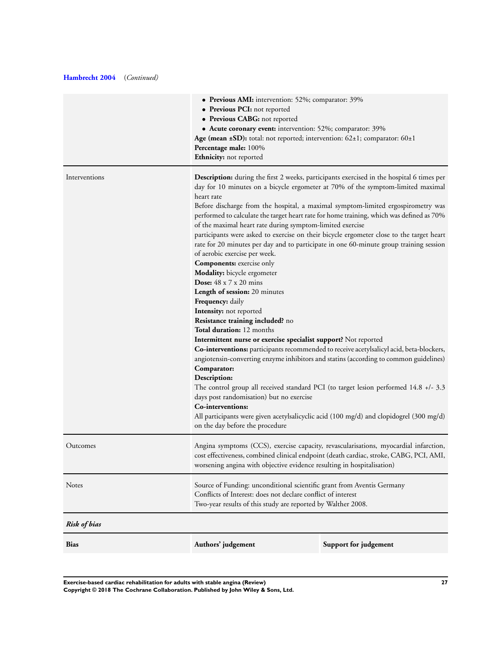### **[Hambrecht 2004](#page-21-0)** (*Continued)*

|                     | • Previous AMI: intervention: 52%; comparator: 39%                                                                                                                                                                                                                                                                                                                                                                                                                                                                                                                                                                                                                                                                                                                                                                                                                                                                                                                                                                                                                                                                                                                                                                                                                                                                                                                                     |                       |
|---------------------|----------------------------------------------------------------------------------------------------------------------------------------------------------------------------------------------------------------------------------------------------------------------------------------------------------------------------------------------------------------------------------------------------------------------------------------------------------------------------------------------------------------------------------------------------------------------------------------------------------------------------------------------------------------------------------------------------------------------------------------------------------------------------------------------------------------------------------------------------------------------------------------------------------------------------------------------------------------------------------------------------------------------------------------------------------------------------------------------------------------------------------------------------------------------------------------------------------------------------------------------------------------------------------------------------------------------------------------------------------------------------------------|-----------------------|
|                     | • Previous PCI: not reported<br>• Previous CABG: not reported                                                                                                                                                                                                                                                                                                                                                                                                                                                                                                                                                                                                                                                                                                                                                                                                                                                                                                                                                                                                                                                                                                                                                                                                                                                                                                                          |                       |
|                     | • Acute coronary event: intervention: 52%; comparator: 39%                                                                                                                                                                                                                                                                                                                                                                                                                                                                                                                                                                                                                                                                                                                                                                                                                                                                                                                                                                                                                                                                                                                                                                                                                                                                                                                             |                       |
|                     | Age (mean ±SD): total: not reported; intervention: 62±1; comparator: 60±1                                                                                                                                                                                                                                                                                                                                                                                                                                                                                                                                                                                                                                                                                                                                                                                                                                                                                                                                                                                                                                                                                                                                                                                                                                                                                                              |                       |
|                     | Percentage male: 100%                                                                                                                                                                                                                                                                                                                                                                                                                                                                                                                                                                                                                                                                                                                                                                                                                                                                                                                                                                                                                                                                                                                                                                                                                                                                                                                                                                  |                       |
|                     | Ethnicity: not reported                                                                                                                                                                                                                                                                                                                                                                                                                                                                                                                                                                                                                                                                                                                                                                                                                                                                                                                                                                                                                                                                                                                                                                                                                                                                                                                                                                |                       |
| Interventions       | <b>Description:</b> during the first 2 weeks, participants exercised in the hospital 6 times per<br>day for 10 minutes on a bicycle ergometer at 70% of the symptom-limited maximal<br>heart rate<br>Before discharge from the hospital, a maximal symptom-limited ergospirometry was<br>performed to calculate the target heart rate for home training, which was defined as 70%<br>of the maximal heart rate during symptom-limited exercise<br>participants were asked to exercise on their bicycle ergometer close to the target heart<br>rate for 20 minutes per day and to participate in one 60-minute group training session<br>of aerobic exercise per week.<br><b>Components:</b> exercise only<br>Modality: bicycle ergometer<br><b>Dose:</b> $48 \times 7 \times 20$ mins<br>Length of session: 20 minutes<br>Frequency: daily<br>Intensity: not reported<br>Resistance training included? no<br>Total duration: 12 months<br>Intermittent nurse or exercise specialist support? Not reported<br>Co-interventions: participants recommended to receive acetylsalicyl acid, beta-blockers,<br>angiotensin-converting enzyme inhibitors and statins (according to common guidelines)<br>Comparator:<br>Description:<br>The control group all received standard PCI (to target lesion performed 14.8 +/- 3.3<br>days post randomisation) but no exercise<br>Co-interventions: |                       |
|                     | All participants were given acetylsalicyclic acid (100 mg/d) and clopidogrel (300 mg/d)<br>on the day before the procedure                                                                                                                                                                                                                                                                                                                                                                                                                                                                                                                                                                                                                                                                                                                                                                                                                                                                                                                                                                                                                                                                                                                                                                                                                                                             |                       |
| Outcomes            | Angina symptoms (CCS), exercise capacity, revascularisations, myocardial infarction,<br>cost effectiveness, combined clinical endpoint (death cardiac, stroke, CABG, PCI, AMI,<br>worsening angina with objective evidence resulting in hospitalisation)                                                                                                                                                                                                                                                                                                                                                                                                                                                                                                                                                                                                                                                                                                                                                                                                                                                                                                                                                                                                                                                                                                                               |                       |
| Notes               | Source of Funding: unconditional scientific grant from Aventis Germany<br>Conflicts of Interest: does not declare conflict of interest<br>Two-year results of this study are reported by Walther 2008.                                                                                                                                                                                                                                                                                                                                                                                                                                                                                                                                                                                                                                                                                                                                                                                                                                                                                                                                                                                                                                                                                                                                                                                 |                       |
| <b>Risk of bias</b> |                                                                                                                                                                                                                                                                                                                                                                                                                                                                                                                                                                                                                                                                                                                                                                                                                                                                                                                                                                                                                                                                                                                                                                                                                                                                                                                                                                                        |                       |
| <b>Bias</b>         | Authors' judgement                                                                                                                                                                                                                                                                                                                                                                                                                                                                                                                                                                                                                                                                                                                                                                                                                                                                                                                                                                                                                                                                                                                                                                                                                                                                                                                                                                     | Support for judgement |
|                     |                                                                                                                                                                                                                                                                                                                                                                                                                                                                                                                                                                                                                                                                                                                                                                                                                                                                                                                                                                                                                                                                                                                                                                                                                                                                                                                                                                                        |                       |

**Exercise-based cardiac rehabilitation for adults with stable angina (Review) 27 Copyright © 2018 The Cochrane Collaboration. Published by John Wiley & Sons, Ltd.**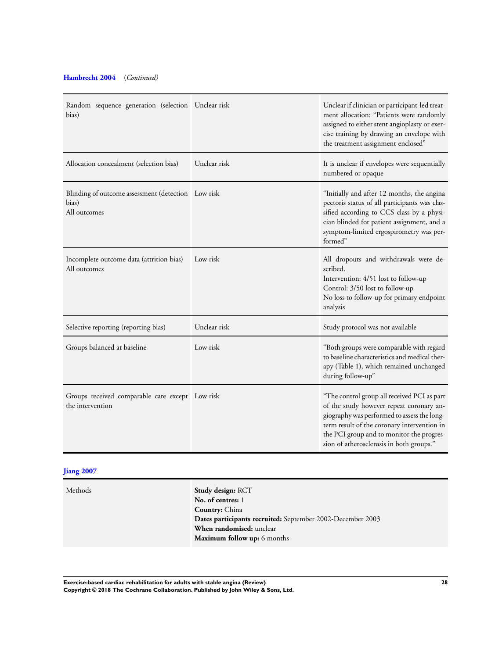### **[Hambrecht 2004](#page-21-0)** (*Continued)*

| Random sequence generation (selection Unclear risk<br>bias)                 |              | Unclear if clinician or participant-led treat-<br>ment allocation: "Patients were randomly<br>assigned to either stent angioplasty or exer-<br>cise training by drawing an envelope with<br>the treatment assignment enclosed"                                                 |
|-----------------------------------------------------------------------------|--------------|--------------------------------------------------------------------------------------------------------------------------------------------------------------------------------------------------------------------------------------------------------------------------------|
| Allocation concealment (selection bias)                                     | Unclear risk | It is unclear if envelopes were sequentially<br>numbered or opaque                                                                                                                                                                                                             |
| Blinding of outcome assessment (detection Low risk<br>bias)<br>All outcomes |              | "Initially and after 12 months, the angina<br>pectoris status of all participants was clas-<br>sified according to CCS class by a physi-<br>cian blinded for patient assignment, and a<br>symptom-limited ergospirometry was per-<br>formed"                                   |
| Incomplete outcome data (attrition bias)<br>All outcomes                    | Low risk     | All dropouts and withdrawals were de-<br>scribed.<br>Intervention: 4/51 lost to follow-up<br>Control: 3/50 lost to follow-up<br>No loss to follow-up for primary endpoint<br>analysis                                                                                          |
| Selective reporting (reporting bias)                                        | Unclear risk | Study protocol was not available                                                                                                                                                                                                                                               |
| Groups balanced at baseline                                                 | Low risk     | "Both groups were comparable with regard<br>to baseline characteristics and medical ther-<br>apy (Table 1), which remained unchanged<br>during follow-up"                                                                                                                      |
| Groups received comparable care except Low risk<br>the intervention         |              | "The control group all received PCI as part<br>of the study however repeat coronary an-<br>giography was performed to assess the long-<br>term result of the coronary intervention in<br>the PCI group and to monitor the progres-<br>sion of atherosclerosis in both groups." |

### **[Jiang 2007](#page-21-0)**

Methods **Study design:** RCT **No. of centres:** 1 **Country:** China **Dates participants recruited:** September 2002-December 2003 **When randomised:** unclear **Maximum follow up:** 6 months

**Exercise-based cardiac rehabilitation for adults with stable angina (Review) 28 Copyright © 2018 The Cochrane Collaboration. Published by John Wiley & Sons, Ltd.**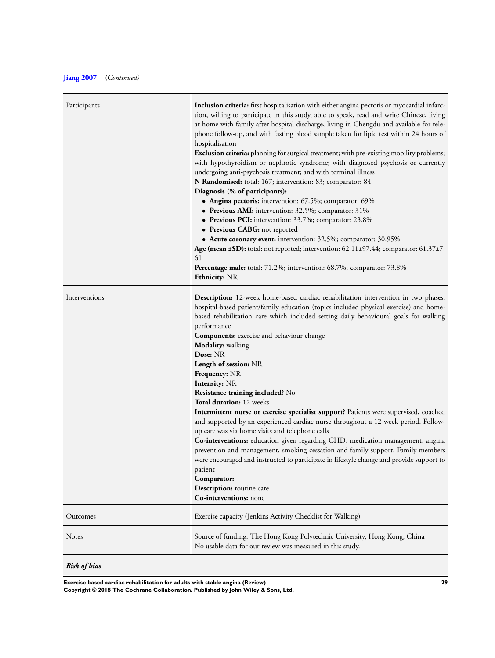| Participants  | <b>Inclusion criteria:</b> first hospitalisation with either angina pectoris or myocardial infarc-<br>tion, willing to participate in this study, able to speak, read and write Chinese, living<br>at home with family after hospital discharge, living in Chengdu and available for tele-<br>phone follow-up, and with fasting blood sample taken for lipid test within 24 hours of<br>hospitalisation<br><b>Exclusion criteria:</b> planning for surgical treatment; with pre-existing mobility problems;<br>with hypothyroidism or nephrotic syndrome; with diagnosed psychosis or currently<br>undergoing anti-psychosis treatment; and with terminal illness<br>N Randomised: total: 167; intervention: 83; comparator: 84<br>Diagnosis (% of participants):<br>• Angina pectoris: intervention: 67.5%; comparator: 69%<br>• Previous AMI: intervention: 32.5%; comparator: 31%<br>• Previous PCI: intervention: 33.7%; comparator: 23.8%<br>• Previous CABG: not reported<br>• Acute coronary event: intervention: 32.5%; comparator: 30.95%<br>Age (mean ±SD): total: not reported; intervention: 62.11±97.44; comparator: 61.37±7.<br>61<br><b>Percentage male:</b> total: 71.2%; intervention: 68.7%; comparator: 73.8%<br>Ethnicity: NR |
|---------------|---------------------------------------------------------------------------------------------------------------------------------------------------------------------------------------------------------------------------------------------------------------------------------------------------------------------------------------------------------------------------------------------------------------------------------------------------------------------------------------------------------------------------------------------------------------------------------------------------------------------------------------------------------------------------------------------------------------------------------------------------------------------------------------------------------------------------------------------------------------------------------------------------------------------------------------------------------------------------------------------------------------------------------------------------------------------------------------------------------------------------------------------------------------------------------------------------------------------------------------------------|
| Interventions | <b>Description:</b> 12-week home-based cardiac rehabilitation intervention in two phases:<br>hospital-based patient/family education (topics included physical exercise) and home-<br>based rehabilitation care which included setting daily behavioural goals for walking<br>performance<br><b>Components:</b> exercise and behaviour change<br><b>Modality:</b> walking<br>Dose: NR<br>Length of session: NR<br><b>Frequency:</b> NR<br><b>Intensity: NR</b><br>Resistance training included? No<br>Total duration: 12 weeks<br>Intermittent nurse or exercise specialist support? Patients were supervised, coached<br>and supported by an experienced cardiac nurse throughout a 12-week period. Follow-<br>up care was via home visits and telephone calls<br>Co-interventions: education given regarding CHD, medication management, angina<br>prevention and management, smoking cessation and family support. Family members<br>were encouraged and instructed to participate in lifestyle change and provide support to<br>patient<br>Comparator:<br>Description: routine care<br>Co-interventions: none                                                                                                                                 |
| Outcomes      | Exercise capacity (Jenkins Activity Checklist for Walking)                                                                                                                                                                                                                                                                                                                                                                                                                                                                                                                                                                                                                                                                                                                                                                                                                                                                                                                                                                                                                                                                                                                                                                                        |
| Notes         | Source of funding: The Hong Kong Polytechnic University, Hong Kong, China<br>No usable data for our review was measured in this study.                                                                                                                                                                                                                                                                                                                                                                                                                                                                                                                                                                                                                                                                                                                                                                                                                                                                                                                                                                                                                                                                                                            |
|               |                                                                                                                                                                                                                                                                                                                                                                                                                                                                                                                                                                                                                                                                                                                                                                                                                                                                                                                                                                                                                                                                                                                                                                                                                                                   |

*Risk of bias*

**Exercise-based cardiac rehabilitation for adults with stable angina (Review) 29**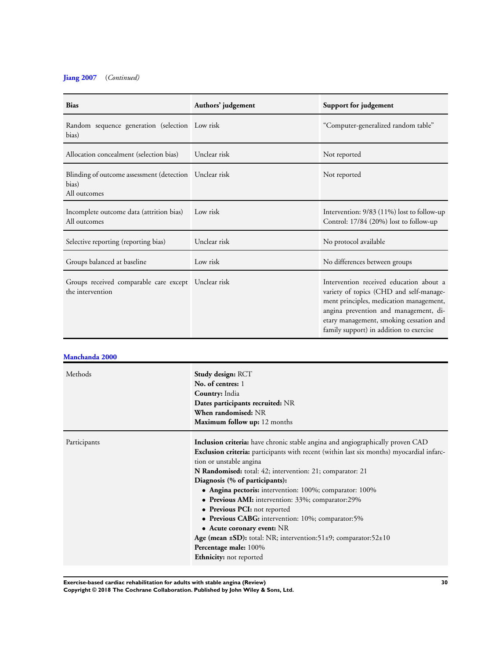### **[Jiang 2007](#page-21-0)** (*Continued)*

| <b>Bias</b>                                                                       | Authors' judgement | Support for judgement                                                                                                                                                                                                                                        |
|-----------------------------------------------------------------------------------|--------------------|--------------------------------------------------------------------------------------------------------------------------------------------------------------------------------------------------------------------------------------------------------------|
| Random sequence generation (selection Low risk<br>bias)                           |                    | "Computer-generalized random table"                                                                                                                                                                                                                          |
| Allocation concealment (selection bias)                                           | Unclear risk       | Not reported                                                                                                                                                                                                                                                 |
| Blinding of outcome assessment (detection   Unclear risk<br>bias)<br>All outcomes |                    | Not reported                                                                                                                                                                                                                                                 |
| Incomplete outcome data (attrition bias)<br>All outcomes                          | Low risk           | Intervention: $9/83$ (11%) lost to follow-up<br>Control: 17/84 (20%) lost to follow-up                                                                                                                                                                       |
| Selective reporting (reporting bias)                                              | Unclear risk       | No protocol available                                                                                                                                                                                                                                        |
| Groups balanced at baseline                                                       | Low risk           | No differences between groups                                                                                                                                                                                                                                |
| Groups received comparable care except Unclear risk<br>the intervention           |                    | Intervention received education about a<br>variety of topics (CHD and self-manage-<br>ment principles, medication management,<br>angina prevention and management, di-<br>etary management, smoking cessation and<br>family support) in addition to exercise |

|--|

| Methods      | <b>Study design: RCT</b><br>No. of centres: 1<br>Country: India<br>Dates participants recruited: NR<br>When randomised: NR<br>Maximum follow up: 12 months                                                                                                                                                                                                                                                                                                                                                                                                                                                                                                                                      |
|--------------|-------------------------------------------------------------------------------------------------------------------------------------------------------------------------------------------------------------------------------------------------------------------------------------------------------------------------------------------------------------------------------------------------------------------------------------------------------------------------------------------------------------------------------------------------------------------------------------------------------------------------------------------------------------------------------------------------|
| Participants | <b>Inclusion criteria:</b> have chronic stable angina and angiographically proven CAD<br>Exclusion criteria: participants with recent (within last six months) myocardial infarc-<br>tion or unstable angina<br>N Randomised: total: 42; intervention: 21; comparator: 21<br>Diagnosis (% of participants):<br>• Angina pectoris: intervention: $100\%$ ; comparator: $100\%$<br>• Previous AMI: intervention: 33%; comparator:29%<br>• Previous PCI: not reported<br>• Previous CABG: intervention: 10%; comparator:5%<br>• Acute coronary event: NR<br>Age (mean $\pm SD$ ): total: NR; intervention: 51 $\pm$ 9; comparator: 52 $\pm$ 10<br>Percentage male: 100%<br>Ethnicity: not reported |

**Exercise-based cardiac rehabilitation for adults with stable angina (Review) 30**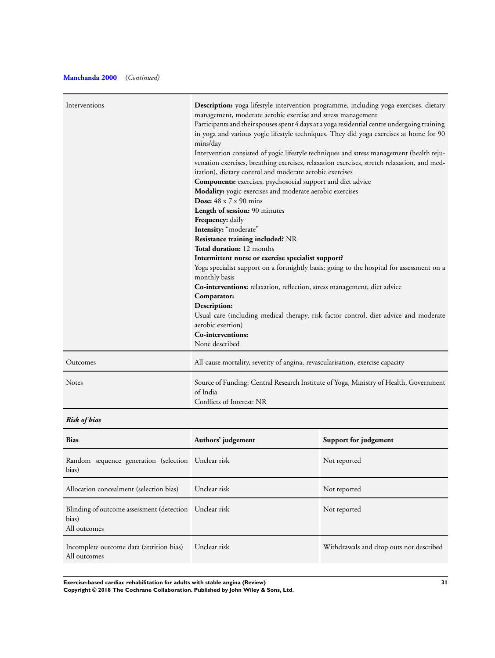### **[Manchanda 2000](#page-21-0)** (*Continued)*

| Interventions                                      | <b>Description:</b> yoga lifestyle intervention programme, including yoga exercises, dietary<br>management, moderate aerobic exercise and stress management<br>Participants and their spouses spent 4 days at a yoga residential centre undergoing training<br>mins/day<br>Intervention consisted of yogic lifestyle techniques and stress management (health reju-<br>venation exercises, breathing exercises, relaxation exercises, stretch relaxation, and med-<br>itation), dietary control and moderate aerobic exercises<br>Components: exercises, psychosocial support and diet advice<br>Modality: yogic exercises and moderate aerobic exercises<br><b>Dose:</b> $48 \times 7 \times 90$ mins<br>Length of session: 90 minutes<br><b>Frequency:</b> daily<br>Intensity: "moderate"<br>Resistance training included? NR<br>Total duration: 12 months<br>Intermittent nurse or exercise specialist support?<br>Yoga specialist support on a fortnightly basis; going to the hospital for assessment on a<br>monthly basis<br>Co-interventions: relaxation, reflection, stress management, diet advice<br>Comparator:<br>Description:<br>aerobic exertion)<br>Co-interventions: | in yoga and various yogic lifestyle techniques. They did yoga exercises at home for 90<br>Usual care (including medical therapy, risk factor control, diet advice and moderate |
|----------------------------------------------------|---------------------------------------------------------------------------------------------------------------------------------------------------------------------------------------------------------------------------------------------------------------------------------------------------------------------------------------------------------------------------------------------------------------------------------------------------------------------------------------------------------------------------------------------------------------------------------------------------------------------------------------------------------------------------------------------------------------------------------------------------------------------------------------------------------------------------------------------------------------------------------------------------------------------------------------------------------------------------------------------------------------------------------------------------------------------------------------------------------------------------------------------------------------------------------------|--------------------------------------------------------------------------------------------------------------------------------------------------------------------------------|
|                                                    | None described                                                                                                                                                                                                                                                                                                                                                                                                                                                                                                                                                                                                                                                                                                                                                                                                                                                                                                                                                                                                                                                                                                                                                                        |                                                                                                                                                                                |
| Outcomes                                           | All-cause mortality, severity of angina, revascularisation, exercise capacity                                                                                                                                                                                                                                                                                                                                                                                                                                                                                                                                                                                                                                                                                                                                                                                                                                                                                                                                                                                                                                                                                                         |                                                                                                                                                                                |
| <b>Notes</b>                                       | of India<br>Conflicts of Interest: NR                                                                                                                                                                                                                                                                                                                                                                                                                                                                                                                                                                                                                                                                                                                                                                                                                                                                                                                                                                                                                                                                                                                                                 | Source of Funding: Central Research Institute of Yoga, Ministry of Health, Government                                                                                          |
| <b>Risk of bias</b>                                |                                                                                                                                                                                                                                                                                                                                                                                                                                                                                                                                                                                                                                                                                                                                                                                                                                                                                                                                                                                                                                                                                                                                                                                       |                                                                                                                                                                                |
| <b>Bias</b>                                        | Authors' judgement                                                                                                                                                                                                                                                                                                                                                                                                                                                                                                                                                                                                                                                                                                                                                                                                                                                                                                                                                                                                                                                                                                                                                                    | Support for judgement                                                                                                                                                          |
| Random sequence generation (selection Unclear rick |                                                                                                                                                                                                                                                                                                                                                                                                                                                                                                                                                                                                                                                                                                                                                                                                                                                                                                                                                                                                                                                                                                                                                                                       | Not reported                                                                                                                                                                   |

| Random sequence generation (selection Unclear risk<br>bias)                     |              | Not reported                            |
|---------------------------------------------------------------------------------|--------------|-----------------------------------------|
| Allocation concealment (selection bias)                                         | Unclear risk | Not reported                            |
| Blinding of outcome assessment (detection Unclear risk<br>bias)<br>All outcomes |              | Not reported                            |
| Incomplete outcome data (attrition bias)<br>All outcomes                        | Unclear risk | Withdrawals and drop outs not described |

**Exercise-based cardiac rehabilitation for adults with stable angina (Review) 31**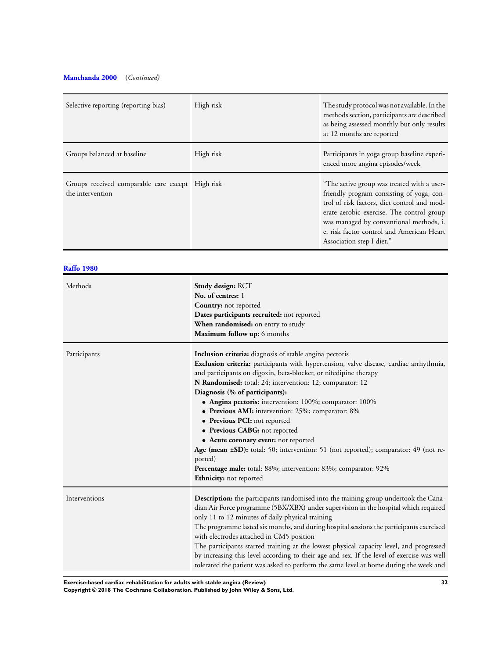### **[Manchanda 2000](#page-21-0)** (*Continued)*

| Selective reporting (reporting bias)                                 | High risk | The study protocol was not available. In the<br>methods section, participants are described<br>as being assessed monthly but only results<br>at 12 months are reported                                                                                                                                   |
|----------------------------------------------------------------------|-----------|----------------------------------------------------------------------------------------------------------------------------------------------------------------------------------------------------------------------------------------------------------------------------------------------------------|
| Groups balanced at baseline                                          | High risk | Participants in yoga group baseline experi-<br>enced more angina episodes/week                                                                                                                                                                                                                           |
| Groups received comparable care except High risk<br>the intervention |           | "The active group was treated with a user-<br>friendly program consisting of yoga, con-<br>trol of risk factors, diet control and mod-<br>erate aerobic exercise. The control group<br>was managed by conventional methods, i.<br>e. risk factor control and American Heart<br>Association step I diet." |

### **[Raffo 1980](#page-21-0)**

| Methods       | Study design: RCT<br>No. of centres: 1<br><b>Country:</b> not reported<br>Dates participants recruited: not reported<br>When randomised: on entry to study<br>Maximum follow up: 6 months                                                                                                                                                                                                                                                                                                                                                                                                                                                                                                                                                     |
|---------------|-----------------------------------------------------------------------------------------------------------------------------------------------------------------------------------------------------------------------------------------------------------------------------------------------------------------------------------------------------------------------------------------------------------------------------------------------------------------------------------------------------------------------------------------------------------------------------------------------------------------------------------------------------------------------------------------------------------------------------------------------|
| Participants  | Inclusion criteria: diagnosis of stable angina pectoris<br>Exclusion criteria: participants with hypertension, valve disease, cardiac arrhythmia,<br>and participants on digoxin, beta-blocker, or nifedipine therapy<br>N Randomised: total: 24; intervention: 12; comparator: 12<br>Diagnosis (% of participants):<br>• Angina pectoris: intervention: 100%; comparator: 100%<br>• Previous AMI: intervention: 25%; comparator: 8%<br>• Previous PCI: not reported<br>• Previous CABG: not reported<br>• Acute coronary event: not reported<br>Age (mean ±SD): total: 50; intervention: 51 (not reported); comparator: 49 (not re-<br>ported)<br>Percentage male: total: 88%; intervention: 83%; comparator: 92%<br>Ethnicity: not reported |
| Interventions | Description: the participants randomised into the training group undertook the Cana-<br>dian Air Force programme (5BX/XBX) under supervision in the hospital which required<br>only 11 to 12 minutes of daily physical training<br>The programme lasted six months, and during hospital sessions the participants exercised<br>with electrodes attached in CM5 position<br>The participants started training at the lowest physical capacity level, and progressed<br>by increasing this level according to their age and sex. If the level of exercise was well<br>tolerated the patient was asked to perform the same level at home during the week and                                                                                     |

**Exercise-based cardiac rehabilitation for adults with stable angina (Review) 32**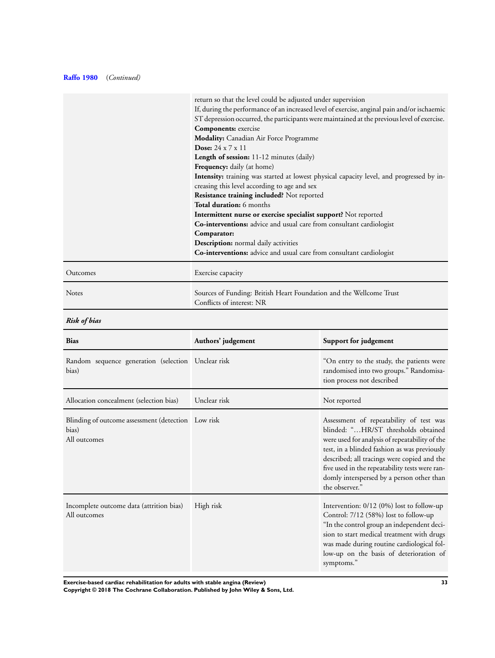### **[Raffo 1980](#page-21-0)** (*Continued)*

|          | return so that the level could be adjusted under supervision                                     |
|----------|--------------------------------------------------------------------------------------------------|
|          | If, during the performance of an increased level of exercise, anginal pain and/or ischaemic      |
|          | ST depression occurred, the participants were maintained at the previous level of exercise.      |
|          | Components: exercise                                                                             |
|          | Modality: Canadian Air Force Programme                                                           |
|          | Dose: $24 \times 7 \times 11$                                                                    |
|          | <b>Length of session:</b> 11-12 minutes (daily)                                                  |
|          | <b>Frequency:</b> daily (at home)                                                                |
|          | <b>Intensity:</b> training was started at lowest physical capacity level, and progressed by in-  |
|          | creasing this level according to age and sex                                                     |
|          | Resistance training included? Not reported                                                       |
|          | Total duration: 6 months                                                                         |
|          | Intermittent nurse or exercise specialist support? Not reported                                  |
|          | Co-interventions: advice and usual care from consultant cardiologist                             |
|          | Comparator:                                                                                      |
|          | <b>Description:</b> normal daily activities                                                      |
|          | Co-interventions: advice and usual care from consultant cardiologist                             |
| Outcomes | Exercise capacity                                                                                |
| Notes    | Sources of Funding: British Heart Foundation and the Wellcome Trust<br>Conflicts of interest: NR |

## *Risk of bias*

| <b>Bias</b>                                                                 | Authors' judgement | Support for judgement                                                                                                                                                                                                                                                                                                                            |
|-----------------------------------------------------------------------------|--------------------|--------------------------------------------------------------------------------------------------------------------------------------------------------------------------------------------------------------------------------------------------------------------------------------------------------------------------------------------------|
| Random sequence generation (selection Unclear risk<br>bias)                 |                    | "On entry to the study, the patients were<br>randomised into two groups." Randomisa-<br>tion process not described                                                                                                                                                                                                                               |
| Allocation concealment (selection bias)                                     | Unclear risk       | Not reported                                                                                                                                                                                                                                                                                                                                     |
| Blinding of outcome assessment (detection Low risk<br>bias)<br>All outcomes |                    | Assessment of repeatability of test was<br>blinded: "HR/ST thresholds obtained<br>were used for analysis of repeatability of the<br>test, in a blinded fashion as was previously<br>described; all tracings were copied and the<br>five used in the repeatability tests were ran-<br>domly interspersed by a person other than<br>the observer." |
| Incomplete outcome data (attrition bias)<br>All outcomes                    | High risk          | Intervention: $0/12$ (0%) lost to follow-up<br>Control: 7/12 (58%) lost to follow-up<br>"In the control group an independent deci-<br>sion to start medical treatment with drugs<br>was made during routine cardiological fol-<br>low-up on the basis of deterioration of<br>symptoms."                                                          |

**Exercise-based cardiac rehabilitation for adults with stable angina (Review) 33**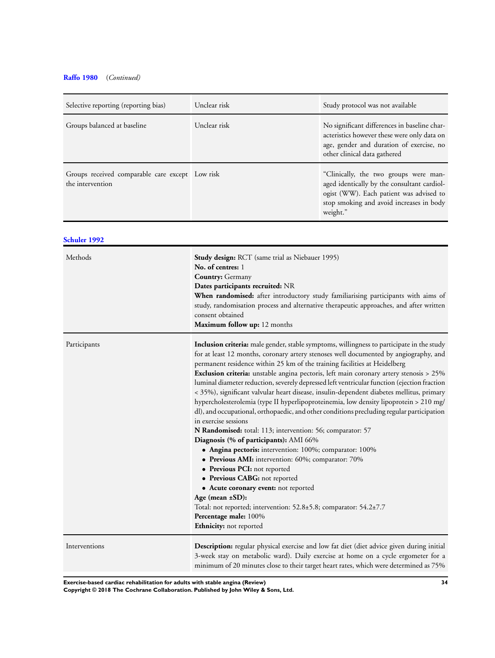### **[Raffo 1980](#page-21-0)** (*Continued)*

| Selective reporting (reporting bias)                                | Unclear risk | Study protocol was not available                                                                                                                                                        |
|---------------------------------------------------------------------|--------------|-----------------------------------------------------------------------------------------------------------------------------------------------------------------------------------------|
| Groups balanced at baseline                                         | Unclear risk | No significant differences in baseline char-<br>acteristics however these were only data on<br>age, gender and duration of exercise, no<br>other clinical data gathered                 |
| Groups received comparable care except Low risk<br>the intervention |              | "Clinically, the two groups were man-<br>aged identically by the consultant cardiol-<br>ogist (WW). Each patient was advised to<br>stop smoking and avoid increases in body<br>weight." |

### **[Schuler 1992](#page-21-0)**

| Methods       | <b>Study design:</b> RCT (same trial as Niebauer 1995)<br>No. of centres: 1<br><b>Country:</b> Germany<br>Dates participants recruited: NR<br>When randomised: after introductory study familiarising participants with aims of<br>study, randomisation process and alternative therapeutic approaches, and after written<br>consent obtained<br>Maximum follow up: 12 months                                                                                                                                                                                                                                                                                                                                                                                                                                                                                                                                                                                                                                                                                                                                                                                                                                                                   |
|---------------|-------------------------------------------------------------------------------------------------------------------------------------------------------------------------------------------------------------------------------------------------------------------------------------------------------------------------------------------------------------------------------------------------------------------------------------------------------------------------------------------------------------------------------------------------------------------------------------------------------------------------------------------------------------------------------------------------------------------------------------------------------------------------------------------------------------------------------------------------------------------------------------------------------------------------------------------------------------------------------------------------------------------------------------------------------------------------------------------------------------------------------------------------------------------------------------------------------------------------------------------------|
| Participants  | Inclusion criteria: male gender, stable symptoms, willingness to participate in the study<br>for at least 12 months, coronary artery stenoses well documented by angiography, and<br>permanent residence within 25 km of the training facilities at Heidelberg<br>Exclusion criteria: unstable angina pectoris, left main coronary artery stenosis > 25%<br>luminal diameter reduction, severely depressed left ventricular function (ejection fraction<br>< 35%), significant valvular heart disease, insulin-dependent diabetes mellitus, primary<br>hypercholesterolemia (type II hyperlipoproteinemia, low density lipoprotein > 210 mg/<br>dl), and occupational, orthopaedic, and other conditions precluding regular participation<br>in exercise sessions<br>N Randomised: total: 113; intervention: 56; comparator: 57<br>Diagnosis (% of participants): AMI 66%<br>• Angina pectoris: intervention: 100%; comparator: 100%<br>• Previous AMI: intervention: 60%; comparator: 70%<br>• Previous PCI: not reported<br>• Previous CABG: not reported<br>• Acute coronary event: not reported<br>Age (mean ±SD):<br>Total: not reported; intervention: 52.8±5.8; comparator: 54.2±7.7<br>Percentage male: 100%<br>Ethnicity: not reported |
| Interventions | <b>Description:</b> regular physical exercise and low fat diet (diet advice given during initial<br>3-week stay on metabolic ward). Daily exercise at home on a cycle ergometer for a<br>minimum of 20 minutes close to their target heart rates, which were determined as 75%                                                                                                                                                                                                                                                                                                                                                                                                                                                                                                                                                                                                                                                                                                                                                                                                                                                                                                                                                                  |

**Exercise-based cardiac rehabilitation for adults with stable angina (Review) 34**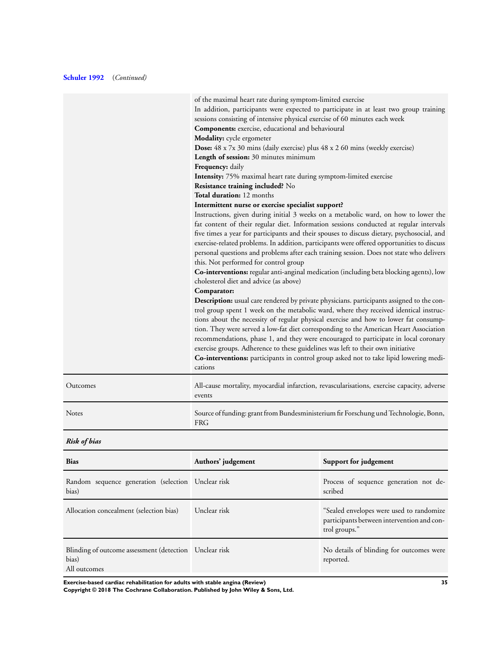### **[Schuler 1992](#page-21-0)** (*Continued)*

| In addition, participants were expected to participate in at least two group training<br>sessions consisting of intensive physical exercise of 60 minutes each week<br><b>Components:</b> exercise, educational and behavioural<br>Modality: cycle ergometer<br>Dose: 48 x 7x 30 mins (daily exercise) plus 48 x 2 60 mins (weekly exercise)<br>Length of session: 30 minutes minimum<br>Frequency: daily<br>Intensity: 75% maximal heart rate during symptom-limited exercise<br>Resistance training included? No<br>Total duration: 12 months<br>Intermittent nurse or exercise specialist support?<br>Instructions, given during initial 3 weeks on a metabolic ward, on how to lower the<br>fat content of their regular diet. Information sessions conducted at regular intervals                                                                                                                                                                                                                                                                                                                                                  |
|-----------------------------------------------------------------------------------------------------------------------------------------------------------------------------------------------------------------------------------------------------------------------------------------------------------------------------------------------------------------------------------------------------------------------------------------------------------------------------------------------------------------------------------------------------------------------------------------------------------------------------------------------------------------------------------------------------------------------------------------------------------------------------------------------------------------------------------------------------------------------------------------------------------------------------------------------------------------------------------------------------------------------------------------------------------------------------------------------------------------------------------------|
|                                                                                                                                                                                                                                                                                                                                                                                                                                                                                                                                                                                                                                                                                                                                                                                                                                                                                                                                                                                                                                                                                                                                         |
|                                                                                                                                                                                                                                                                                                                                                                                                                                                                                                                                                                                                                                                                                                                                                                                                                                                                                                                                                                                                                                                                                                                                         |
|                                                                                                                                                                                                                                                                                                                                                                                                                                                                                                                                                                                                                                                                                                                                                                                                                                                                                                                                                                                                                                                                                                                                         |
|                                                                                                                                                                                                                                                                                                                                                                                                                                                                                                                                                                                                                                                                                                                                                                                                                                                                                                                                                                                                                                                                                                                                         |
|                                                                                                                                                                                                                                                                                                                                                                                                                                                                                                                                                                                                                                                                                                                                                                                                                                                                                                                                                                                                                                                                                                                                         |
|                                                                                                                                                                                                                                                                                                                                                                                                                                                                                                                                                                                                                                                                                                                                                                                                                                                                                                                                                                                                                                                                                                                                         |
|                                                                                                                                                                                                                                                                                                                                                                                                                                                                                                                                                                                                                                                                                                                                                                                                                                                                                                                                                                                                                                                                                                                                         |
|                                                                                                                                                                                                                                                                                                                                                                                                                                                                                                                                                                                                                                                                                                                                                                                                                                                                                                                                                                                                                                                                                                                                         |
|                                                                                                                                                                                                                                                                                                                                                                                                                                                                                                                                                                                                                                                                                                                                                                                                                                                                                                                                                                                                                                                                                                                                         |
|                                                                                                                                                                                                                                                                                                                                                                                                                                                                                                                                                                                                                                                                                                                                                                                                                                                                                                                                                                                                                                                                                                                                         |
|                                                                                                                                                                                                                                                                                                                                                                                                                                                                                                                                                                                                                                                                                                                                                                                                                                                                                                                                                                                                                                                                                                                                         |
| five times a year for participants and their spouses to discuss dietary, psychosocial, and<br>exercise-related problems. In addition, participants were offered opportunities to discuss<br>personal questions and problems after each training session. Does not state who delivers<br>this. Not performed for control group<br>Co-interventions: regular anti-anginal medication (including beta blocking agents), low<br>cholesterol diet and advice (as above)<br>Comparator:<br>Description: usual care rendered by private physicians. participants assigned to the con-<br>trol group spent 1 week on the metabolic ward, where they received identical instruc-<br>tions about the necessity of regular physical exercise and how to lower fat consump-<br>tion. They were served a low-fat diet corresponding to the American Heart Association<br>recommendations, phase 1, and they were encouraged to participate in local coronary<br>exercise groups. Adherence to these guidelines was left to their own initiative<br>Co-interventions: participants in control group asked not to take lipid lowering medi-<br>cations |
| Outcomes<br>All-cause mortality, myocardial infarction, revascularisations, exercise capacity, adverse<br>events                                                                                                                                                                                                                                                                                                                                                                                                                                                                                                                                                                                                                                                                                                                                                                                                                                                                                                                                                                                                                        |
| Notes<br>Source of funding: grant from Bundesministerium fir Forschung und Technologie, Bonn,<br><b>FRG</b>                                                                                                                                                                                                                                                                                                                                                                                                                                                                                                                                                                                                                                                                                                                                                                                                                                                                                                                                                                                                                             |

*Risk of bias*

| <b>Bias</b>                                                                     | Authors' judgement | Support for judgement                                                                                   |
|---------------------------------------------------------------------------------|--------------------|---------------------------------------------------------------------------------------------------------|
| Random sequence generation (selection Unclear risk<br>bias)                     |                    | Process of sequence generation not de-<br>scribed                                                       |
| Allocation concealment (selection bias)                                         | Unclear risk       | "Sealed envelopes were used to randomize<br>participants between intervention and con-<br>trol groups." |
| Blinding of outcome assessment (detection Unclear risk<br>bias)<br>All outcomes |                    | No details of blinding for outcomes were<br>reported.                                                   |

**Exercise-based cardiac rehabilitation for adults with stable angina (Review) 35**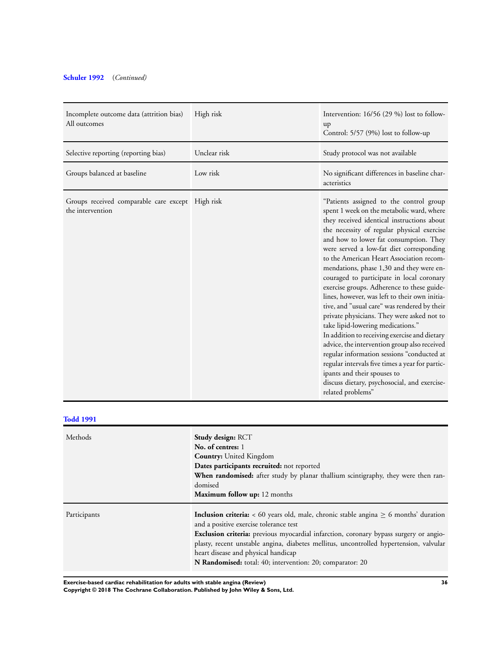### **[Schuler 1992](#page-21-0)** (*Continued)*

| Incomplete outcome data (attrition bias)<br>All outcomes             | High risk    | Intervention: 16/56 (29 %) lost to follow-<br>up<br>Control: 5/57 (9%) lost to follow-up                                                                                                                                                                                                                                                                                                                                                                                                                                                                                                                                                                                                                                                                                                                                                                                                                                                            |
|----------------------------------------------------------------------|--------------|-----------------------------------------------------------------------------------------------------------------------------------------------------------------------------------------------------------------------------------------------------------------------------------------------------------------------------------------------------------------------------------------------------------------------------------------------------------------------------------------------------------------------------------------------------------------------------------------------------------------------------------------------------------------------------------------------------------------------------------------------------------------------------------------------------------------------------------------------------------------------------------------------------------------------------------------------------|
| Selective reporting (reporting bias)                                 | Unclear risk | Study protocol was not available                                                                                                                                                                                                                                                                                                                                                                                                                                                                                                                                                                                                                                                                                                                                                                                                                                                                                                                    |
| Groups balanced at baseline                                          | Low risk     | No significant differences in baseline char-<br>acteristics                                                                                                                                                                                                                                                                                                                                                                                                                                                                                                                                                                                                                                                                                                                                                                                                                                                                                         |
| Groups received comparable care except High risk<br>the intervention |              | "Patients assigned to the control group<br>spent 1 week on the metabolic ward, where<br>they received identical instructions about<br>the necessity of regular physical exercise<br>and how to lower fat consumption. They<br>were served a low-fat diet corresponding<br>to the American Heart Association recom-<br>mendations, phase 1,30 and they were en-<br>couraged to participate in local coronary<br>exercise groups. Adherence to these guide-<br>lines, however, was left to their own initia-<br>tive, and "usual care" was rendered by their<br>private physicians. They were asked not to<br>take lipid-lowering medications."<br>In addition to receiving exercise and dietary<br>advice, the intervention group also received<br>regular information sessions "conducted at<br>regular intervals five times a year for partic-<br>ipants and their spouses to<br>discuss dietary, psychosocial, and exercise-<br>related problems" |

| <b>Todd 1991</b> |                                                                                                                                                                                                                                                                                                                                                                                                                                             |
|------------------|---------------------------------------------------------------------------------------------------------------------------------------------------------------------------------------------------------------------------------------------------------------------------------------------------------------------------------------------------------------------------------------------------------------------------------------------|
| Methods          | Study design: RCT<br>No. of centres: 1<br><b>Country:</b> United Kingdom<br>Dates participants recruited: not reported<br>When randomised: after study by planar thallium scintigraphy, they were then ran-<br>domised<br><b>Maximum follow up:</b> 12 months                                                                                                                                                                               |
| Participants     | <b>Inclusion criteria:</b> $\lt 60$ years old, male, chronic stable angina $\ge 6$ months' duration<br>and a positive exercise tolerance test<br><b>Exclusion criteria:</b> previous myocardial infarction, coronary bypass surgery or angio-<br>plasty, recent unstable angina, diabetes mellitus, uncontrolled hypertension, valvular<br>heart disease and physical handicap<br>N Randomised: total: 40; intervention: 20; comparator: 20 |

**Exercise-based cardiac rehabilitation for adults with stable angina (Review) 36**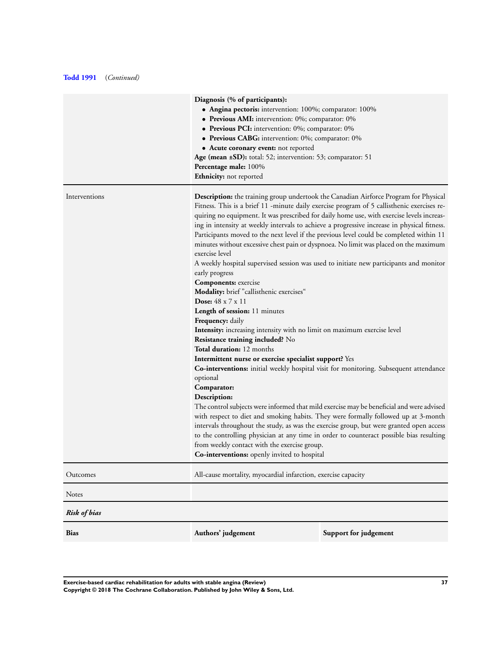### **[Todd 1991](#page-21-0)** (*Continued)*

|                     | Diagnosis (% of participants):<br>• Angina pectoris: intervention: 100%; comparator: 100%<br>• Previous AMI: intervention: 0%; comparator: 0%<br>• Previous PCI: intervention: 0%; comparator: 0%<br>• Previous CABG: intervention: 0%; comparator: 0%<br>• Acute coronary event: not reported<br>Age (mean ±SD): total: 52; intervention: 53; comparator: 51<br>Percentage male: 100%<br><b>Ethnicity:</b> not reported                                                                                                                                                                                                                                                                                                                                                                                                                                                                                                                                                                                                                                                                                                                                                                                                                                                                                                                                                                                                                                                                                                                                                                                                                                                                                |                       |  |  |  |  |
|---------------------|---------------------------------------------------------------------------------------------------------------------------------------------------------------------------------------------------------------------------------------------------------------------------------------------------------------------------------------------------------------------------------------------------------------------------------------------------------------------------------------------------------------------------------------------------------------------------------------------------------------------------------------------------------------------------------------------------------------------------------------------------------------------------------------------------------------------------------------------------------------------------------------------------------------------------------------------------------------------------------------------------------------------------------------------------------------------------------------------------------------------------------------------------------------------------------------------------------------------------------------------------------------------------------------------------------------------------------------------------------------------------------------------------------------------------------------------------------------------------------------------------------------------------------------------------------------------------------------------------------------------------------------------------------------------------------------------------------|-----------------------|--|--|--|--|
| Interventions       | <b>Description:</b> the training group undertook the Canadian Airforce Program for Physical<br>Fitness. This is a brief 11 -minute daily exercise program of 5 callisthenic exercises re-<br>quiring no equipment. It was prescribed for daily home use, with exercise levels increas-<br>ing in intensity at weekly intervals to achieve a progressive increase in physical fitness.<br>Participants moved to the next level if the previous level could be completed within 11<br>minutes without excessive chest pain or dyspnoea. No limit was placed on the maximum<br>exercise level<br>A weekly hospital supervised session was used to initiate new participants and monitor<br>early progress<br>Components: exercise<br>Modality: brief "callisthenic exercises"<br>Dose: $48 \times 7 \times 11$<br>Length of session: 11 minutes<br><b>Frequency:</b> daily<br>Intensity: increasing intensity with no limit on maximum exercise level<br>Resistance training included? No<br><b>Total duration:</b> 12 months<br>Intermittent nurse or exercise specialist support? Yes<br><b>Co-interventions:</b> initial weekly hospital visit for monitoring. Subsequent attendance<br>optional<br>Comparator:<br>Description:<br>The control subjects were informed that mild exercise may be beneficial and were advised<br>with respect to diet and smoking habits. They were formally followed up at 3-month<br>intervals throughout the study, as was the exercise group, but were granted open access<br>to the controlling physician at any time in order to counteract possible bias resulting<br>from weekly contact with the exercise group.<br>Co-interventions: openly invited to hospital |                       |  |  |  |  |
| Outcomes            | All-cause mortality, myocardial infarction, exercise capacity                                                                                                                                                                                                                                                                                                                                                                                                                                                                                                                                                                                                                                                                                                                                                                                                                                                                                                                                                                                                                                                                                                                                                                                                                                                                                                                                                                                                                                                                                                                                                                                                                                           |                       |  |  |  |  |
| Notes               |                                                                                                                                                                                                                                                                                                                                                                                                                                                                                                                                                                                                                                                                                                                                                                                                                                                                                                                                                                                                                                                                                                                                                                                                                                                                                                                                                                                                                                                                                                                                                                                                                                                                                                         |                       |  |  |  |  |
| <b>Risk of bias</b> |                                                                                                                                                                                                                                                                                                                                                                                                                                                                                                                                                                                                                                                                                                                                                                                                                                                                                                                                                                                                                                                                                                                                                                                                                                                                                                                                                                                                                                                                                                                                                                                                                                                                                                         |                       |  |  |  |  |
| Bias                | Authors' judgement                                                                                                                                                                                                                                                                                                                                                                                                                                                                                                                                                                                                                                                                                                                                                                                                                                                                                                                                                                                                                                                                                                                                                                                                                                                                                                                                                                                                                                                                                                                                                                                                                                                                                      | Support for judgement |  |  |  |  |

**Exercise-based cardiac rehabilitation for adults with stable angina (Review) 37 Copyright © 2018 The Cochrane Collaboration. Published by John Wiley & Sons, Ltd.**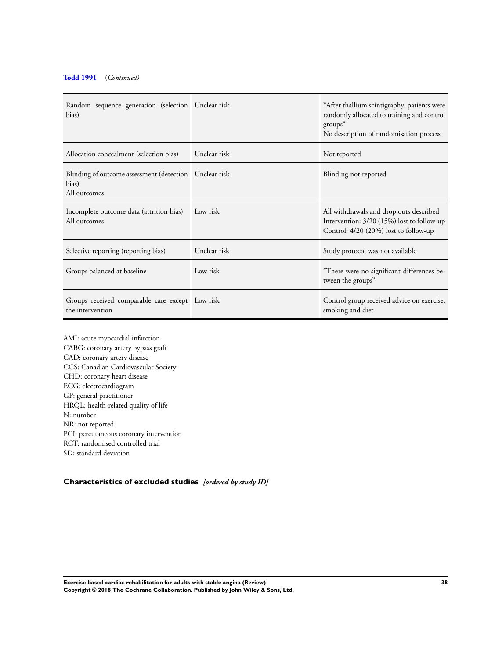### <span id="page-39-0"></span>**[Todd 1991](#page-21-0)** (*Continued)*

| Random sequence generation (selection Unclear risk<br>bias)                     |              | "After thallium scintigraphy, patients were<br>randomly allocated to training and control<br>groups"<br>No description of randomisation process |
|---------------------------------------------------------------------------------|--------------|-------------------------------------------------------------------------------------------------------------------------------------------------|
| Allocation concealment (selection bias)                                         | Unclear risk | Not reported                                                                                                                                    |
| Blinding of outcome assessment (detection Unclear risk<br>bias)<br>All outcomes |              | Blinding not reported                                                                                                                           |
| Incomplete outcome data (attrition bias)<br>All outcomes                        | Low risk     | All withdrawals and drop outs described<br>Intervention: 3/20 (15%) lost to follow-up<br>Control: 4/20 (20%) lost to follow-up                  |
| Selective reporting (reporting bias)                                            | Unclear risk | Study protocol was not available                                                                                                                |
| Groups balanced at baseline                                                     | Low risk     | "There were no significant differences be-<br>tween the groups"                                                                                 |
| Groups received comparable care except Low risk<br>the intervention             |              | Control group received advice on exercise,<br>smoking and diet                                                                                  |

AMI: acute myocardial infarction CABG: coronary artery bypass graft CAD: coronary artery disease CCS: Canadian Cardiovascular Society CHD: coronary heart disease ECG: electrocardiogram GP: general practitioner HRQL: health-related quality of life N: number NR: not reported PCI: percutaneous coronary intervention RCT: randomised controlled trial SD: standard deviation

### **Characteristics of excluded studies** *[ordered by study ID]*

**Exercise-based cardiac rehabilitation for adults with stable angina (Review) 38 Copyright © 2018 The Cochrane Collaboration. Published by John Wiley & Sons, Ltd.**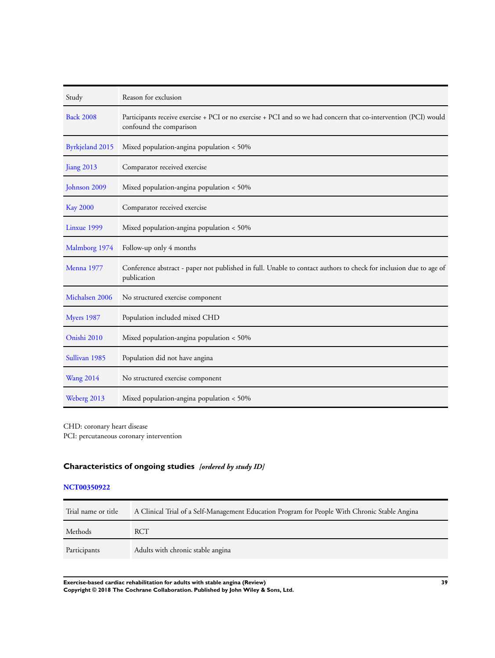| Study            | Reason for exclusion                                                                                                                       |
|------------------|--------------------------------------------------------------------------------------------------------------------------------------------|
| <b>Back 2008</b> | Participants receive exercise + PCI or no exercise + PCI and so we had concern that co-intervention (PCI) would<br>confound the comparison |
| Byrkjeland 2015  | Mixed population-angina population < 50%                                                                                                   |
| Jiang 2013       | Comparator received exercise                                                                                                               |
| Johnson 2009     | Mixed population-angina population < 50%                                                                                                   |
| <b>Kay 2000</b>  | Comparator received exercise                                                                                                               |
| Linxue 1999      | Mixed population-angina population < 50%                                                                                                   |
| Malmborg 1974    | Follow-up only 4 months                                                                                                                    |
| Menna 1977       | Conference abstract - paper not published in full. Unable to contact authors to check for inclusion due to age of<br>publication           |
| Michalsen 2006   | No structured exercise component                                                                                                           |
| Myers 1987       | Population included mixed CHD                                                                                                              |
| Onishi 2010      | Mixed population-angina population < 50%                                                                                                   |
| Sullivan 1985    | Population did not have angina                                                                                                             |
| <b>Wang 2014</b> | No structured exercise component                                                                                                           |
| Weberg 2013      | Mixed population-angina population $<$ 50%                                                                                                 |

CHD: coronary heart disease

PCI: percutaneous coronary intervention

## **Characteristics of ongoing studies** *[ordered by study ID]*

### **[NCT00350922](#page-21-0)**

| Trial name or title | A Clinical Trial of a Self-Management Education Program for People With Chronic Stable Angina |
|---------------------|-----------------------------------------------------------------------------------------------|
| Methods             | <b>RCT</b>                                                                                    |
| Participants        | Adults with chronic stable angina                                                             |

**Exercise-based cardiac rehabilitation for adults with stable angina (Review) 39 Copyright © 2018 The Cochrane Collaboration. Published by John Wiley & Sons, Ltd.**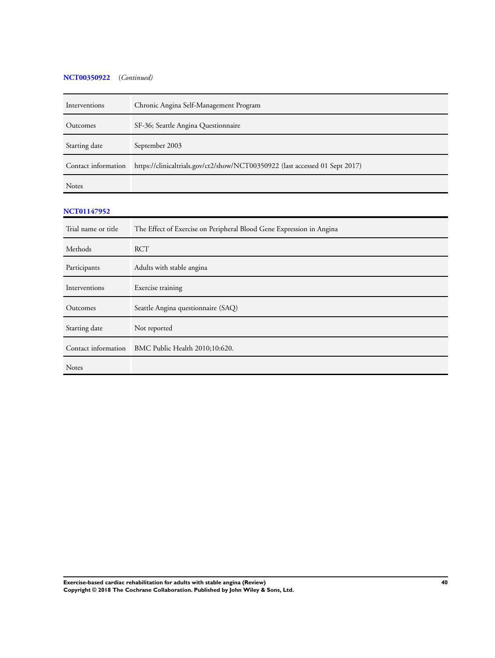### **[NCT00350922](#page-21-0)** (*Continued)*

| Interventions       | Chronic Angina Self-Management Program                                       |
|---------------------|------------------------------------------------------------------------------|
| Outcomes            | SF-36; Seattle Angina Questionnaire                                          |
| Starting date       | September 2003                                                               |
| Contact information | https://clinicaltrials.gov/ct2/show/NCT00350922 (last accessed 01 Sept 2017) |
| <b>Notes</b>        |                                                                              |
| <b>NCT01147952</b>  |                                                                              |
| Trial name or title | The Effect of Exercise on Peripheral Blood Gene Expression in Angina         |
| Methods             | <b>RCT</b>                                                                   |
| Participants        | Adults with stable angina                                                    |
| Interventions       | Exercise training                                                            |
| Outcomes            | Seattle Angina questionnaire (SAQ)                                           |
| Starting date       | Not reported                                                                 |
| Contact information | BMC Public Health 2010;10:620.                                               |
| Notes               |                                                                              |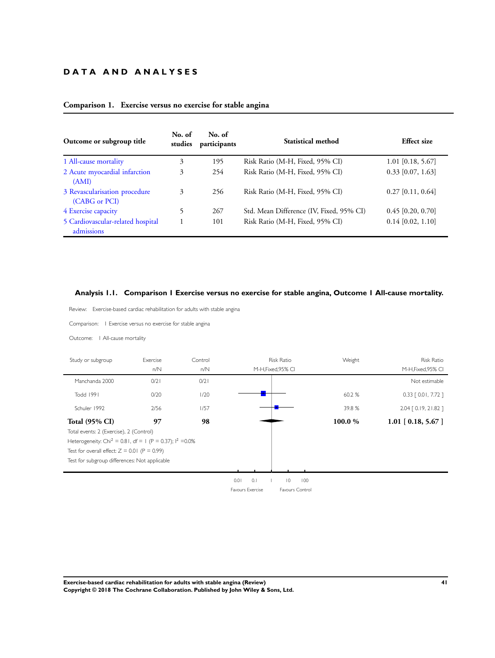### <span id="page-42-0"></span>**D A T A A N D A N A L Y S E S**

| Outcome or subgroup title                       | No. of<br>studies | No. of<br>participants | Statistical method                       | <b>Effect size</b>  |
|-------------------------------------------------|-------------------|------------------------|------------------------------------------|---------------------|
| 1 All-cause mortality                           | 3                 | 195                    | Risk Ratio (M-H, Fixed, 95% CI)          | $1.01$ [0.18, 5.67] |
| 2 Acute myocardial infarction<br>(AMI)          | 3                 | 254                    | Risk Ratio (M-H, Fixed, 95% CI)          | $0.33$ [0.07, 1.63] |
| 3 Revascularisation procedure<br>(CABG or PCI)  | 3                 | 256                    | Risk Ratio (M-H, Fixed, 95% CI)          | $0.27$ [0.11, 0.64] |
| 4 Exercise capacity                             |                   | 267                    | Std. Mean Difference (IV, Fixed, 95% CI) | $0.45$ [0.20, 0.70] |
| 5 Cardiovascular-related hospital<br>admissions |                   | 101                    | Risk Ratio (M-H, Fixed, 95% CI)          | $0.14$ [0.02, 1.10] |

### **Comparison 1. Exercise versus no exercise for stable angina**

### **Analysis 1.1. Comparison 1 Exercise versus no exercise for stable angina, Outcome 1 All-cause mortality.**

Review: Exercise-based cardiac rehabilitation for adults with stable angina

Comparison: 1 Exercise versus no exercise for stable angina

Outcome: 1 All-cause mortality

| <b>Risk Ratio</b><br>Exercise<br>Study or subgroup<br>Control          |      |      |      |                  | Weight<br><b>Risk Ratio</b> |     |         |                        |  |
|------------------------------------------------------------------------|------|------|------|------------------|-----------------------------|-----|---------|------------------------|--|
|                                                                        | n/N  | n/N  |      |                  | M-H, Fixed, 95% CI          |     |         | M-H, Fixed, 95% CI     |  |
| Manchanda 2000                                                         | 0/21 | 0/21 |      |                  |                             |     |         | Not estimable          |  |
| Todd 1991                                                              | 0/20 | 1/20 |      |                  |                             |     | 60.2%   | $0.33$ $[0.01, 7.72]$  |  |
| Schuler 1992                                                           | 2/56 | 1/57 |      |                  |                             |     | 39.8%   | $2.04$ $[0.19, 21.82]$ |  |
| <b>Total (95% CI)</b>                                                  | 97   | 98   |      |                  |                             |     | 100.0 % | $1.01$ [ 0.18, 5.67 ]  |  |
| Total events: 2 (Exercise), 2 (Control)                                |      |      |      |                  |                             |     |         |                        |  |
| Heterogeneity: Chi <sup>2</sup> = 0.81, df = 1 (P = 0.37); $1^2$ =0.0% |      |      |      |                  |                             |     |         |                        |  |
| Test for overall effect: $Z = 0.01$ (P = 0.99)                         |      |      |      |                  |                             |     |         |                        |  |
| Test for subgroup differences: Not applicable                          |      |      |      |                  |                             |     |         |                        |  |
|                                                                        |      |      |      |                  |                             |     |         |                        |  |
|                                                                        |      |      | 0.01 | 0.1              | $\overline{0}$              | 100 |         |                        |  |
|                                                                        |      |      |      | Favours Exercise | Favours Control             |     |         |                        |  |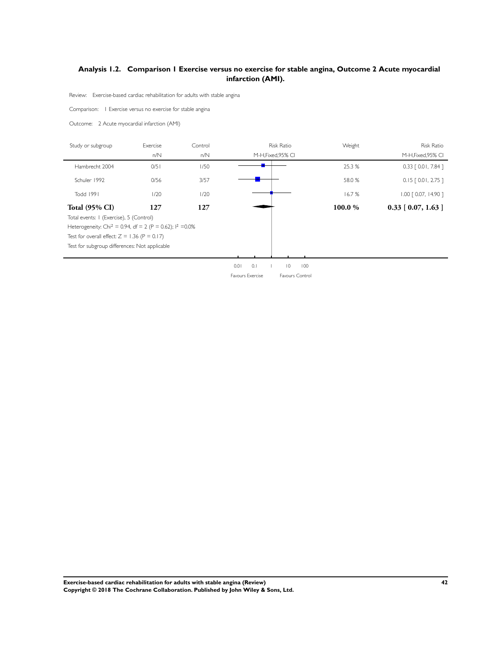### <span id="page-43-0"></span>**Analysis 1.2. Comparison 1 Exercise versus no exercise for stable angina, Outcome 2 Acute myocardial infarction (AMI).**

Review: Exercise-based cardiac rehabilitation for adults with stable angina

Comparison: 1 Exercise versus no exercise for stable angina

Outcome: 2 Acute myocardial infarction (AMI)

| Study or subgroup                                                      | Exercise | Control |      |     | <b>Risk Ratio</b>  |     | Weight | <b>Risk Ratio</b>      |
|------------------------------------------------------------------------|----------|---------|------|-----|--------------------|-----|--------|------------------------|
|                                                                        | n/N      | n/N     |      |     | M-H, Fixed, 95% CI |     |        | M-H, Fixed, 95% CI     |
| Hambrecht 2004                                                         | 0/51     | 1/50    |      |     |                    |     | 25.3 % | $0.33$ [ 0.01, 7.84 ]  |
| Schuler 1992                                                           | 0/56     | 3/57    |      |     |                    |     | 58.0 % | $0.15$ $[0.01, 2.75]$  |
| Todd 1991                                                              | 1/20     | 1/20    |      |     |                    |     | 16.7%  | $1.00$ $[0.07, 14.90]$ |
| <b>Total (95% CI)</b>                                                  | 127      | 127     |      |     |                    |     | 100.0% | $0.33$ [ 0.07, 1.63 ]  |
| Total events: I (Exercise), 5 (Control)                                |          |         |      |     |                    |     |        |                        |
| Heterogeneity: Chi <sup>2</sup> = 0.94, df = 2 (P = 0.62); $1^2$ =0.0% |          |         |      |     |                    |     |        |                        |
| Test for overall effect: $Z = 1.36$ (P = 0.17)                         |          |         |      |     |                    |     |        |                        |
| Test for subgroup differences: Not applicable                          |          |         |      |     |                    |     |        |                        |
|                                                                        |          |         |      |     |                    |     |        |                        |
|                                                                        |          |         | 0.01 | 0.1 | $\overline{0}$     | 100 |        |                        |

Favours Exercise Favours Control

**Exercise-based cardiac rehabilitation for adults with stable angina (Review) 42 Copyright © 2018 The Cochrane Collaboration. Published by John Wiley & Sons, Ltd.**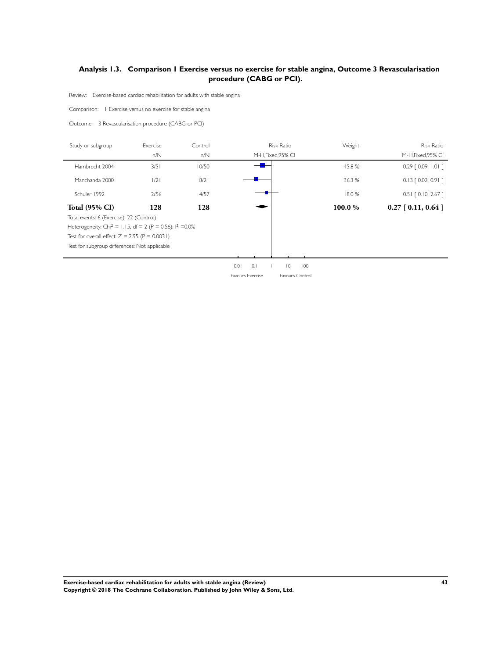### <span id="page-44-0"></span>**Analysis 1.3. Comparison 1 Exercise versus no exercise for stable angina, Outcome 3 Revascularisation procedure (CABG or PCI).**

Review: Exercise-based cardiac rehabilitation for adults with stable angina

Comparison: 1 Exercise versus no exercise for stable angina

Outcome: 3 Revascularisation procedure (CABG or PCI)

| Study or subgroup                                                      | Exercise      | Control |      |     | <b>Risk Ratio</b>  |     | Weight | <b>Risk Ratio</b>     |
|------------------------------------------------------------------------|---------------|---------|------|-----|--------------------|-----|--------|-----------------------|
|                                                                        | n/N           | n/N     |      |     | M-H, Fixed, 95% CI |     |        | M-H, Fixed, 95% CI    |
| Hambrecht 2004                                                         | 3/5           | 10/50   |      |     |                    |     | 45.8%  | $0.29$ $[0.09, 1.01]$ |
| Manchanda 2000                                                         | $\frac{1}{2}$ | 8/2     |      |     |                    |     | 36.3 % | $0.13$ $[0.02, 0.91]$ |
| Schuler 1992                                                           | 2/56          | 4/57    |      |     |                    |     | 18.0%  | $0.51$ $[0.10, 2.67]$ |
| <b>Total (95% CI)</b>                                                  | 128           | 128     |      |     |                    |     | 100.0% | $0.27$ [ 0.11, 0.64 ] |
| Total events: 6 (Exercise), 22 (Control)                               |               |         |      |     |                    |     |        |                       |
| Heterogeneity: Chi <sup>2</sup> = 1.15, df = 2 (P = 0.56); $1^2$ =0.0% |               |         |      |     |                    |     |        |                       |
| Test for overall effect: $Z = 2.95$ (P = 0.0031)                       |               |         |      |     |                    |     |        |                       |
| Test for subgroup differences: Not applicable                          |               |         |      |     |                    |     |        |                       |
|                                                                        |               |         |      |     |                    |     |        |                       |
|                                                                        |               |         | 0.01 | 0.1 | $\overline{0}$     | 100 |        |                       |

Favours Exercise Favours Control

**Exercise-based cardiac rehabilitation for adults with stable angina (Review) 43 Copyright © 2018 The Cochrane Collaboration. Published by John Wiley & Sons, Ltd.**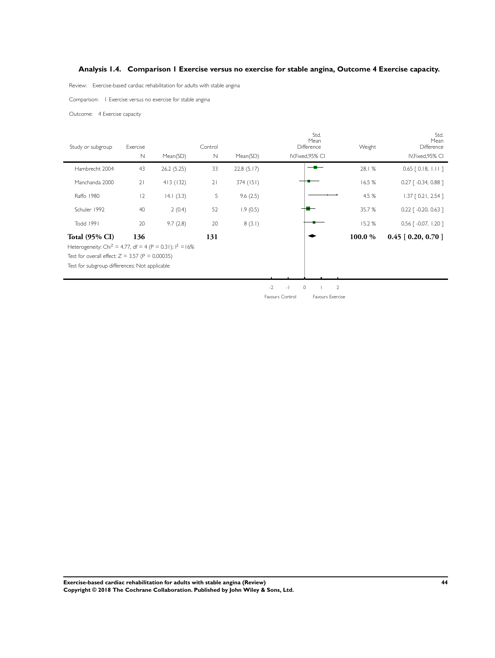### <span id="page-45-0"></span>**Analysis 1.4. Comparison 1 Exercise versus no exercise for stable angina, Outcome 4 Exercise capacity.**

Review: Exercise-based cardiac rehabilitation for adults with stable angina

Comparison: 1 Exercise versus no exercise for stable angina

Outcome: 4 Exercise capacity

| Study or subgroup                                                      | Exercise | Control    |             |            | Std.<br>Mean<br>Difference |                            | Weight  | Std.<br>Mean<br>Difference         |
|------------------------------------------------------------------------|----------|------------|-------------|------------|----------------------------|----------------------------|---------|------------------------------------|
|                                                                        | N        | Mean(SD)   | $\mathbb N$ | Mean(SD)   |                            | IV, Fixed, 95% CI          |         | IV, Fixed, 95% CI                  |
| Hambrecht 2004                                                         | 43       | 26.2(5.25) | 33          | 22.8(5.17) |                            |                            | 28.1 %  | $0.65$ [ 0.18, 1.11 ]              |
| Manchanda 2000                                                         | 21       | 413(132)   | 21          | 374(151)   |                            |                            | 16.5 %  | $0.27$ [ $-0.34$ , 0.88 ]          |
| Raffo 1980                                                             | 12       | 14.1(3.3)  | 5           | 9.6(2.5)   |                            |                            | 4.5 %   | $1.37$ $[0.21, 2.54]$              |
| Schuler 1992                                                           | 40       | 2(0.4)     | 52          | 1.9(0.5)   |                            |                            | 35.7 %  | $0.22$ [ $-0.20$ , 0.63 ]          |
| Todd 1991                                                              | 20       | 9.7(2.8)   | 20          | 8(3.1)     |                            |                            | 15.2%   | $0.56$ $\lceil -0.07, 1.20 \rceil$ |
| <b>Total (95% CI)</b>                                                  | 136      |            | 131         |            |                            |                            | 100.0 % | $0.45$ [ 0.20, 0.70 ]              |
| Heterogeneity: Chi <sup>2</sup> = 4.77, df = 4 (P = 0.31); $1^2$ = 16% |          |            |             |            |                            |                            |         |                                    |
| Test for overall effect: $Z = 3.57$ (P = 0.00035)                      |          |            |             |            |                            |                            |         |                                    |
| Test for subgroup differences: Not applicable                          |          |            |             |            |                            |                            |         |                                    |
|                                                                        |          |            |             |            |                            |                            |         |                                    |
|                                                                        |          |            |             |            | $-2$<br>$-1$               | $\overline{2}$<br>$\Omega$ |         |                                    |
|                                                                        |          |            |             |            | Favours Control            | Favours Exercise           |         |                                    |

**Exercise-based cardiac rehabilitation for adults with stable angina (Review) 44 Copyright © 2018 The Cochrane Collaboration. Published by John Wiley & Sons, Ltd.**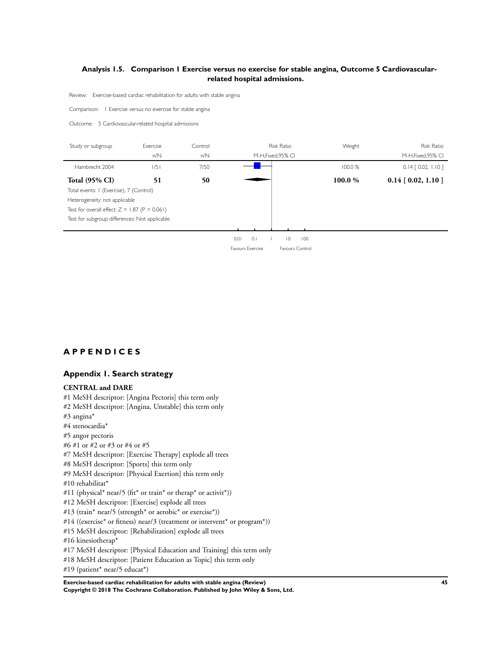### <span id="page-46-0"></span>**Analysis 1.5. Comparison 1 Exercise versus no exercise for stable angina, Outcome 5 Cardiovascularrelated hospital admissions.**

Review: Exercise-based cardiac rehabilitation for adults with stable angina

Comparison: 1 Exercise versus no exercise for stable angina

Outcome: 5 Cardiovascular-related hospital admissions

| Study or subgroup                               | Exercise | Control<br><b>Risk Ratio</b> |                    | Weight  | <b>Risk Ratio</b>     |
|-------------------------------------------------|----------|------------------------------|--------------------|---------|-----------------------|
|                                                 | n/N      | n/N                          | M-H, Fixed, 95% CI |         | M-H, Fixed, 95% CI    |
| Hambrecht 2004                                  | 1/5      | 7/50                         |                    | 100.0%  | $0.14$ $[0.02, 1.10]$ |
| <b>Total (95% CI)</b>                           | 51       | 50                           |                    | 100.0 % | $0.14$ [ 0.02, 1.10 ] |
| Total events: I (Exercise), 7 (Control)         |          |                              |                    |         |                       |
| Heterogeneity: not applicable                   |          |                              |                    |         |                       |
| Test for overall effect: $Z = 1.87$ (P = 0.061) |          |                              |                    |         |                       |
| Test for subgroup differences: Not applicable   |          |                              |                    |         |                       |
|                                                 |          |                              |                    |         |                       |

0.01 0.1 1 10 100

Favours Exercise Favours Control

### **A P P E N D I C E S**

### **Appendix 1. Search strategy**

#### **CENTRAL and DARE**

- #1 MeSH descriptor: [Angina Pectoris] this term only #2 MeSH descriptor: [Angina, Unstable] this term only #3 angina\* #4 stenocardia\*
- #5 angor pectoris
- #6 #1 or #2 or #3 or #4 or #5
- #7 MeSH descriptor: [Exercise Therapy] explode all trees

#8 MeSH descriptor: [Sports] this term only

- #9 MeSH descriptor: [Physical Exertion] this term only
- #10 rehabilitat\*
- #11 (physical\* near/5 (fit\* or train\* or therap\* or activit\*))
- #12 MeSH descriptor: [Exercise] explode all trees
- #13 (train\* near/5 (strength\* or aerobic\* or exercise\*))
- #14 ((exercise\* or fitness) near/3 (treatment or intervent\* or program\*))
- #15 MeSH descriptor: [Rehabilitation] explode all trees
- #16 kinesiotherap\*
- #17 MeSH descriptor: [Physical Education and Training] this term only
- #18 MeSH descriptor: [Patient Education as Topic] this term only

#19 (patient\* near/5 educat\*)

**Exercise-based cardiac rehabilitation for adults with stable angina (Review) 45 Copyright © 2018 The Cochrane Collaboration. Published by John Wiley & Sons, Ltd.**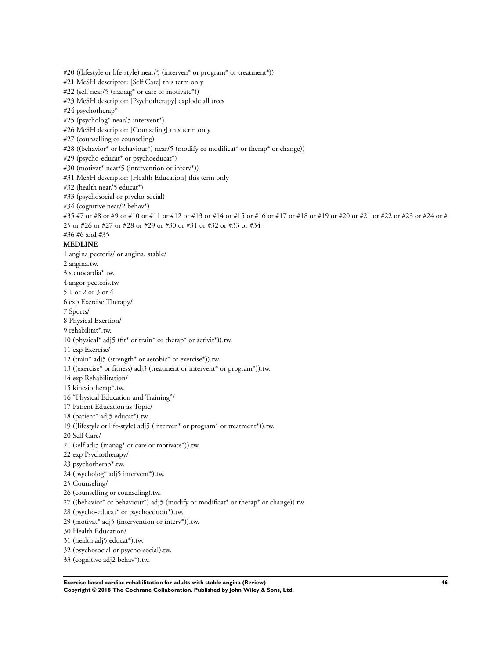#20 ((lifestyle or life-style) near/5 (interven\* or program\* or treatment\*)) #21 MeSH descriptor: [Self Care] this term only #22 (self near/5 (manag\* or care or motivate\*)) #23 MeSH descriptor: [Psychotherapy] explode all trees #24 psychotherap\* #25 (psycholog\* near/5 intervent\*) #26 MeSH descriptor: [Counseling] this term only #27 (counselling or counseling) #28 ((behavior\* or behaviour\*) near/5 (modify or modificat\* or therap\* or change)) #29 (psycho-educat\* or psychoeducat\*) #30 (motivat\* near/5 (intervention or interv\*)) #31 MeSH descriptor: [Health Education] this term only #32 (health near/5 educat\*) #33 (psychosocial or psycho-social) #34 (cognitive near/2 behav\*) #35 #7 or #8 or #9 or #10 or #11 or #12 or #13 or #14 or #15 or #16 or #17 or #18 or #19 or #20 or #21 or #22 or #23 or #24 or # 25 or #26 or #27 or #28 or #29 or #30 or #31 or #32 or #33 or #34 #36 #6 and #35 **MEDLINE** 1 angina pectoris/ or angina, stable/ 2 angina.tw. 3 stenocardia\*.tw. 4 angor pectoris.tw. 5 1 or 2 or 3 or 4 6 exp Exercise Therapy/ 7 Sports/ 8 Physical Exertion/ 9 rehabilitat\*.tw. 10 (physical\* adj5 (fit\* or train\* or therap\* or activit\*)).tw. 11 exp Exercise/ 12 (train\* adj5 (strength\* or aerobic\* or exercise\*)).tw. 13 ((exercise\* or fitness) adj3 (treatment or intervent\* or program\*)).tw. 14 exp Rehabilitation/ 15 kinesiotherap\*.tw. 16 "Physical Education and Training"/ 17 Patient Education as Topic/ 18 (patient\* adj5 educat\*).tw. 19 ((lifestyle or life-style) adj5 (interven\* or program\* or treatment\*)).tw. 20 Self Care/ 21 (self adj5 (manag\* or care or motivate\*)).tw. 22 exp Psychotherapy/ 23 psychotherap\*.tw. 24 (psycholog\* adj5 intervent\*).tw. 25 Counseling/ 26 (counselling or counseling).tw. 27 ((behavior\* or behaviour\*) adj5 (modify or modificat\* or therap\* or change)).tw. 28 (psycho-educat\* or psychoeducat\*).tw. 29 (motivat\* adj5 (intervention or interv\*)).tw. 30 Health Education/ 31 (health adj5 educat\*).tw. 32 (psychosocial or psycho-social).tw. 33 (cognitive adj2 behav\*).tw.

**Exercise-based cardiac rehabilitation for adults with stable angina (Review) 46 Copyright © 2018 The Cochrane Collaboration. Published by John Wiley & Sons, Ltd.**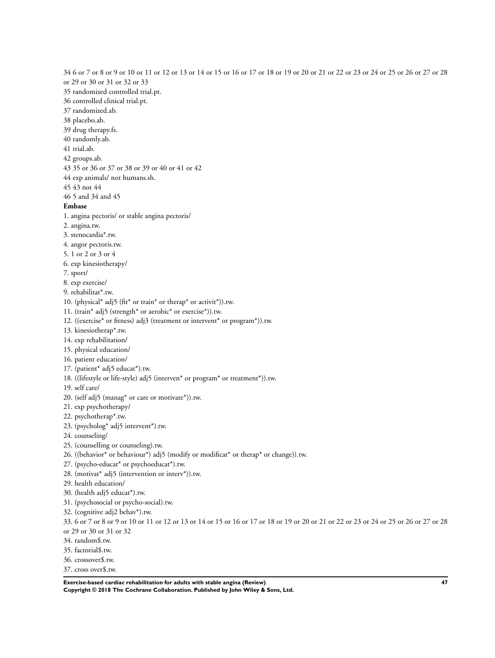34 6 or 7 or 8 or 9 or 10 or 11 or 12 or 13 or 14 or 15 or 16 or 17 or 18 or 19 or 20 or 21 or 22 or 23 or 24 or 25 or 26 or 27 or 28 or 29 or 30 or 31 or 32 or 33 35 randomized controlled trial.pt. 36 controlled clinical trial.pt. 37 randomized.ab. 38 placebo.ab. 39 drug therapy.fs. 40 randomly.ab. 41 trial.ab. 42 groups.ab. 43 35 or 36 or 37 or 38 or 39 or 40 or 41 or 42 44 exp animals/ not humans.sh. 45 43 not 44 46 5 and 34 and 45 **Embase** 1. angina pectoris/ or stable angina pectoris/ 2. angina.tw. 3. stenocardia\*.tw. 4. angor pectoris.tw. 5. 1 or 2 or 3 or 4 6. exp kinesiotherapy/ 7. sport/ 8. exp exercise/ 9. rehabilitat\*.tw. 10. (physical\* adj5 (fit\* or train\* or therap\* or activit\*)).tw. 11. (train\* adj5 (strength\* or aerobic\* or exercise\*)).tw. 12. ((exercise\* or fitness) adj3 (treatment or intervent\* or program\*)).tw. 13. kinesiotherap\*.tw. 14. exp rehabilitation/ 15. physical education/ 16. patient education/ 17. (patient\* adj5 educat\*).tw. 18. ((lifestyle or life-style) adj5 (interven\* or program\* or treatment\*)).tw. 19. self care/ 20. (self adj5 (manag\* or care or motivate\*)).tw. 21. exp psychotherapy/ 22. psychotherap\*.tw. 23. (psycholog\* adj5 intervent\*).tw. 24. counseling/ 25. (counselling or counseling).tw. 26. ((behavior\* or behaviour\*) adj5 (modify or modificat\* or therap\* or change)).tw. 27. (psycho-educat\* or psychoeducat\*).tw. 28. (motivat\* adj5 (intervention or interv\*)).tw. 29. health education/ 30. (health adj5 educat\*).tw. 31. (psychosocial or psycho-social).tw. 32. (cognitive adj2 behav\*).tw. 33. 6 or 7 or 8 or 9 or 10 or 11 or 12 or 13 or 14 or 15 or 16 or 17 or 18 or 19 or 20 or 21 or 22 or 23 or 24 or 25 or 26 or 27 or 28 or 29 or 30 or 31 or 32 34. random\$.tw.

- 
- 35. factorial\$.tw.
- 36. crossover\$.tw.
- 37. cross over\$.tw.

**Exercise-based cardiac rehabilitation for adults with stable angina (Review) 47 Copyright © 2018 The Cochrane Collaboration. Published by John Wiley & Sons, Ltd.**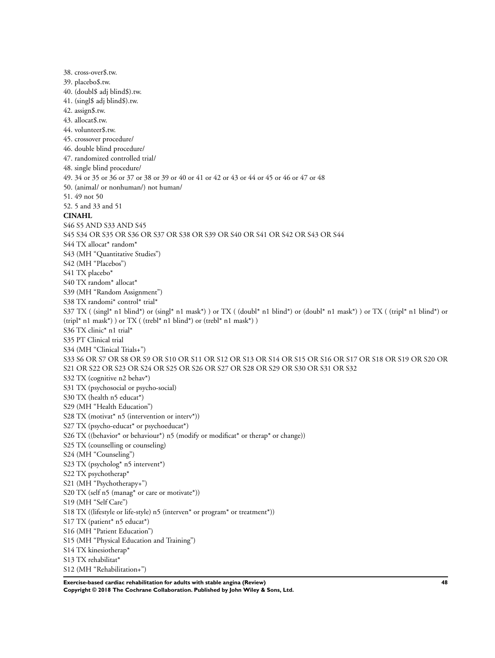38. cross-over\$.tw. 39. placebo\$.tw. 40. (doubl\$ adj blind\$).tw. 41. (singl\$ adj blind\$).tw. 42. assign\$.tw. 43. allocat\$.tw. 44. volunteer\$.tw. 45. crossover procedure/ 46. double blind procedure/ 47. randomized controlled trial/ 48. single blind procedure/ 49. 34 or 35 or 36 or 37 or 38 or 39 or 40 or 41 or 42 or 43 or 44 or 45 or 46 or 47 or 48 50. (animal/ or nonhuman/) not human/ 51. 49 not 50 52. 5 and 33 and 51 **CINAHL** S46 S5 AND S33 AND S45 S45 S34 OR S35 OR S36 OR S37 OR S38 OR S39 OR S40 OR S41 OR S42 OR S43 OR S44 S44 TX allocat\* random\* S43 (MH "Quantitative Studies") S42 (MH "Placebos") S41 TX placebo\* S40 TX random\* allocat\* S39 (MH "Random Assignment") S38 TX randomi\* control\* trial\* S37 TX ( (singl\* n1 blind\*) or (singl\* n1 mask\*) ) or TX ( (doubl\* n1 blind\*) or (doubl\* n1 mask\*) ) or TX ( (tripl\* n1 blind\*) or  $(tripl* n1 mask*)$  or TX ( $(trebl* n1 blind*)$  or  $(trebl* n1 mask*)$ ) S36 TX clinic\* n1 trial\* S35 PT Clinical trial S34 (MH "Clinical Trials+") S33 S6 OR S7 OR S8 OR S9 OR S10 OR S11 OR S12 OR S13 OR S14 OR S15 OR S16 OR S17 OR S18 OR S19 OR S20 OR S21 OR S22 OR S23 OR S24 OR S25 OR S26 OR S27 OR S28 OR S29 OR S30 OR S31 OR S32 S32 TX (cognitive n2 behav\*) S31 TX (psychosocial or psycho-social) S30 TX (health n5 educat\*) S29 (MH "Health Education") S28 TX (motivat\* n5 (intervention or interv\*)) S27 TX (psycho-educat<sup>\*</sup> or psychoeducat<sup>\*</sup>) S26 TX ((behavior\* or behaviour\*) n5 (modify or modificat\* or therap\* or change)) S25 TX (counselling or counseling) S24 (MH "Counseling") S23 TX (psycholog\* n5 intervent\*) S22 TX psychotherap\* S21 (MH "Psychotherapy+") S20 TX (self n5 (manag\* or care or motivate\*)) S19 (MH "Self Care") S18 TX ((lifestyle or life-style) n5 (interven\* or program\* or treatment\*)) S17 TX (patient\* n5 educat\*) S16 (MH "Patient Education") S15 (MH "Physical Education and Training") S14 TX kinesiotherap\* S13 TX rehabilitat\* S12 (MH "Rehabilitation+")

**Exercise-based cardiac rehabilitation for adults with stable angina (Review) 48 Copyright © 2018 The Cochrane Collaboration. Published by John Wiley & Sons, Ltd.**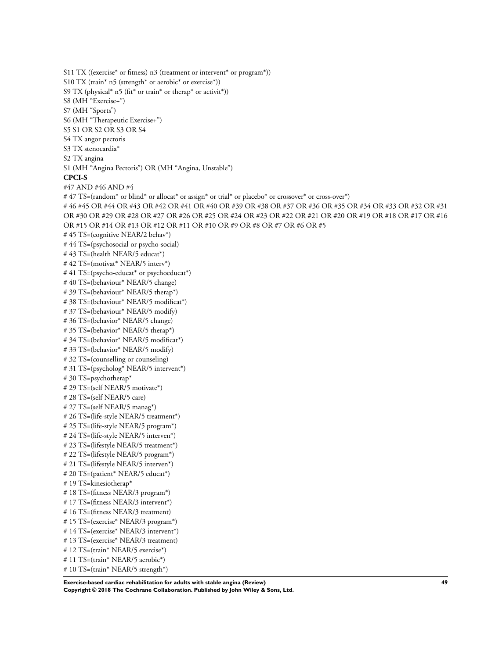```
S11 TX ((exercise* or fitness) n3 (treatment or intervent* or program*))
S10 TX (train* n5 (strength* or aerobic* or exercise*))
S9 TX (physical* n5 (fit* or train* or therap* or activit*))
S8 (MH "Exercise+")
S7 (MH "Sports")
S6 (MH "Therapeutic Exercise+")
S5 S1 OR S2 OR S3 OR S4
S4 TX angor pectoris
S3 TX stenocardia*
S2 TX angina
S1 (MH "Angina Pectoris") OR (MH "Angina, Unstable")
CPCI-S
#47 AND #46 AND #4
# 47 TS=(random* or blind* or allocat* or assign* or trial* or placebo* or crossover* or cross-over*)
# 46 #45 OR #44 OR #43 OR #42 OR #41 OR #40 OR #39 OR #38 OR #37 OR #36 OR #35 OR #34 OR #33 OR #32 OR #31
OR #30 OR #29 OR #28 OR #27 OR #26 OR #25 OR #24 OR #23 OR #22 OR #21 OR #20 OR #19 OR #18 OR #17 OR #16
OR #15 OR #14 OR #13 OR #12 OR #11 OR #10 OR #9 OR #8 OR #7 OR #6 OR #5
# 45 TS=(cognitive NEAR/2 behav*)
# 44 TS=(psychosocial or psycho-social)
# 43 TS=(health NEAR/5 educat*)
# 42 TS=(motivat* NEAR/5 interv*)
# 41 TS=(psycho-educat* or psychoeducat*)
# 40 TS=(behaviour* NEAR/5 change)
# 39 TS=(behaviour* NEAR/5 therap*)
# 38 TS=(behaviour* NEAR/5 modificat*)
# 37 TS=(behaviour* NEAR/5 modify)
# 36 TS=(behavior* NEAR/5 change)
# 35 TS=(behavior* NEAR/5 therap*)
# 34 TS=(behavior* NEAR/5 modificat*)
# 33 TS=(behavior* NEAR/5 modify)
# 32 TS=(counselling or counseling)
# 31 TS=(psycholog* NEAR/5 intervent*)
# 30 TS=psychotherap*
# 29 TS=(self NEAR/5 motivate*)
# 28 TS=(self NEAR/5 care)
# 27 TS=(self NEAR/5 manag*)
# 26 TS=(life-style NEAR/5 treatment*)
# 25 TS=(life-style NEAR/5 program*)
# 24 TS=(life-style NEAR/5 interven*)
# 23 TS=(lifestyle NEAR/5 treatment*)
# 22 TS=(lifestyle NEAR/5 program*)
# 21 TS=(lifestyle NEAR/5 interven*)
# 20 TS=(patient* NEAR/5 educat*)
# 19 TS=kinesiotherap*
# 18 TS=(fitness NEAR/3 program*)
# 17 TS=(fitness NEAR/3 intervent*)
# 16 TS=(fitness NEAR/3 treatment)
# 15 TS=(exercise* NEAR/3 program*)
# 14 TS=(exercise* NEAR/3 intervent*)
# 13 TS=(exercise* NEAR/3 treatment)
# 12 TS=(train* NEAR/5 exercise*)
# 11 TS=(train* NEAR/5 aerobic*)
# 10 TS=(train* NEAR/5 strength*)
```

```
Exercise-based cardiac rehabilitation for adults with stable angina (Review) 49
Copyright © 2018 The Cochrane Collaboration. Published by John Wiley & Sons, Ltd.
```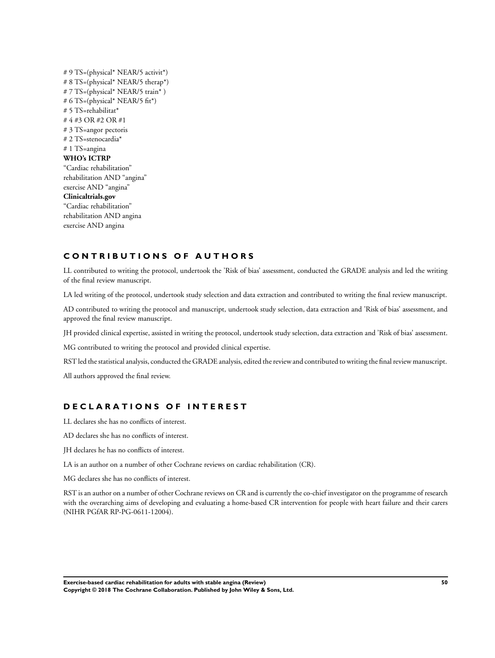# 9 TS=(physical\* NEAR/5 activit\*) # 8 TS=(physical\* NEAR/5 therap\*) # 7 TS=(physical\* NEAR/5 train\*) # 6 TS=(physical\* NEAR/5 fit\*) # 5 TS=rehabilitat\* # 4 #3 OR #2 OR #1 # 3 TS=angor pectoris # 2 TS=stenocardia\* # 1 TS=angina **WHO's ICTRP** "Cardiac rehabilitation" rehabilitation AND "angina" exercise AND "angina" **Clinicaltrials.gov** "Cardiac rehabilitation" rehabilitation AND angina exercise AND angina

### **C O N T R I B U T I O N S O F A U T H O R S**

LL contributed to writing the protocol, undertook the 'Risk of bias' assessment, conducted the GRADE analysis and led the writing of the final review manuscript.

LA led writing of the protocol, undertook study selection and data extraction and contributed to writing the final review manuscript.

AD contributed to writing the protocol and manuscript, undertook study selection, data extraction and 'Risk of bias' assessment, and approved the final review manuscript.

JH provided clinical expertise, assisted in writing the protocol, undertook study selection, data extraction and 'Risk of bias' assessment.

MG contributed to writing the protocol and provided clinical expertise.

RST led the statistical analysis, conducted the GRADE analysis, edited the review and contributed to writing the final review manuscript.

All authors approved the final review.

### **D E C L A R A T I O N S O F I N T E R E S T**

LL declares she has no conflicts of interest.

AD declares she has no conflicts of interest.

JH declares he has no conflicts of interest.

LA is an author on a number of other Cochrane reviews on cardiac rehabilitation (CR).

MG declares she has no conflicts of interest.

RST is an author on a number of other Cochrane reviews on CR and is currently the co-chief investigator on the programme of research with the overarching aims of developing and evaluating a home-based CR intervention for people with heart failure and their carers (NIHR PGfAR RP-PG-0611-12004).

**Exercise-based cardiac rehabilitation for adults with stable angina (Review) 50 Copyright © 2018 The Cochrane Collaboration. Published by John Wiley & Sons, Ltd.**